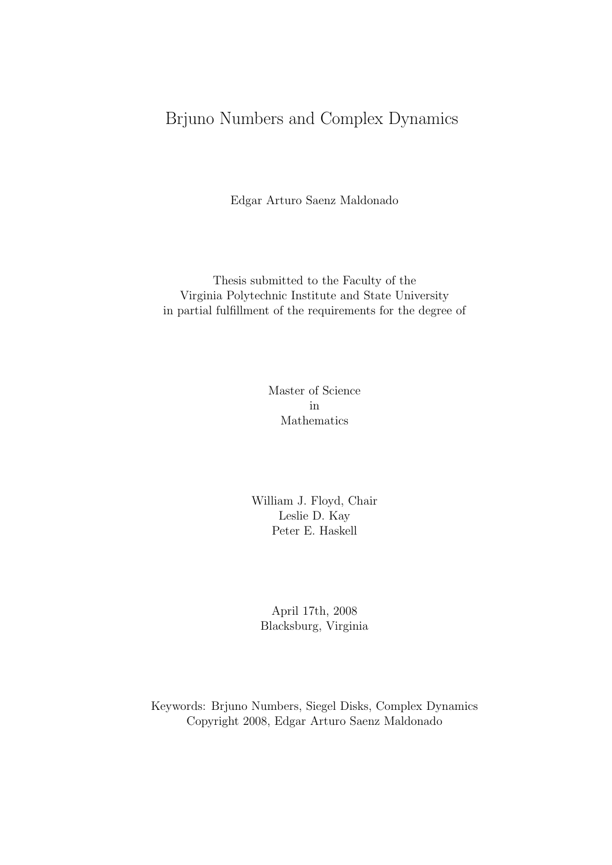### Brjuno Numbers and Complex Dynamics

Edgar Arturo Saenz Maldonado

Thesis submitted to the Faculty of the Virginia Polytechnic Institute and State University in partial fulfillment of the requirements for the degree of

> Master of Science in Mathematics

William J. Floyd, Chair Leslie D. Kay Peter E. Haskell

April 17th, 2008 Blacksburg, Virginia

Keywords: Brjuno Numbers, Siegel Disks, Complex Dynamics Copyright 2008, Edgar Arturo Saenz Maldonado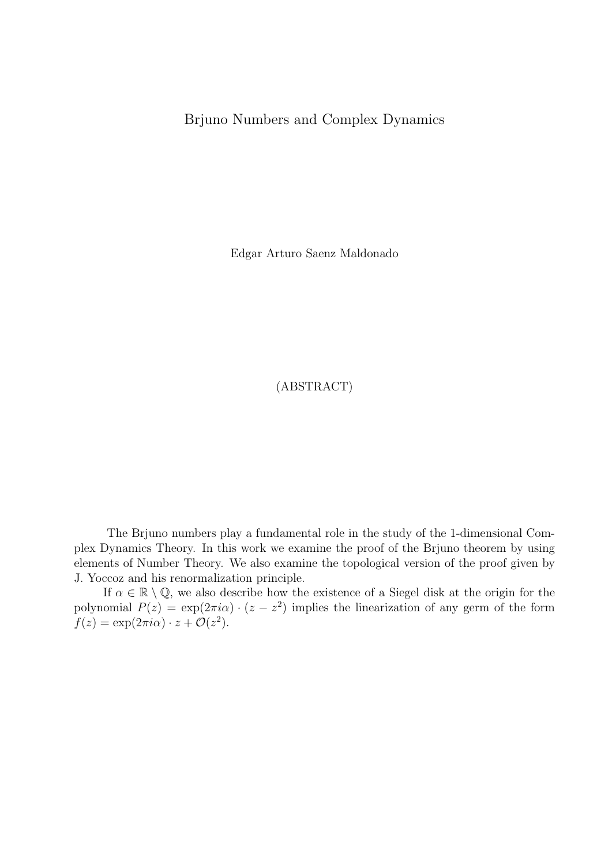#### Brjuno Numbers and Complex Dynamics

Edgar Arturo Saenz Maldonado

(ABSTRACT)

The Brjuno numbers play a fundamental role in the study of the 1-dimensional Complex Dynamics Theory. In this work we examine the proof of the Brjuno theorem by using elements of Number Theory. We also examine the topological version of the proof given by J. Yoccoz and his renormalization principle.

If  $\alpha \in \mathbb{R} \setminus \mathbb{Q}$ , we also describe how the existence of a Siegel disk at the origin for the polynomial  $P(z) = \exp(2\pi i\alpha) \cdot (z - z^2)$  implies the linearization of any germ of the form  $f(z) = \exp(2\pi i \alpha) \cdot z + \mathcal{O}(z^2).$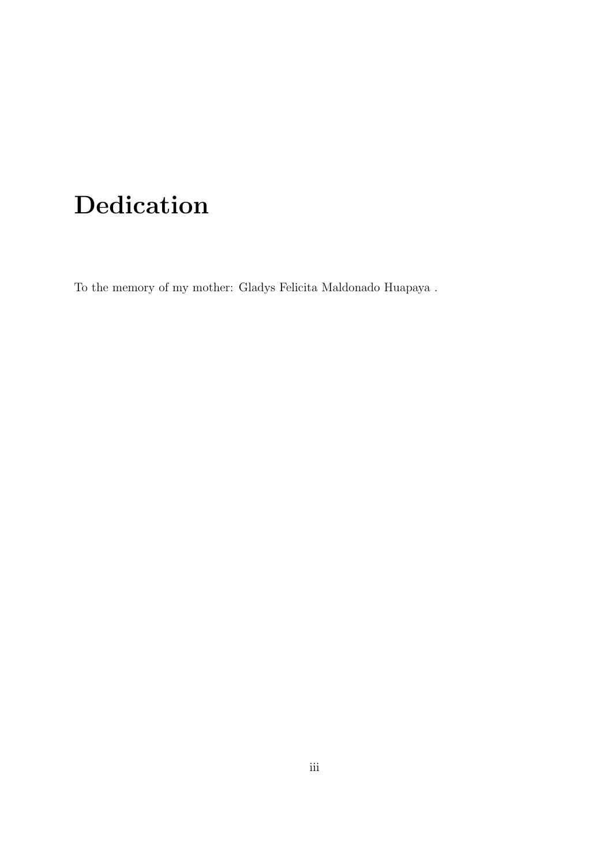# Dedication

To the memory of my mother: Gladys Felicita Maldonado Huapaya .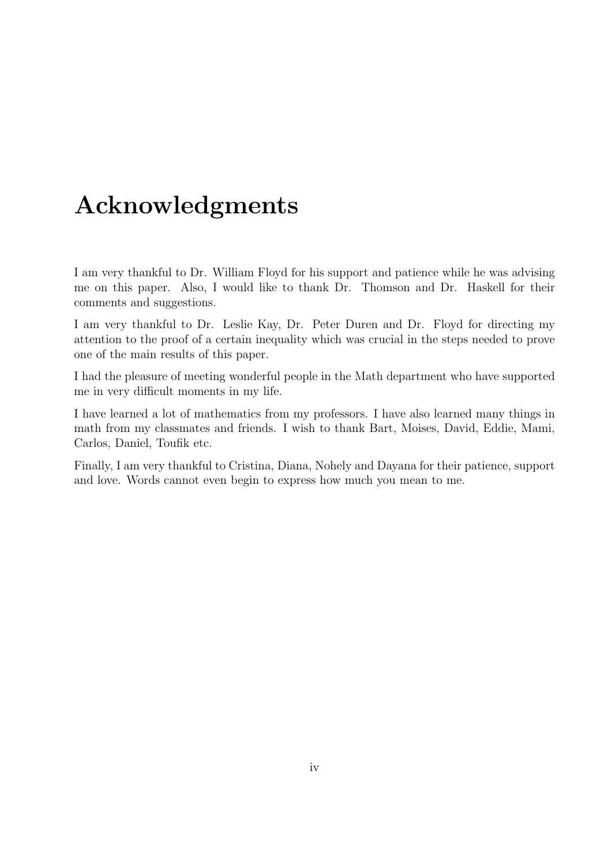# Acknowledgments

I am very thankful to Dr. William Floyd for his support and patience while he was advising me on this paper. Also, I would like to thank Dr. Thomson and Dr. Haskell for their comments and suggestions.

I am very thankful to Dr. Leslie Kay, Dr. Peter Duren and Dr. Floyd for directing my attention to the proof of a certain inequality which was crucial in the steps needed to prove one of the main results of this paper.

I had the pleasure of meeting wonderful people in the Math department who have supported me in very difficult moments in my life.

I have learned a lot of mathematics from my professors. I have also learned many things in math from my classmates and friends. I wish to thank Bart, Moises, David, Eddie, Mami, Carlos, Daniel, Toufik etc.

Finally, I am very thankful to Cristina, Diana, Nohely and Dayana for their patience, support and love. Words cannot even begin to express how much you mean to me.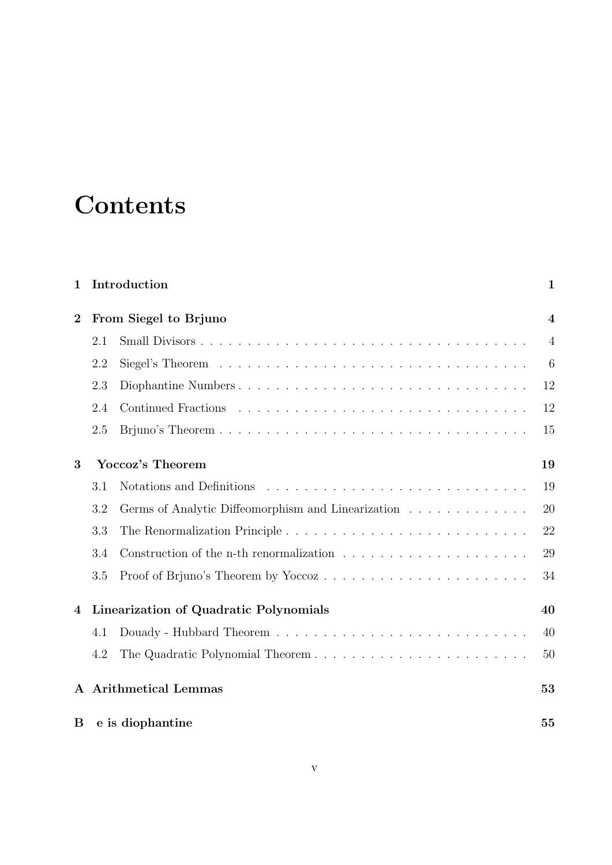# **Contents**

| $\mathbf 1$    |                                        | Introduction                                                                                | $\mathbf{1}$            |
|----------------|----------------------------------------|---------------------------------------------------------------------------------------------|-------------------------|
| $\overline{2}$ | From Siegel to Brjuno                  |                                                                                             | $\overline{\mathbf{4}}$ |
|                | 2.1                                    |                                                                                             | $\overline{4}$          |
|                | 2.2                                    |                                                                                             | 6                       |
|                | 2.3                                    | Diophantine Numbers                                                                         | 12                      |
|                | 2.4                                    |                                                                                             | 12                      |
|                | 2.5                                    |                                                                                             | 15                      |
| 3              | Yoccoz's Theorem                       |                                                                                             | 19                      |
|                | 3.1                                    |                                                                                             | 19                      |
|                | 3.2                                    | Germs of Analytic Diffeomorphism and Linearization                                          | 20                      |
|                | 3.3                                    |                                                                                             | 22                      |
|                | 3.4                                    | Construction of the n-th renormalization $\ldots \ldots \ldots \ldots \ldots \ldots \ldots$ | 29                      |
|                | $3.5\,$                                | Proof of Brjuno's Theorem by Yoccoz                                                         | 34                      |
| $\overline{4}$ | Linearization of Quadratic Polynomials |                                                                                             |                         |
|                | 4.1                                    |                                                                                             | 40                      |
|                | 4.2                                    |                                                                                             | 50                      |
| $\mathbf{A}$   |                                        | <b>Arithmetical Lemmas</b>                                                                  | 53                      |
| B              | e is diophantine                       |                                                                                             | 55                      |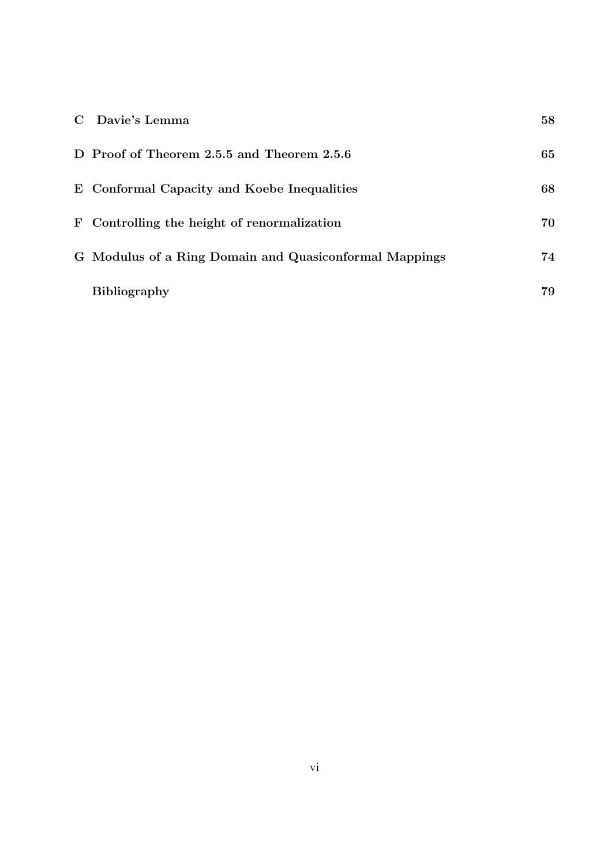| C Davie's Lemma                                        | 58 |
|--------------------------------------------------------|----|
| D Proof of Theorem 2.5.5 and Theorem 2.5.6             | 65 |
| E Conformal Capacity and Koebe Inequalities            | 68 |
| F Controlling the height of renormalization            | 70 |
| G Modulus of a Ring Domain and Quasiconformal Mappings | 74 |
| <b>Bibliography</b>                                    | 79 |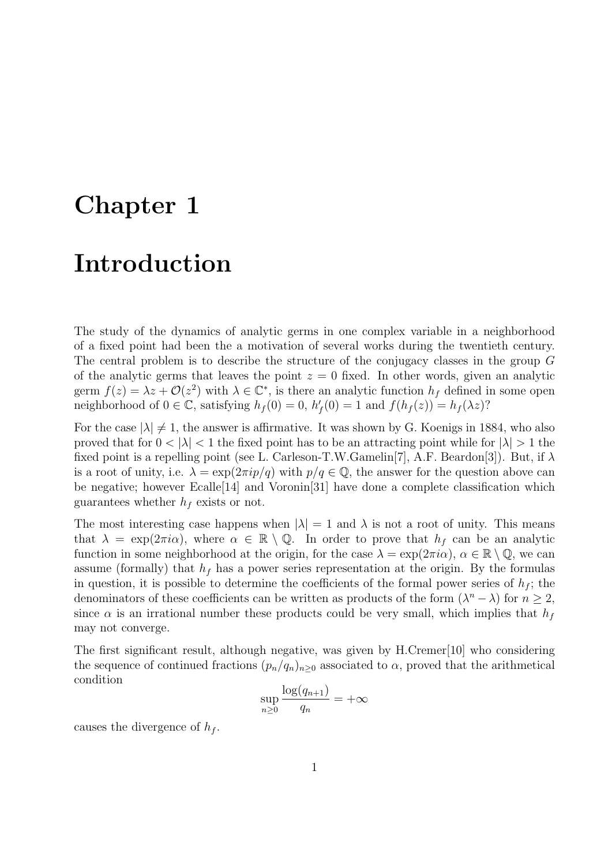# Chapter 1

# Introduction

The study of the dynamics of analytic germs in one complex variable in a neighborhood of a fixed point had been the a motivation of several works during the twentieth century. The central problem is to describe the structure of the conjugacy classes in the group G of the analytic germs that leaves the point  $z = 0$  fixed. In other words, given an analytic germ  $f(z) = \lambda z + \mathcal{O}(z^2)$  with  $\lambda \in \mathbb{C}^*$ , is there an analytic function  $h_f$  defined in some open neighborhood of  $0 \in \mathbb{C}$ , satisfying  $h_f(0) = 0$ ,  $h'_f(0) = 1$  and  $f(h_f(z)) = h_f(\lambda z)$ ?

For the case  $|\lambda| \neq 1$ , the answer is affirmative. It was shown by G. Koenigs in 1884, who also proved that for  $0 < |\lambda| < 1$  the fixed point has to be an attracting point while for  $|\lambda| > 1$  the fixed point is a repelling point (see L. Carleson-T.W.Gamelin[7], A.F. Beardon[3]). But, if  $\lambda$ is a root of unity, i.e.  $\lambda = \exp(2\pi i p/q)$  with  $p/q \in \mathbb{Q}$ , the answer for the question above can be negative; however Ecalle[14] and Voronin[31] have done a complete classification which guarantees whether  $h_f$  exists or not.

The most interesting case happens when  $|\lambda| = 1$  and  $\lambda$  is not a root of unity. This means that  $\lambda = \exp(2\pi i \alpha)$ , where  $\alpha \in \mathbb{R} \setminus \mathbb{Q}$ . In order to prove that  $h_f$  can be an analytic function in some neighborhood at the origin, for the case  $\lambda = \exp(2\pi i \alpha)$ ,  $\alpha \in \mathbb{R} \setminus \mathbb{Q}$ , we can assume (formally) that  $h_f$  has a power series representation at the origin. By the formulas in question, it is possible to determine the coefficients of the formal power series of  $h_f$ ; the denominators of these coefficients can be written as products of the form  $(\lambda^n - \lambda)$  for  $n \geq 2$ , since  $\alpha$  is an irrational number these products could be very small, which implies that  $h_f$ may not converge.

The first significant result, although negative, was given by H.Cremer[10] who considering the sequence of continued fractions  $(p_n/q_n)_{n\geq 0}$  associated to  $\alpha$ , proved that the arithmetical condition

$$
\sup_{n\geq 0} \frac{\log(q_{n+1})}{q_n} = +\infty
$$

causes the divergence of  $h_f$ .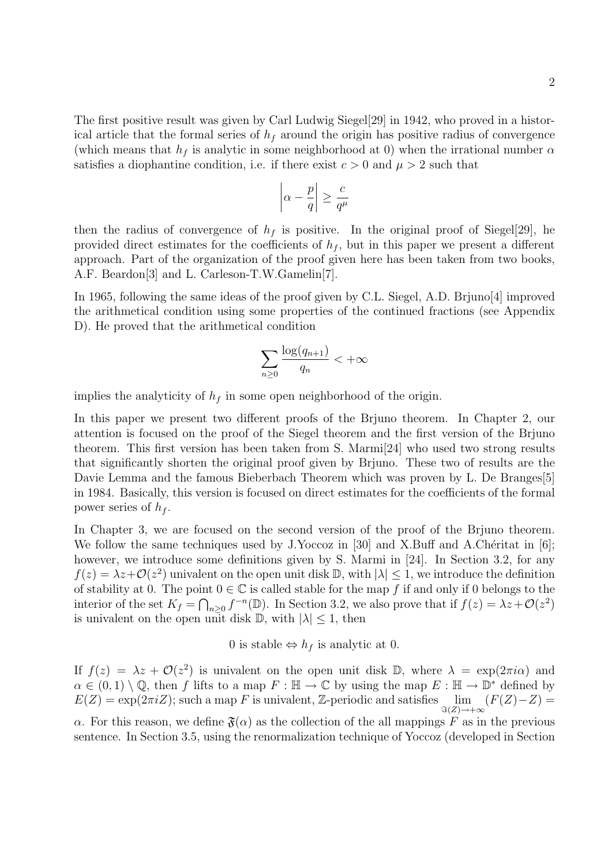The first positive result was given by Carl Ludwig Siegel[29] in 1942, who proved in a historical article that the formal series of  $h_f$  around the origin has positive radius of convergence (which means that  $h_f$  is analytic in some neighborhood at 0) when the irrational number  $\alpha$ satisfies a diophantine condition, i.e. if there exist  $c > 0$  and  $\mu > 2$  such that

$$
\left|\alpha - \frac{p}{q}\right| \ge \frac{c}{q^{\mu}}
$$

then the radius of convergence of  $h_f$  is positive. In the original proof of Siegel[29], he provided direct estimates for the coefficients of  $h_f$ , but in this paper we present a different approach. Part of the organization of the proof given here has been taken from two books, A.F. Beardon[3] and L. Carleson-T.W.Gamelin[7].

In 1965, following the same ideas of the proof given by C.L. Siegel, A.D. Brjuno[4] improved the arithmetical condition using some properties of the continued fractions (see Appendix D). He proved that the arithmetical condition

$$
\sum_{n\geq 0} \frac{\log(q_{n+1})}{q_n} < +\infty
$$

implies the analyticity of  $h_f$  in some open neighborhood of the origin.

In this paper we present two different proofs of the Brjuno theorem. In Chapter 2, our attention is focused on the proof of the Siegel theorem and the first version of the Brjuno theorem. This first version has been taken from S. Marmi[24] who used two strong results that significantly shorten the original proof given by Brjuno. These two of results are the Davie Lemma and the famous Bieberbach Theorem which was proven by L. De Branges[5] in 1984. Basically, this version is focused on direct estimates for the coefficients of the formal power series of  $h_f$ .

In Chapter 3, we are focused on the second version of the proof of the Brjuno theorem. We follow the same techniques used by J.Yoccoz in [30] and X.Buff and A.Chéritat in [6]; however, we introduce some definitions given by S. Marmi in [24]. In Section 3.2, for any  $f(z) = \lambda z + \mathcal{O}(z^2)$  univalent on the open unit disk  $\mathbb{D}$ , with  $|\lambda| \leq 1$ , we introduce the definition of stability at 0. The point  $0 \in \mathbb{C}$  is called stable for the map f if and only if 0 belongs to the interior of the set  $K_f = \bigcap_{n\geq 0} f^{-n}(\mathbb{D})$ . In Section 3.2, we also prove that if  $f(z) = \lambda z + \mathcal{O}(z^2)$ is univalent on the open unit disk  $\mathbb{D}$ , with  $|\lambda| \leq 1$ , then

0 is stable  $\Leftrightarrow$   $h_f$  is analytic at 0.

If  $f(z) = \lambda z + \mathcal{O}(z^2)$  is univalent on the open unit disk D, where  $\lambda = \exp(2\pi i \alpha)$  and  $\alpha \in (0,1) \setminus \mathbb{Q}$ , then f lifts to a map  $F : \mathbb{H} \to \mathbb{C}$  by using the map  $E : \mathbb{H} \to \mathbb{D}^*$  defined by  $E(Z) = \exp(2\pi i Z)$ ; such a map F is univalent, Z-periodic and satisfies  $\lim_{S(Z) \to +\infty} (F(Z) - Z) =$ 

α. For this reason, we define  $\mathfrak{F}(\alpha)$  as the collection of the all mappings F as in the previous sentence. In Section 3.5, using the renormalization technique of Yoccoz (developed in Section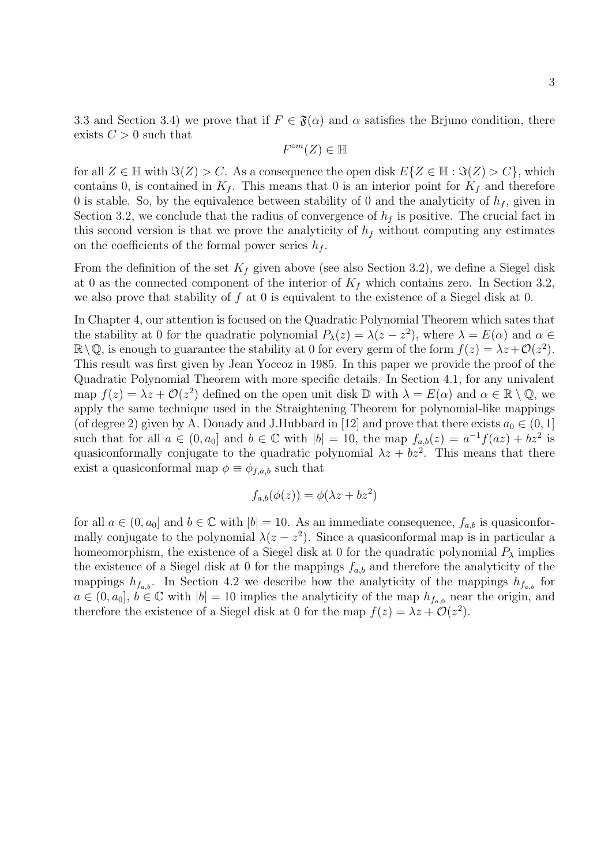3.3 and Section 3.4) we prove that if  $F \in \mathfrak{F}(\alpha)$  and  $\alpha$  satisfies the Brjuno condition, there exists  $C > 0$  such that

$$
F^{\circ m}(Z) \in \mathbb{H}
$$

for all  $Z \in \mathbb{H}$  with  $\Im(Z) > C$ . As a consequence the open disk  $E\{Z \in \mathbb{H} : \Im(Z) > C\}$ , which contains 0, is contained in  $K_f$ . This means that 0 is an interior point for  $K_f$  and therefore 0 is stable. So, by the equivalence between stability of 0 and the analyticity of  $h_f$ , given in Section 3.2, we conclude that the radius of convergence of  $h_f$  is positive. The crucial fact in this second version is that we prove the analyticity of  $h_f$  without computing any estimates on the coefficients of the formal power series  $h_f$ .

From the definition of the set  $K_f$  given above (see also Section 3.2), we define a Siegel disk at 0 as the connected component of the interior of  $K_f$  which contains zero. In Section 3.2, we also prove that stability of  $f$  at  $\overline{0}$  is equivalent to the existence of a Siegel disk at  $\overline{0}$ .

In Chapter 4, our attention is focused on the Quadratic Polynomial Theorem which sates that the stability at 0 for the quadratic polynomial  $P_{\lambda}(z) = \lambda(z - z^2)$ , where  $\lambda = E(\alpha)$  and  $\alpha \in$  $\mathbb{R}\setminus\mathbb{Q}$ , is enough to guarantee the stability at 0 for every germ of the form  $f(z) = \lambda z + \mathcal{O}(z^2)$ . This result was first given by Jean Yoccoz in 1985. In this paper we provide the proof of the Quadratic Polynomial Theorem with more specific details. In Section 4.1, for any univalent map  $f(z) = \lambda z + \mathcal{O}(z^2)$  defined on the open unit disk  $\mathbb{D}$  with  $\lambda = E(\alpha)$  and  $\alpha \in \mathbb{R} \setminus \mathbb{Q}$ , we apply the same technique used in the Straightening Theorem for polynomial-like mappings (of degree 2) given by A. Douady and J.Hubbard in [12] and prove that there exists  $a_0 \in (0, 1]$ such that for all  $a \in (0, a_0]$  and  $b \in \mathbb{C}$  with  $|b| = 10$ , the map  $f_{a,b}(z) = a^{-1}f(az) + bz^2$  is quasiconformally conjugate to the quadratic polynomial  $\lambda z + bz^2$ . This means that there exist a quasiconformal map  $\phi \equiv \phi_{f,a,b}$  such that

$$
f_{a,b}(\phi(z)) = \phi(\lambda z + bz^2)
$$

for all  $a \in (0, a_0]$  and  $b \in \mathbb{C}$  with  $|b| = 10$ . As an immediate consequence,  $f_{a,b}$  is quasiconformally conjugate to the polynomial  $\lambda(z-z^2)$ . Since a quasiconformal map is in particular a homeomorphism, the existence of a Siegel disk at 0 for the quadratic polynomial  $P_{\lambda}$  implies the existence of a Siegel disk at 0 for the mappings  $f_{a,b}$  and therefore the analyticity of the mappings  $h_{f_{a,b}}$ . In Section 4.2 we describe how the analyticity of the mappings  $h_{f_{a,b}}$  for  $a \in (0, a_0], b \in \mathbb{C}$  with  $|b| = 10$  implies the analyticity of the map  $h_{f_{a,0}}$  near the origin, and therefore the existence of a Siegel disk at 0 for the map  $f(z) = \lambda z + \mathcal{O}(z^2)$ .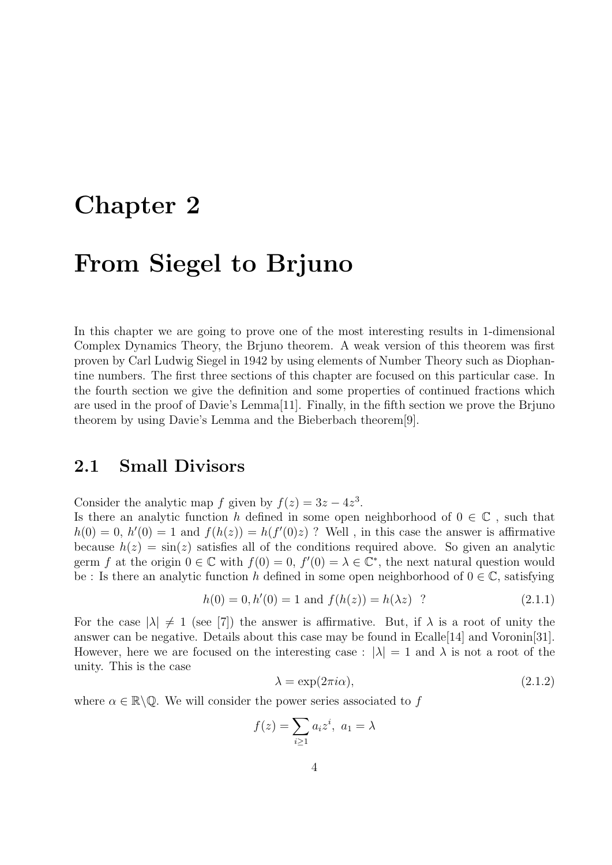# Chapter 2

# From Siegel to Brjuno

In this chapter we are going to prove one of the most interesting results in 1-dimensional Complex Dynamics Theory, the Brjuno theorem. A weak version of this theorem was first proven by Carl Ludwig Siegel in 1942 by using elements of Number Theory such as Diophantine numbers. The first three sections of this chapter are focused on this particular case. In the fourth section we give the definition and some properties of continued fractions which are used in the proof of Davie's Lemma[11]. Finally, in the fifth section we prove the Brjuno theorem by using Davie's Lemma and the Bieberbach theorem[9].

### 2.1 Small Divisors

Consider the analytic map f given by  $f(z) = 3z - 4z^3$ .

Is there an analytic function h defined in some open neighborhood of  $0 \in \mathbb{C}$ , such that  $h(0) = 0$ ,  $h'(0) = 1$  and  $f(h(z)) = h(f'(0)z)$ ? Well, in this case the answer is affirmative because  $h(z) = \sin(z)$  satisfies all of the conditions required above. So given an analytic germ f at the origin  $0 \in \mathbb{C}$  with  $f(0) = 0$ ,  $f'(0) = \lambda \in \mathbb{C}^*$ , the next natural question would be : Is there an analytic function h defined in some open neighborhood of  $0 \in \mathbb{C}$ , satisfying

$$
h(0) = 0, h'(0) = 1 \text{ and } f(h(z)) = h(\lambda z) ?
$$
\n(2.1.1)

For the case  $|\lambda| \neq 1$  (see [7]) the answer is affirmative. But, if  $\lambda$  is a root of unity the answer can be negative. Details about this case may be found in Ecalle[14] and Voronin[31]. However, here we are focused on the interesting case :  $|\lambda| = 1$  and  $\lambda$  is not a root of the unity. This is the case

$$
\lambda = \exp(2\pi i \alpha),\tag{2.1.2}
$$

where  $\alpha \in \mathbb{R} \backslash \mathbb{Q}$ . We will consider the power series associated to f

$$
f(z) = \sum_{i \ge 1} a_i z^i, \ a_1 = \lambda
$$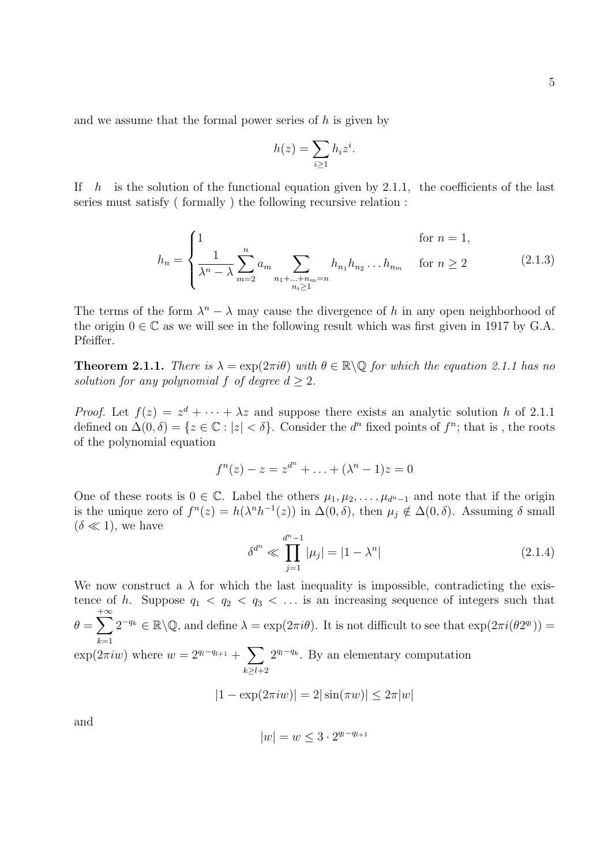and we assume that the formal power series of  $h$  is given by

$$
h(z) = \sum_{i \ge 1} h_i z^i.
$$

If  $h$  is the solution of the functional equation given by 2.1.1, the coefficients of the last series must satisfy ( formally ) the following recursive relation :

$$
h_n = \begin{cases} 1 & \text{for } n = 1, \\ \frac{1}{\lambda^n - \lambda} \sum_{m=2}^n a_m & \sum_{\substack{n_1 + \dots + n_m = n \\ n_i \ge 1}} h_{n_1} h_{n_2} \dots h_{n_m} & \text{for } n \ge 2 \end{cases}
$$
 (2.1.3)

The terms of the form  $\lambda^n - \lambda$  may cause the divergence of h in any open neighborhood of the origin  $0 \in \mathbb{C}$  as we will see in the following result which was first given in 1917 by G.A. Pfeiffer.

**Theorem 2.1.1.** There is  $\lambda = \exp(2\pi i \theta)$  with  $\theta \in \mathbb{R} \backslash \mathbb{Q}$  for which the equation 2.1.1 has no solution for any polynomial f of degree  $d \geq 2$ .

*Proof.* Let  $f(z) = z^d + \cdots + \lambda z$  and suppose there exists an analytic solution h of 2.1.1 defined on  $\Delta(0,\delta) = \{z \in \mathbb{C} : |z| < \delta\}$ . Consider the  $d^n$  fixed points of  $f^n$ ; that is, the roots of the polynomial equation

$$
f^{n}(z) - z = z^{d^{n}} + \ldots + (\lambda^{n} - 1)z = 0
$$

One of these roots is  $0 \in \mathbb{C}$ . Label the others  $\mu_1, \mu_2, \ldots, \mu_{d^{n-1}}$  and note that if the origin is the unique zero of  $f^{n}(z) = h(\lambda^{n}h^{-1}(z))$  in  $\Delta(0,\delta)$ , then  $\mu_{j} \notin \Delta(0,\delta)$ . Assuming  $\delta$  small  $(\delta \ll 1)$ , we have

$$
\delta^{d^n} \ll \prod_{j=1}^{d^{n}-1} |\mu_j| = |1 - \lambda^n| \tag{2.1.4}
$$

We now construct a  $\lambda$  for which the last inequality is impossible, contradicting the existence of h. Suppose  $q_1 < q_2 < q_3 < \ldots$  is an increasing sequence of integers such that  $\theta = \sum$  $+\infty$  $k=1$  $2^{-q_k} \in \mathbb{R} \backslash \mathbb{Q}$ , and define  $\lambda = \exp(2\pi i \theta)$ . It is not difficult to see that  $\exp(2\pi i (\theta 2^{q_l}))$  $\exp(2\pi i w)$  where  $w = 2^{q_l-q_{l+1}} + \sum$  $k \geq l+2$  $2^{q_l-q_k}$ . By an elementary computation  $|1 - \exp(2\pi i w)| = 2|\sin(\pi w)| \leq 2\pi |w|$ 

and

$$
|w| = w \le 3 \cdot 2^{q_l - q_{l+1}}
$$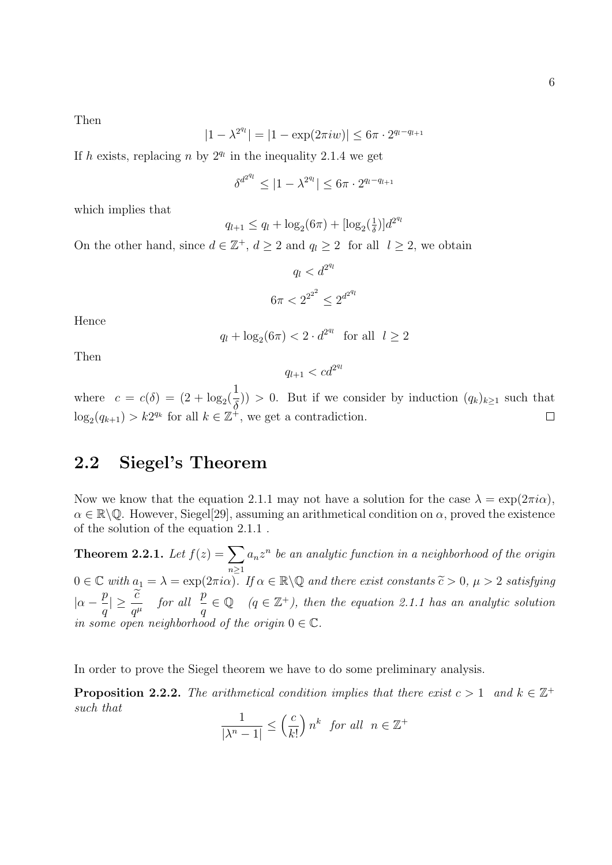Then

$$
|1 - \lambda^{2^{q_l}}| = |1 - \exp(2\pi i w)| \le 6\pi \cdot 2^{q_l - q_{l+1}}
$$

If h exists, replacing n by  $2^{q_l}$  in the inequality 2.1.4 we get

$$
\delta^{d^{2^{q_l}}} \leq |1 - \lambda^{2^{q_l}}| \leq 6\pi \cdot 2^{q_l - q_{l+1}}
$$

which implies that

$$
q_{l+1} \le q_l + \log_2(6\pi) + [\log_2(\frac{1}{\delta})]d^{2^{q_l}}
$$

On the other hand, since  $d \in \mathbb{Z}^+$ ,  $d \geq 2$  and  $q_l \geq 2$  for all  $l \geq 2$ , we obtain

$$
q_l < d^{2^{q_l}} \\
6\pi < 2^{2^{2^2}} \le 2^{d^{2^{q_l}}}
$$

Hence

$$
q_l + \log_2(6\pi) < 2 \cdot d^{2^{q_l}} \quad \text{for all} \quad l \ge 2
$$

Then

$$
q_{l+1} < cd^{2^{q_l}}
$$

1 where  $c = c(\delta) = (2 + \log_2(\delta))$  $(\frac{1}{\delta})$  > 0. But if we consider by induction  $(q_k)_{k\geq 1}$  such that  $\log_2(q_{k+1}) > k2^{q_k}$  for all  $k \in \mathbb{Z}^+$ , we get a contradiction.  $\Box$ 

### 2.2 Siegel's Theorem

Now we know that the equation 2.1.1 may not have a solution for the case  $\lambda = \exp(2\pi i \alpha)$ ,  $\alpha \in \mathbb{R}\backslash\mathbb{Q}$ . However, Siegel[29], assuming an arithmetical condition on  $\alpha$ , proved the existence of the solution of the equation 2.1.1 .

Theorem 2.2.1. Let  $f(z) = \sum$  $n \geq 1$  $a_n z^n$  be an analytic function in a neighborhood of the origin  $0 \in \mathbb{C}$  with  $a_1 = \lambda = \exp(2\pi i \alpha)$ . If  $\alpha \in \mathbb{R} \backslash \mathbb{Q}$  and there exist constants  $\widetilde{c} > 0$ ,  $\mu > 2$  satisfying  $|\alpha - \frac{p}{q}$  $\frac{p}{q}|\geq \frac{\widetilde{c}}{q^\mu} \quad \textit{for all} \ \ \frac{p}{q}$ q  $\in \mathbb{Q}$  (q  $\in \mathbb{Z}^+$ ), then the equation 2.1.1 has an analytic solution in some open neighborhood of the origin  $0 \in \mathbb{C}$ .

In order to prove the Siegel theorem we have to do some preliminary analysis.

**Proposition 2.2.2.** The arithmetical condition implies that there exist  $c > 1$  and  $k \in \mathbb{Z}^+$ such that

$$
\frac{1}{|\lambda^n - 1|} \le \left(\frac{c}{k!}\right) n^k \text{ for all } n \in \mathbb{Z}^+
$$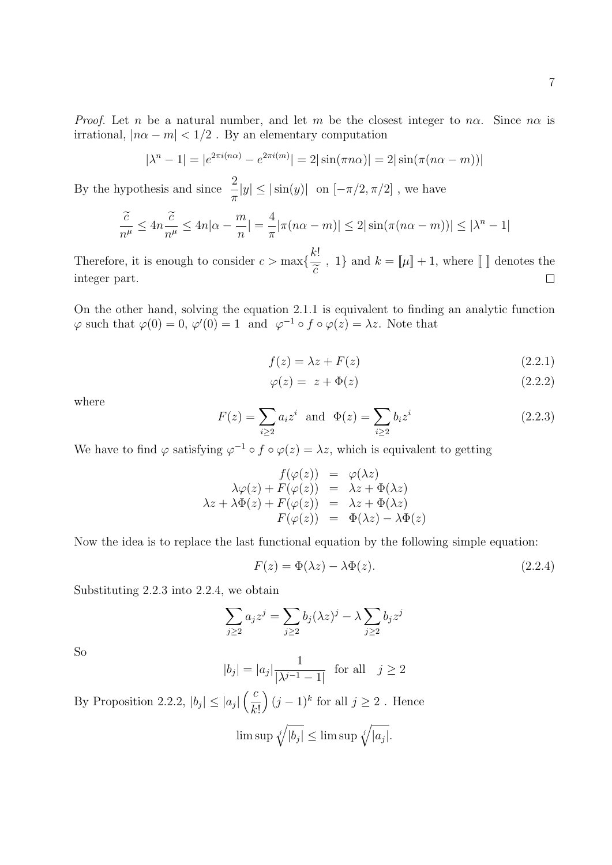*Proof.* Let n be a natural number, and let m be the closest integer to n $\alpha$ . Since n $\alpha$  is irrational,  $|n\alpha - m| < 1/2$ . By an elementary computation

$$
|\lambda^{n} - 1| = |e^{2\pi i (n\alpha)} - e^{2\pi i (m)}| = 2|\sin(\pi n\alpha)| = 2|\sin(\pi(n\alpha - m))|
$$

By the hypothesis and since  $\frac{2}{3}$  $\pi$  $|y| \leq |\sin(y)|$  on  $[-\pi/2, \pi/2]$ , we have

$$
\frac{\tilde{c}}{n^{\mu}} \le 4n\frac{\tilde{c}}{n^{\mu}} \le 4n|\alpha - \frac{m}{n}| = \frac{4}{\pi}|\pi(n\alpha - m)| \le 2|\sin(\pi(n\alpha - m))| \le |\lambda^{n} - 1|
$$

Therefore, it is enough to consider  $c > \max\{\frac{k!}{\leq}\}$ , 1} and  $k = \llbracket \mu \rrbracket + 1$ , where  $\llbracket \ \rrbracket$  denotes the  $\widetilde{c}$  $\Box$ integer part.

On the other hand, solving the equation 2.1.1 is equivalent to finding an analytic function  $\varphi$  such that  $\varphi(0) = 0$ ,  $\varphi'(0) = 1$  and  $\varphi^{-1} \circ f \circ \varphi(z) = \lambda z$ . Note that

$$
f(z) = \lambda z + F(z) \tag{2.2.1}
$$

$$
\varphi(z) = z + \Phi(z) \tag{2.2.2}
$$

where

$$
F(z) = \sum_{i \ge 2} a_i z^i \text{ and } \Phi(z) = \sum_{i \ge 2} b_i z^i
$$
 (2.2.3)

We have to find  $\varphi$  satisfying  $\varphi^{-1} \circ f \circ \varphi(z) = \lambda z$ , which is equivalent to getting

$$
f(\varphi(z)) = \varphi(\lambda z)
$$
  
\n
$$
\lambda \varphi(z) + F(\varphi(z)) = \lambda z + \Phi(\lambda z)
$$
  
\n
$$
\lambda z + \lambda \Phi(z) + F(\varphi(z)) = \lambda z + \Phi(\lambda z)
$$
  
\n
$$
F(\varphi(z)) = \Phi(\lambda z) - \lambda \Phi(z)
$$

Now the idea is to replace the last functional equation by the following simple equation:

$$
F(z) = \Phi(\lambda z) - \lambda \Phi(z). \tag{2.2.4}
$$

Substituting 2.2.3 into 2.2.4, we obtain

$$
\sum_{j\geq 2}a_jz^j=\sum_{j\geq 2}b_j(\lambda z)^j-\lambda \sum_{j\geq 2}b_jz^j
$$

So

$$
|b_j| = |a_j| \frac{1}{|\lambda^{j-1} - 1|}
$$
 for all  $j \ge 2$ 

By Proposition 2.2.2,  $|b_j| \le |a_j| \left(\frac{c}{L}\right)$  $k!$  $(j-1)^k$  for all  $j \geq 2$ . Hence  $\limsup \sqrt[i]{|b_j|} \leq \limsup \sqrt[i]{|a_j|}.$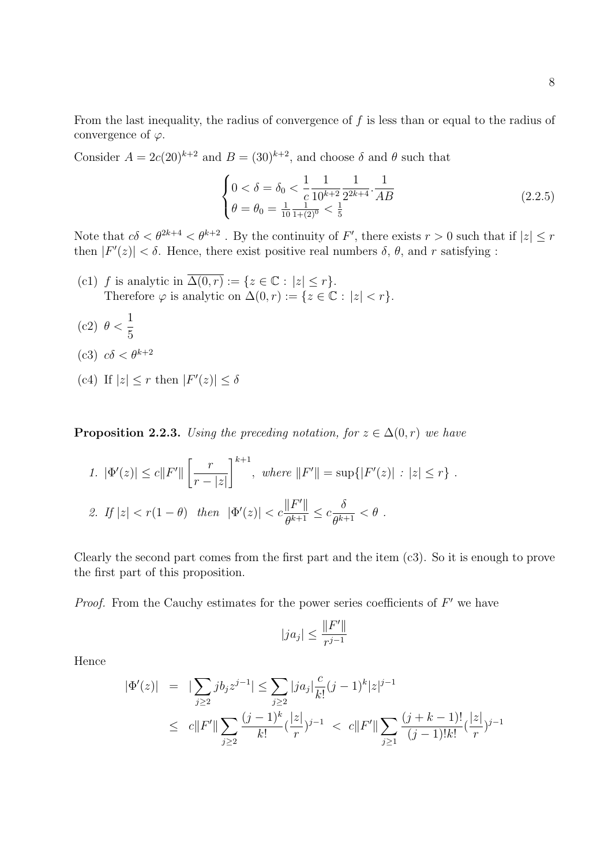From the last inequality, the radius of convergence of  $f$  is less than or equal to the radius of convergence of  $\varphi$ .

Consider  $A = 2c(20)^{k+2}$  and  $B = (30)^{k+2}$ , and choose  $\delta$  and  $\theta$  such that

$$
\begin{cases} 0 < \delta = \delta_0 < \frac{1}{c} \frac{1}{10^{k+2}} \frac{1}{2^{2k+4}} \cdot \frac{1}{AB} \\ \theta = \theta_0 = \frac{1}{10} \frac{1}{1+(2)^0} < \frac{1}{5} \end{cases} \tag{2.2.5}
$$

Note that  $c\delta < \theta^{2k+4} < \theta^{k+2}$ . By the continuity of F', there exists  $r > 0$  such that if  $|z| \leq r$ then  $|F'(z)| < \delta$ . Hence, there exist positive real numbers  $\delta$ ,  $\theta$ , and r satisfying :

- (c1) f is analytic in  $\overline{\Delta(0,r)} := \{z \in \mathbb{C} : |z| \leq r\}.$ Therefore  $\varphi$  is analytic on  $\Delta(0, r) := \{z \in \mathbb{C} : |z| < r\}.$
- (c2)  $\theta < \frac{1}{5}$ 5
- (c3)  $c\delta < \theta^{k+2}$
- (c4) If  $|z| \leq r$  then  $|F'(z)| \leq \delta$

**Proposition 2.2.3.** Using the preceding notation, for  $z \in \Delta(0,r)$  we have

1. 
$$
|\Phi'(z)| \le c||F'|| \left[\frac{r}{r-|z|}\right]^{k+1}
$$
, where  $||F'|| = \sup\{|F'(z)| : |z| \le r\}$ .  
\n2. If  $|z| < r(1-\theta)$  then  $|\Phi'(z)| < c\frac{||F'||}{\theta^{k+1}} \le c\frac{\delta}{\theta^{k+1}} < \theta$ .

Clearly the second part comes from the first part and the item (c3). So it is enough to prove the first part of this proposition.

*Proof.* From the Cauchy estimates for the power series coefficients of  $F'$  we have

$$
|ja_j|\leq \frac{\|F'\|}{r^{j-1}}
$$

Hence

$$
|\Phi'(z)| = |\sum_{j\geq 2} jb_j z^{j-1}| \leq \sum_{j\geq 2} |ja_j| \frac{c}{k!} (j-1)^k |z|^{j-1}
$$
  

$$
\leq c||F'|| \sum_{j\geq 2} \frac{(j-1)^k}{k!} (\frac{|z|}{r})^{j-1} < c||F'|| \sum_{j\geq 1} \frac{(j+k-1)!}{(j-1)!k!} (\frac{|z|}{r})^{j-1}
$$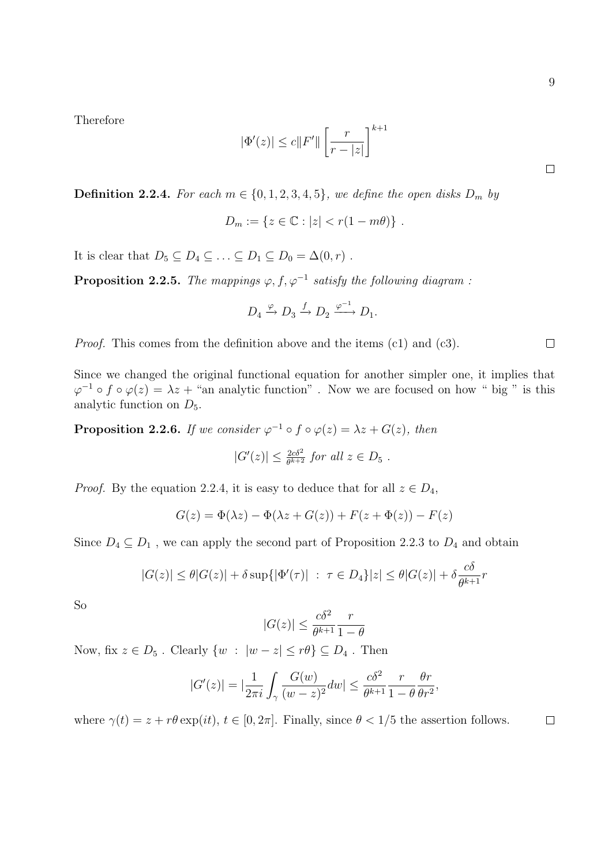Therefore

$$
|\Phi'(z)|\leq c\|F'\|\left[\frac{r}{r-|z|}\right]^{k+1}
$$

**Definition 2.2.4.** For each  $m \in \{0, 1, 2, 3, 4, 5\}$ , we define the open disks  $D_m$  by

$$
D_m := \{ z \in \mathbb{C} : |z| < r(1 - m\theta) \} \, .
$$

It is clear that  $D_5 \subseteq D_4 \subseteq \ldots \subseteq D_1 \subseteq D_0 = \Delta(0,r)$ .

**Proposition 2.2.5.** The mappings  $\varphi, f, \varphi^{-1}$  satisfy the following diagram :

$$
D_4 \xrightarrow{\varphi} D_3 \xrightarrow{f} D_2 \xrightarrow{\varphi^{-1}} D_1.
$$

Proof. This comes from the definition above and the items (c1) and (c3).

Since we changed the original functional equation for another simpler one, it implies that  $\varphi^{-1} \circ f \circ \varphi(z) = \lambda z +$  "an analytic function". Now we are focused on how " big " is this analytic function on  $D_5$ .

**Proposition 2.2.6.** If we consider  $\varphi^{-1} \circ f \circ \varphi(z) = \lambda z + G(z)$ , then

$$
|G'(z)| \leq \frac{2c\delta^2}{\theta^{k+2}} \text{ for all } z \in D_5 .
$$

*Proof.* By the equation 2.2.4, it is easy to deduce that for all  $z \in D_4$ ,

$$
G(z) = \Phi(\lambda z) - \Phi(\lambda z + G(z)) + F(z + \Phi(z)) - F(z)
$$

Since  $D_4 \subseteq D_1$ , we can apply the second part of Proposition 2.2.3 to  $D_4$  and obtain

$$
|G(z)| \leq \theta |G(z)| + \delta \sup\{|\Phi'(\tau)| \ : \ \tau \in D_4\}|z| \leq \theta |G(z)| + \delta \frac{c\delta}{\theta^{k+1}}r
$$

So

$$
|G(z)| \le \frac{c\delta^2}{\theta^{k+1}} \frac{r}{1-\theta}
$$

Now, fix  $z \in D_5$ . Clearly  $\{w : |w - z| \le r\theta\} \subseteq D_4$ . Then

$$
|G'(z)| = |\frac{1}{2\pi i} \int_{\gamma} \frac{G(w)}{(w-z)^2} dw| \le \frac{c\delta^2}{\theta^{k+1}} \frac{r}{1-\theta} \frac{\theta r}{\theta r^2},
$$

where  $\gamma(t) = z + r\theta \exp(it)$ ,  $t \in [0, 2\pi]$ . Finally, since  $\theta < 1/5$  the assertion follows.

 $\Box$ 

 $\Box$ 

 $\Box$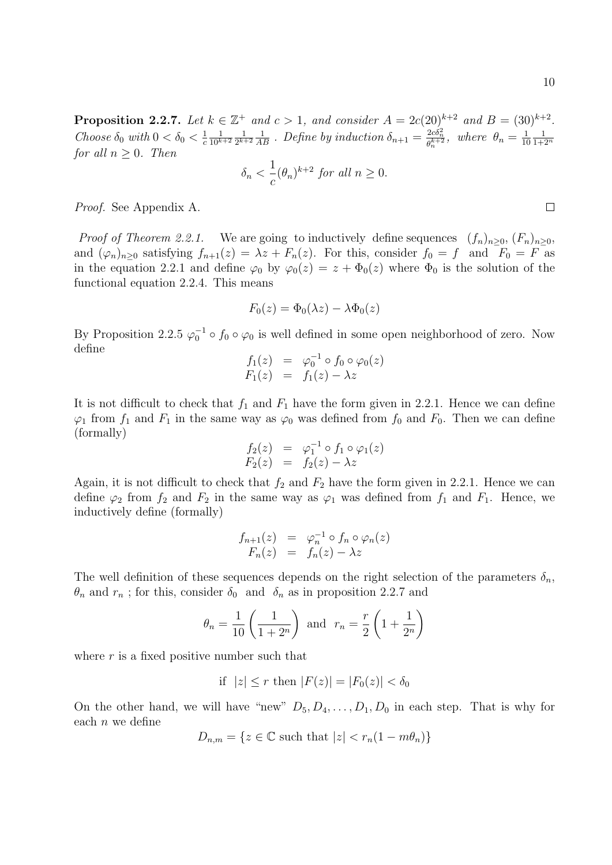$\Box$ 

**Proposition 2.2.7.** Let  $k \in \mathbb{Z}^+$  and  $c > 1$ , and consider  $A = 2c(20)^{k+2}$  and  $B = (30)^{k+2}$ . Choose  $\delta_0$  with  $0 < \delta_0 < \frac{1}{c}$ c 1  $\overline{10^{k+2}}$ 1  $\frac{1}{2^{k+2}}\frac{1}{AB}$ . Define by induction  $\delta_{n+1} = \frac{2c\delta_n^2}{\theta_n^{k+2}}$ , where  $\theta_n = \frac{1}{10}$ 10 1  $\overline{1+2^n}$ for all  $n > 0$ . Then

$$
\delta_n < \frac{1}{c} (\theta_n)^{k+2} \text{ for all } n \ge 0.
$$

Proof. See Appendix A.

*Proof of Theorem 2.2.1.* We are going to inductively define sequences  $(f_n)_{n>0}$ ,  $(F_n)_{n>0}$ , and  $(\varphi_n)_{n\geq 0}$  satisfying  $f_{n+1}(z) = \lambda z + F_n(z)$ . For this, consider  $f_0 = f$  and  $F_0 = F$  as in the equation 2.2.1 and define  $\varphi_0$  by  $\varphi_0(z) = z + \Phi_0(z)$  where  $\Phi_0$  is the solution of the functional equation 2.2.4. This means

$$
F_0(z) = \Phi_0(\lambda z) - \lambda \Phi_0(z)
$$

By Proposition 2.2.5  $\varphi_0^{-1} \circ f_0 \circ \varphi_0$  is well defined in some open neighborhood of zero. Now define

$$
f_1(z) = \varphi_0^{-1} \circ f_0 \circ \varphi_0(z)
$$
  

$$
F_1(z) = f_1(z) - \lambda z
$$

It is not difficult to check that  $f_1$  and  $F_1$  have the form given in 2.2.1. Hence we can define  $\varphi_1$  from  $f_1$  and  $F_1$  in the same way as  $\varphi_0$  was defined from  $f_0$  and  $F_0$ . Then we can define (formally)

$$
f_2(z) = \varphi_1^{-1} \circ f_1 \circ \varphi_1(z)
$$
  

$$
F_2(z) = f_2(z) - \lambda z
$$

Again, it is not difficult to check that  $f_2$  and  $F_2$  have the form given in 2.2.1. Hence we can define  $\varphi_2$  from  $f_2$  and  $F_2$  in the same way as  $\varphi_1$  was defined from  $f_1$  and  $F_1$ . Hence, we inductively define (formally)

$$
f_{n+1}(z) = \varphi_n^{-1} \circ f_n \circ \varphi_n(z)
$$
  

$$
F_n(z) = f_n(z) - \lambda z
$$

The well definition of these sequences depends on the right selection of the parameters  $\delta_n$ ,  $\theta_n$  and  $r_n$ ; for this, consider  $\delta_0$  and  $\delta_n$  as in proposition 2.2.7 and

$$
\theta_n = \frac{1}{10} \left( \frac{1}{1+2^n} \right)
$$
 and  $r_n = \frac{r}{2} \left( 1 + \frac{1}{2^n} \right)$ 

where  $r$  is a fixed positive number such that

if 
$$
|z| \leq r
$$
 then  $|F(z)| = |F_0(z)| < \delta_0$ 

On the other hand, we will have "new"  $D_5, D_4, \ldots, D_1, D_0$  in each step. That is why for each  $n$  we define

$$
D_{n,m} = \{ z \in \mathbb{C} \text{ such that } |z| < r_n(1 - m\theta_n) \}
$$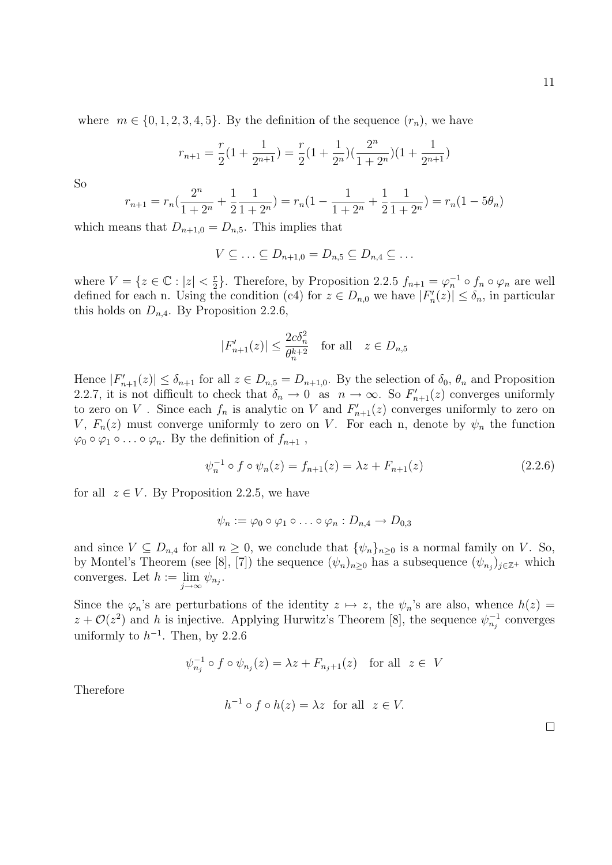where  $m \in \{0, 1, 2, 3, 4, 5\}$ . By the definition of the sequence  $(r_n)$ , we have

$$
r_{n+1} = \frac{r}{2}(1 + \frac{1}{2^{n+1}}) = \frac{r}{2}(1 + \frac{1}{2^n})(\frac{2^n}{1+2^n})(1 + \frac{1}{2^{n+1}})
$$

So

$$
r_{n+1} = r_n \left(\frac{2^n}{1+2^n} + \frac{1}{2} \frac{1}{1+2^n}\right) = r_n \left(1 - \frac{1}{1+2^n} + \frac{1}{2} \frac{1}{1+2^n}\right) = r_n \left(1 - 5\theta_n\right)
$$

which means that  $D_{n+1,0} = D_{n,5}$ . This implies that

$$
V \subseteq \ldots \subseteq D_{n+1,0} = D_{n,5} \subseteq D_{n,4} \subseteq \ldots
$$

where  $V = \{z \in \mathbb{C} : |z| < \frac{r}{2}\}$  $\frac{r}{2}$ . Therefore, by Proposition 2.2.5  $f_{n+1} = \varphi_n^{-1} \circ f_n \circ \varphi_n$  are well defined for each n. Using the condition (c4) for  $z \in D_{n,0}$  we have  $|F'_n(z)| \leq \delta_n$ , in particular this holds on  $D_{n,4}$ . By Proposition 2.2.6,

$$
|F'_{n+1}(z)| \le \frac{2c\delta_n^2}{\theta_n^{k+2}} \quad \text{for all} \quad z \in D_{n,5}
$$

Hence  $|F'_{n+1}(z)| \leq \delta_{n+1}$  for all  $z \in D_{n,5} = D_{n+1,0}$ . By the selection of  $\delta_0$ ,  $\theta_n$  and Proposition 2.2.7, it is not difficult to check that  $\delta_n \to 0$  as  $n \to \infty$ . So  $F'_{n+1}(z)$  converges uniformly to zero on V. Since each  $f_n$  is analytic on V and  $F'_{n+1}(z)$  converges uniformly to zero on V,  $F_n(z)$  must converge uniformly to zero on V. For each n, denote by  $\psi_n$  the function  $\varphi_0 \circ \varphi_1 \circ \ldots \circ \varphi_n$ . By the definition of  $f_{n+1}$ ,

$$
\psi_n^{-1} \circ f \circ \psi_n(z) = f_{n+1}(z) = \lambda z + F_{n+1}(z) \tag{2.2.6}
$$

for all  $z \in V$ . By Proposition 2.2.5, we have

$$
\psi_n := \varphi_0 \circ \varphi_1 \circ \ldots \circ \varphi_n : D_{n,4} \to D_{0,3}
$$

and since  $V \subseteq D_{n,4}$  for all  $n \geq 0$ , we conclude that  $\{\psi_n\}_{n \geq 0}$  is a normal family on V. So, by Montel's Theorem (see [8], [7]) the sequence  $(\psi_n)_{n\geq 0}$  has a subsequence  $(\psi_{n_j})_{j\in\mathbb{Z}^+}$  which converges. Let  $h := \lim_{j \to \infty} \psi_{n_j}$ .

Since the  $\varphi_n$ 's are perturbations of the identity  $z \mapsto z$ , the  $\psi_n$ 's are also, whence  $h(z) =$  $z + \mathcal{O}(z^2)$  and h is injective. Applying Hurwitz's Theorem [8], the sequence  $\psi_{n_j}^{-1}$  converges uniformly to  $h^{-1}$ . Then, by 2.2.6

$$
\psi_{n_j}^{-1} \circ f \circ \psi_{n_j}(z) = \lambda z + F_{n_j+1}(z) \quad \text{for all} \ \ z \in V
$$

Therefore

$$
h^{-1} \circ f \circ h(z) = \lambda z \text{ for all } z \in V.
$$

 $\Box$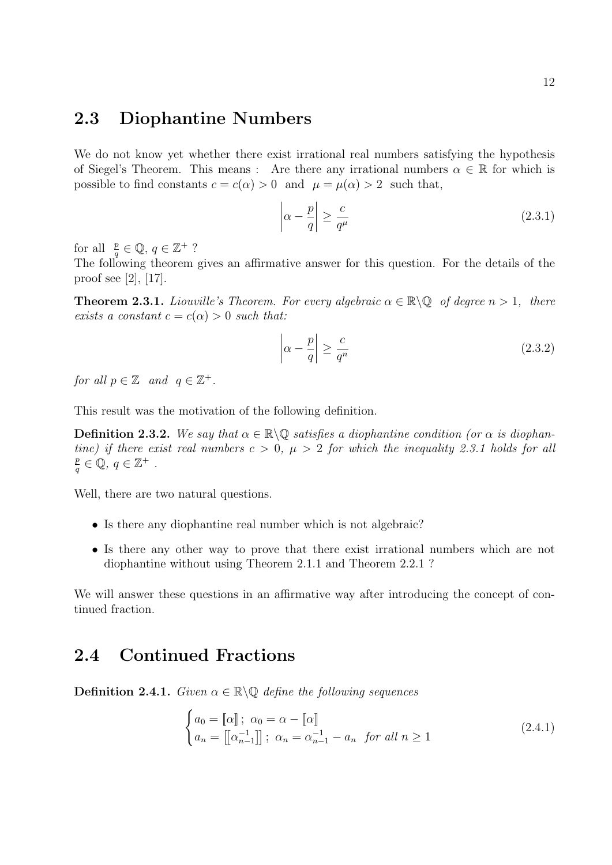### 2.3 Diophantine Numbers

We do not know yet whether there exist irrational real numbers satisfying the hypothesis of Siegel's Theorem. This means : Are there any irrational numbers  $\alpha \in \mathbb{R}$  for which is possible to find constants  $c = c(\alpha) > 0$  and  $\mu = \mu(\alpha) > 2$  such that,

$$
\left|\alpha - \frac{p}{q}\right| \ge \frac{c}{q^{\mu}}\tag{2.3.1}
$$

for all  $\frac{p}{q} \in \mathbb{Q}, q \in \mathbb{Z}^+$  ?

The following theorem gives an affirmative answer for this question. For the details of the proof see [2], [17].

**Theorem 2.3.1.** Liouville's Theorem. For every algebraic  $\alpha \in \mathbb{R} \setminus \mathbb{Q}$  of degree  $n > 1$ , there exists a constant  $c = c(\alpha) > 0$  such that:

$$
\left|\alpha - \frac{p}{q}\right| \ge \frac{c}{q^n} \tag{2.3.2}
$$

for all  $p \in \mathbb{Z}$  and  $q \in \mathbb{Z}^+$ .

This result was the motivation of the following definition.

**Definition 2.3.2.** We say that  $\alpha \in \mathbb{R} \backslash \mathbb{Q}$  satisfies a diophantine condition (or  $\alpha$  is diophantine) if there exist real numbers  $c > 0$ ,  $\mu > 2$  for which the inequality 2.3.1 holds for all p  $\frac{p}{q} \in \mathbb{Q}, q \in \mathbb{Z}^+$ .

Well, there are two natural questions.

- Is there any diophantine real number which is not algebraic?
- Is there any other way to prove that there exist irrational numbers which are not diophantine without using Theorem 2.1.1 and Theorem 2.2.1 ?

We will answer these questions in an affirmative way after introducing the concept of continued fraction.

### 2.4 Continued Fractions

**Definition 2.4.1.** Given  $\alpha \in \mathbb{R} \backslash \mathbb{Q}$  define the following sequences

$$
\begin{cases}\na_0 = \llbracket \alpha \rrbracket; \ \alpha_0 = \alpha - \llbracket \alpha \rrbracket \\
a_n = \llbracket \alpha_{n-1}^{-1} \rrbracket; \ \alpha_n = \alpha_{n-1}^{-1} - a_n \ \text{ for all } n \ge 1\n\end{cases} \tag{2.4.1}
$$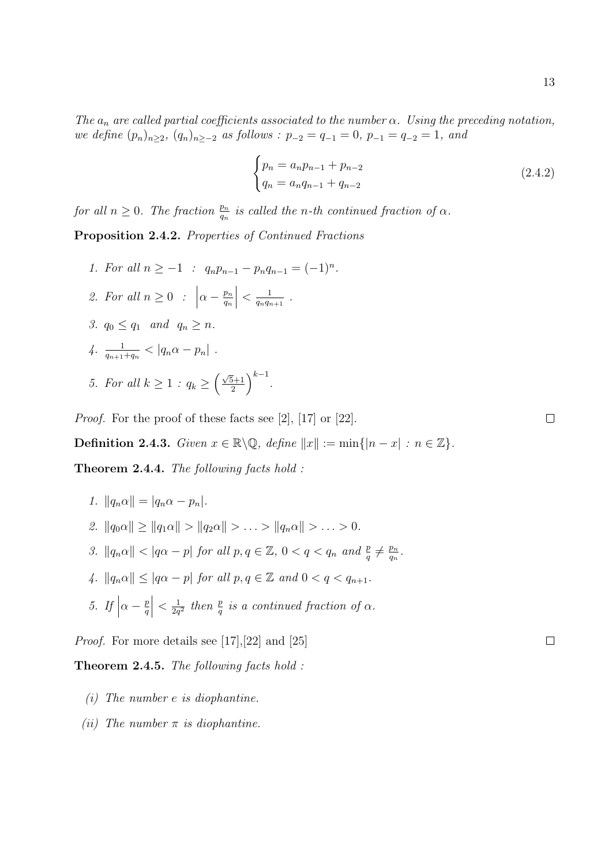The  $a_n$  are called partial coefficients associated to the number  $\alpha$ . Using the preceding notation, we define  $(p_n)_{n\geq 2}$ ,  $(q_n)_{n\geq -2}$  as follows :  $p_{-2} = q_{-1} = 0$ ,  $p_{-1} = q_{-2} = 1$ , and

$$
\begin{cases} p_n = a_n p_{n-1} + p_{n-2} \\ q_n = a_n q_{n-1} + q_{n-2} \end{cases}
$$
 (2.4.2)

 $\frac{p_n}{q_n}$  .

for all  $n \geq 0$ . The fraction  $\frac{p_n}{q_n}$  is called the n-th continued fraction of  $\alpha$ .

Proposition 2.4.2. Properties of Continued Fractions

1. For all  $n \geq -1$  :  $q_n p_{n-1} - p_n q_{n-1} = (-1)^n$ . 2. For all  $n \geq 0$  :  $\alpha - \frac{p_n}{q}$ qn  $\begin{array}{c} \begin{array}{c} \begin{array}{c} \end{array}\\ \begin{array}{c} \end{array} \end{array} \end{array}$  $\lt \frac{1}{a}$  $\frac{1}{q_nq_{n+1}}$  . 3.  $q_0 \leq q_1$  and  $q_n \geq n$ . 4.  $\frac{1}{q_{n+1}+q_n} < |q_n\alpha - p_n|$ . 5. For all  $k \geq 1$  :  $q_k \geq \left(\frac{\sqrt{5}+1}{2}\right)$  $(\frac{1}{2})^{k-1}$ .

Proof. For the proof of these facts see [2], [17] or [22].

Definition 2.4.3. Given  $x \in \mathbb{R} \backslash \mathbb{Q}$ , define  $||x|| := \min\{|n - x| : n \in \mathbb{Z}\}.$ 

Theorem 2.4.4. The following facts hold :

- 1.  $||q_n \alpha|| = |q_n \alpha p_n|.$ 2.  $||q_0\alpha|| \ge ||q_1\alpha|| > ||q_2\alpha|| > \ldots > ||q_n\alpha|| > \ldots > 0.$
- 3.  $||q_n\alpha|| < |q\alpha p|$  for all  $p, q \in \mathbb{Z}$ ,  $0 < q < q_n$  and  $\frac{p}{q} \neq \frac{p_n}{q_n}$
- 4.  $||q_n\alpha|| \leq |q\alpha p|$  for all  $p, q \in \mathbb{Z}$  and  $0 < q < q_{n+1}$ .
- 5. If  $\alpha - \frac{p}{q}$ q  $\begin{array}{c} \begin{array}{c} \begin{array}{c} \end{array}\\ \begin{array}{c} \end{array} \end{array} \end{array}$  $\langle \frac{1}{2a}$  $\frac{1}{2q^2}$  then  $\frac{p}{q}$  is a continued fraction of  $\alpha$ .

Proof. For more details see [17],[22] and [25]

Theorem 2.4.5. The following facts hold :

- (i) The number e is diophantine.
- (ii) The number  $\pi$  is diophantine.

 $\Box$ 

 $\Box$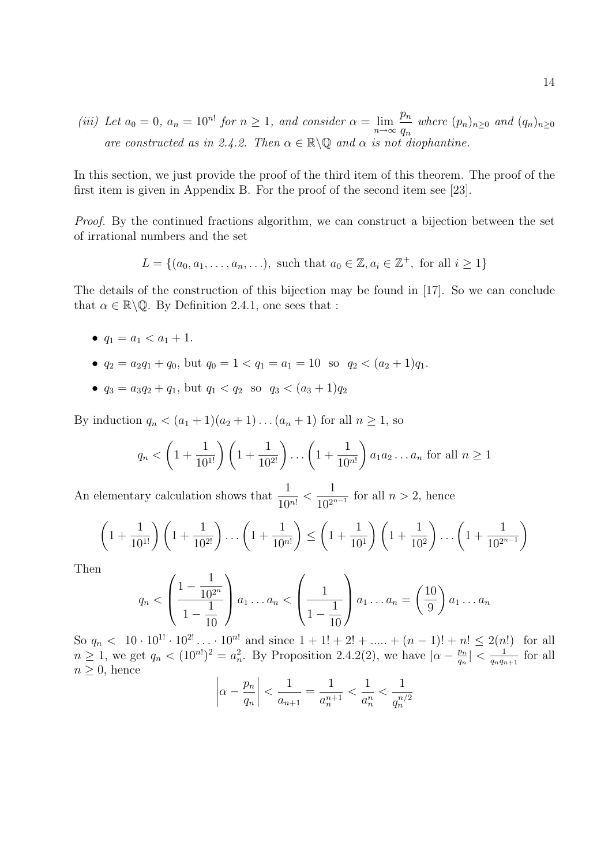(iii) Let  $a_0 = 0$ ,  $a_n = 10^{n!}$  for  $n \ge 1$ , and consider  $\alpha = \lim_{n \to \infty} \frac{p_n}{q_n}$  $q_n$ where  $(p_n)_{n\geq 0}$  and  $(q_n)_{n\geq 0}$ are constructed as in 2.4.2. Then  $\alpha \in \mathbb{R} \backslash \mathbb{Q}$  and  $\alpha$  is not diophantine.

In this section, we just provide the proof of the third item of this theorem. The proof of the first item is given in Appendix B. For the proof of the second item see [23].

Proof. By the continued fractions algorithm, we can construct a bijection between the set of irrational numbers and the set

$$
L = \{(a_0, a_1, \dots, a_n, \dots), \text{ such that } a_0 \in \mathbb{Z}, a_i \in \mathbb{Z}^+, \text{ for all } i \ge 1\}
$$

The details of the construction of this bijection may be found in [17]. So we can conclude that  $\alpha \in \mathbb{R} \backslash \mathbb{Q}$ . By Definition 2.4.1, one sees that :

- $q_1 = a_1 < a_1 + 1$ .
- $q_2 = a_2q_1 + q_0$ , but  $q_0 = 1 < q_1 = a_1 = 10$  so  $q_2 < (a_2 + 1)q_1$ .
- $q_3 = a_3q_2 + q_1$ , but  $q_1 < q_2$  so  $q_3 < (a_3 + 1)q_2$

By induction  $q_n < (a_1 + 1)(a_2 + 1)...(a_n + 1)$  for all  $n \ge 1$ , so

$$
q_n < \left(1 + \frac{1}{10^{1!}}\right) \left(1 + \frac{1}{10^{2!}}\right) \dots \left(1 + \frac{1}{10^{n!}}\right) a_1 a_2 \dots a_n \text{ for all } n \ge 1
$$

An elementary calculation shows that  $\frac{1}{10}$  $\frac{1}{10^{n!}}$  < 1  $\frac{1}{10^{2^{n-1}}}$  for all  $n > 2$ , hence

$$
\left(1+\frac{1}{10^{1!}}\right)\left(1+\frac{1}{10^{2!}}\right)\dots\left(1+\frac{1}{10^{n!}}\right) \le \left(1+\frac{1}{10^1}\right)\left(1+\frac{1}{10^2}\right)\dots\left(1+\frac{1}{10^{2^{n-1}}}\right)
$$

Then

$$
q_n < \left(\frac{1 - \frac{1}{10^{2^n}}}{1 - \frac{1}{10}}\right) a_1 \dots a_n < \left(\frac{1}{1 - \frac{1}{10}}\right) a_1 \dots a_n = \left(\frac{10}{9}\right) a_1 \dots a_n
$$

So  $q_n < 10 \cdot 10^{1!} \cdot 10^{2!} \ldots \cdot 10^{n!}$  and since  $1 + 1! + 2! + \ldots + (n - 1)! + n! \leq 2(n!)$  for all  $n \geq 1$ , we get  $q_n < (10^{n})^2 = a_n^2$ . By Proposition 2.4.2(2), we have  $|\alpha - \frac{p_n}{q_n}|$  $\left|\frac{p_n}{q_n}\right| < \frac{1}{q_nq_n}$  $\frac{1}{q_nq_{n+1}}$  for all  $n \geq 0$ , hence

$$
\left| \alpha - \frac{p_n}{q_n} \right| < \frac{1}{a_{n+1}} = \frac{1}{a_n^{n+1}} < \frac{1}{a_n^n} < \frac{1}{q_n^{n/2}}
$$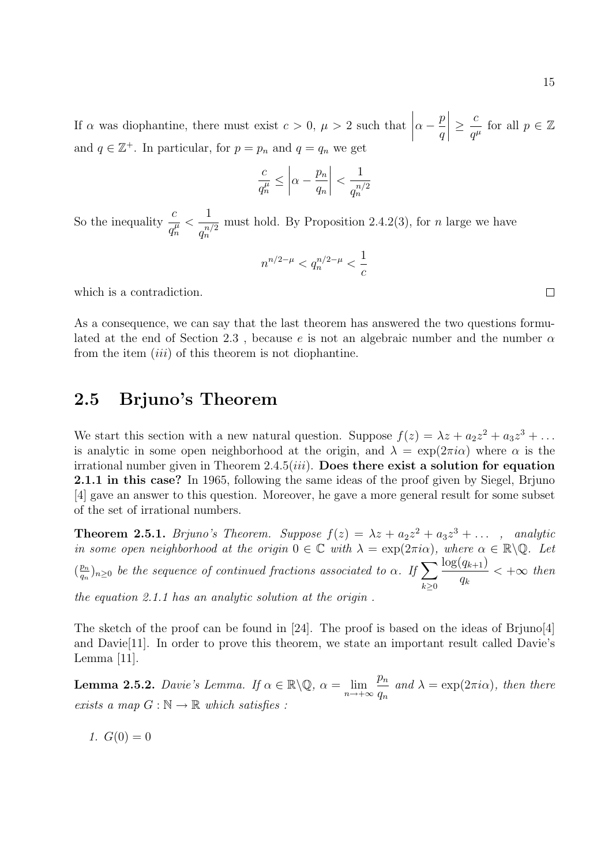If  $\alpha$  was diophantine, there must exist  $c > 0$ ,  $\mu > 2$  such that  $\alpha - \frac{p}{q}$ q  $\begin{array}{c} \begin{array}{c} \begin{array}{c} \end{array} \\ \begin{array}{c} \end{array} \end{array} \end{array}$  $\geq \frac{c}{c}$  $\frac{c}{q^{\mu}}$  for all  $p \in \mathbb{Z}$ and  $q \in \mathbb{Z}^+$ . In particular, for  $p = p_n$  and  $q = q_n$  we get

$$
\frac{c}{q_n^{\mu}} \le \left| \alpha - \frac{p_n}{q_n} \right| < \frac{1}{q_n^{n/2}}
$$

So the inequality  $\frac{c}{t}$  $\overline{q_n^\mu}$  $\lt$ 1  $q_n^{n/2}$ must hold. By Proposition 2.4.2(3), for  $n$  large we have

$$
n^{n/2-\mu} < q_n^{n/2-\mu} < \frac{1}{c}
$$

which is a contradiction.

As a consequence, we can say that the last theorem has answered the two questions formulated at the end of Section 2.3, because e is not an algebraic number and the number  $\alpha$ from the item *(iii)* of this theorem is not diophantine.

### 2.5 Brjuno's Theorem

We start this section with a new natural question. Suppose  $f(z) = \lambda z + a_2 z^2 + a_3 z^3 + \dots$ is analytic in some open neighborhood at the origin, and  $\lambda = \exp(2\pi i \alpha)$  where  $\alpha$  is the irrational number given in Theorem  $2.4.5(iii)$ . Does there exist a solution for equation 2.1.1 in this case? In 1965, following the same ideas of the proof given by Siegel, Brjuno [4] gave an answer to this question. Moreover, he gave a more general result for some subset of the set of irrational numbers.

**Theorem 2.5.1.** Brjuno's Theorem. Suppose  $f(z) = \lambda z + a_2 z^2 + a_3 z^3 + \dots$ , analytic in some open neighborhood at the origin  $0 \in \mathbb{C}$  with  $\lambda = \exp(2\pi i \alpha)$ , where  $\alpha \in \mathbb{R} \backslash \mathbb{Q}$ . Let  $\left(\frac{p_n}{a}\right)$  $\frac{p_n}{q_n})_{n\geq 0}$  be the sequence of continued fractions associated to  $\alpha$ . If  $\sum$  $k\geq 0$  $\log(q_{k+1})$  $q_k$  $< +\infty$  then

the equation 2.1.1 has an analytic solution at the origin .

The sketch of the proof can be found in [24]. The proof is based on the ideas of Brjuno[4] and Davie<sup>[11]</sup>. In order to prove this theorem, we state an important result called Davie's Lemma [11].

**Lemma 2.5.2.** Davie's Lemma. If  $\alpha \in \mathbb{R} \setminus \mathbb{Q}$ ,  $\alpha = \lim_{n \to +\infty} \frac{p_n}{q_n}$  $q_n$ and  $\lambda = \exp(2\pi i \alpha)$ , then there exists a map  $G : \mathbb{N} \to \mathbb{R}$  which satisfies :

1. 
$$
G(0) = 0
$$

 $\overline{\phantom{a}}$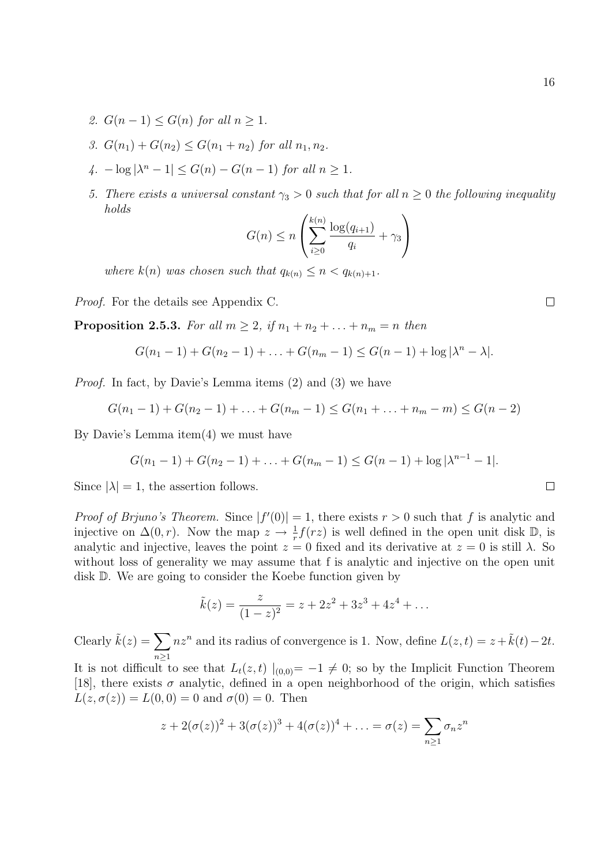- 2.  $G(n-1) \leq G(n)$  for all  $n \geq 1$ .
- 3.  $G(n_1) + G(n_2) \leq G(n_1 + n_2)$  for all  $n_1, n_2$ .
- $\left|\lambda^{n}-1\right| \leq G(n)-G(n-1)$  for all  $n \geq 1$ .
- 5. There exists a universal constant  $\gamma_3 > 0$  such that for all  $n \geq 0$  the following inequality holds

$$
G(n) \le n \left( \sum_{i \ge 0}^{k(n)} \frac{\log(q_{i+1})}{q_i} + \gamma_3 \right)
$$

where  $k(n)$  was chosen such that  $q_{k(n)} \leq n < q_{k(n)+1}$ .

Proof. For the details see Appendix C.

**Proposition 2.5.3.** For all  $m \geq 2$ , if  $n_1 + n_2 + \ldots + n_m = n$  then

$$
G(n_1 - 1) + G(n_2 - 1) + \ldots + G(n_m - 1) \leq G(n - 1) + \log |\lambda^n - \lambda|.
$$

Proof. In fact, by Davie's Lemma items (2) and (3) we have

$$
G(n_1 - 1) + G(n_2 - 1) + \ldots + G(n_m - 1) \le G(n_1 + \ldots + n_m - m) \le G(n - 2)
$$

By Davie's Lemma item(4) we must have

$$
G(n_1 - 1) + G(n_2 - 1) + \ldots + G(n_m - 1) \leq G(n - 1) + \log |\lambda^{n-1} - 1|.
$$

Since  $|\lambda| = 1$ , the assertion follows.

*Proof of Brjuno's Theorem.* Since  $|f'(0)| = 1$ , there exists  $r > 0$  such that f is analytic and injective on  $\Delta(0,r)$ . Now the map  $z \to \frac{1}{r}f(rz)$  is well defined in the open unit disk  $\mathbb{D}$ , is analytic and injective, leaves the point  $z = 0$  fixed and its derivative at  $z = 0$  is still  $\lambda$ . So without loss of generality we may assume that f is analytic and injective on the open unit disk D. We are going to consider the Koebe function given by

$$
\tilde{k}(z) = \frac{z}{(1-z)^2} = z + 2z^2 + 3z^3 + 4z^4 + \dots
$$

Clearly  $\tilde{k}(z) = \sum$  $n\geq 1$  $nz<sup>n</sup>$  and its radius of convergence is 1. Now, define  $L(z, t) = z + \tilde{k}(t) - 2t$ . It is not difficult to see that  $L_t(z, t) |_{(0,0)} = -1 \neq 0$ ; so by the Implicit Function Theorem [18], there exists  $\sigma$  analytic, defined in a open neighborhood of the origin, which satisfies  $L(z, \sigma(z)) = L(0, 0) = 0$  and  $\sigma(0) = 0$ . Then

$$
z + 2(\sigma(z))^2 + 3(\sigma(z))^3 + 4(\sigma(z))^4 + \ldots = \sigma(z) = \sum_{n \ge 1} \sigma_n z^n
$$

 $\Box$ 

 $\Box$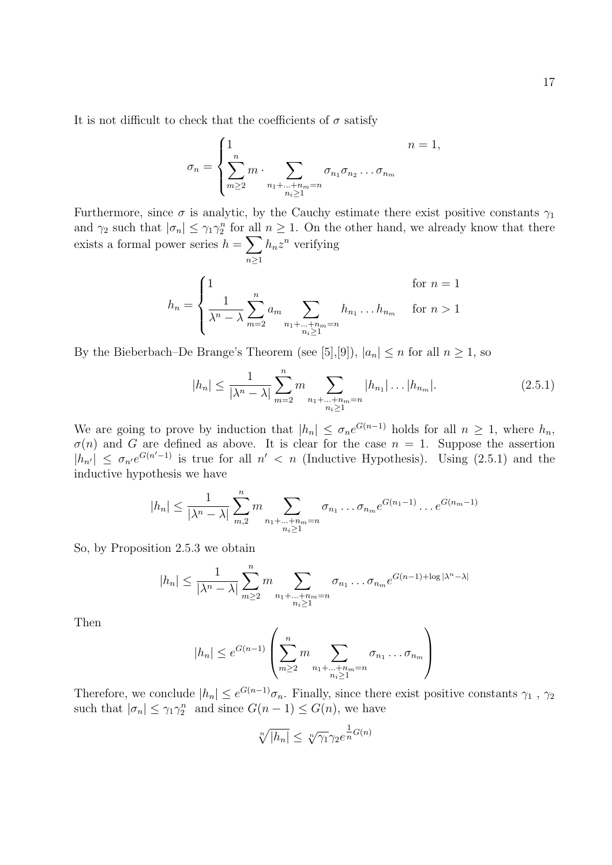It is not difficult to check that the coefficients of  $\sigma$  satisfy

$$
\sigma_n = \begin{cases} 1 & n = 1, \\ \sum_{m \ge 2}^n m \cdot \sum_{\substack{n_1 + \dots + n_m = n \\ n_i \ge 1}} \sigma_{n_1} \sigma_{n_2} \dots \sigma_{n_m} \end{cases}
$$

Furthermore, since  $\sigma$  is analytic, by the Cauchy estimate there exist positive constants  $\gamma_1$ and  $\gamma_2$  such that  $|\sigma_n| \leq \gamma_1 \gamma_2^n$  for all  $n \geq 1$ . On the other hand, we already know that there exists a formal power series  $h = \sum$  $n\geq 1$  $h_n z^n$  verifying

$$
h_n = \begin{cases} 1 & \text{for } n = 1\\ \frac{1}{\lambda^n - \lambda} \sum_{m=2}^n a_m \sum_{\substack{n_1 + \dots + n_m = n \\ n_i \ge 1}} h_{n_1} \dots h_{n_m} & \text{for } n > 1 \end{cases}
$$

By the Bieberbach–De Brange's Theorem (see [5], [9]),  $|a_n| \leq n$  for all  $n \geq 1$ , so

$$
|h_n| \le \frac{1}{|\lambda^n - \lambda|} \sum_{m=2}^n m \sum_{\substack{n_1 + \dots + n_m = n \\ n_i \ge 1}} |h_{n_1}| \dots |h_{n_m}|.
$$
 (2.5.1)

We are going to prove by induction that  $|h_n| \leq \sigma_n e^{G(n-1)}$  holds for all  $n \geq 1$ , where  $h_n$ ,  $\sigma(n)$  and G are defined as above. It is clear for the case  $n = 1$ . Suppose the assertion  $|h_{n'}| \leq \sigma_{n'}e^{G(n'-1)}$  is true for all  $n' < n$  (Inductive Hypothesis). Using (2.5.1) and the inductive hypothesis we have

$$
|h_n| \leq \frac{1}{|\lambda^n - \lambda|} \sum_{m,2}^n m \sum_{\substack{n_1 + \dots + n_m = n \\ n_i \geq 1}} \sigma_{n_1} \dots \sigma_{n_m} e^{G(n_1 - 1)} \dots e^{G(n_m - 1)}
$$

So, by Proposition 2.5.3 we obtain

$$
|h_n| \leq \frac{1}{|\lambda^n - \lambda|} \sum_{m \geq 2}^n m \sum_{\substack{n_1 + \dots + n_m = n \\ n_i \geq 1}} \sigma_{n_1} \dots \sigma_{n_m} e^{G(n-1) + \log |\lambda^n - \lambda|}
$$

Then

$$
|h_n| \le e^{G(n-1)} \left( \sum_{m\ge 2}^n m \sum_{\substack{n_1+\ldots+n_m=n\\ n_i\ge 1}} \sigma_{n_1} \ldots \sigma_{n_m} \right)
$$

Therefore, we conclude  $|h_n| \leq e^{G(n-1)}\sigma_n$ . Finally, since there exist positive constants  $\gamma_1$ ,  $\gamma_2$ such that  $|\sigma_n| \leq \gamma_1 \gamma_2^n$  and since  $G(n-1) \leq G(n)$ , we have

$$
\sqrt[n]{|h_n|} \le \sqrt[n]{\gamma_1} \gamma_2 e^{\frac{1}{n}G(n)}
$$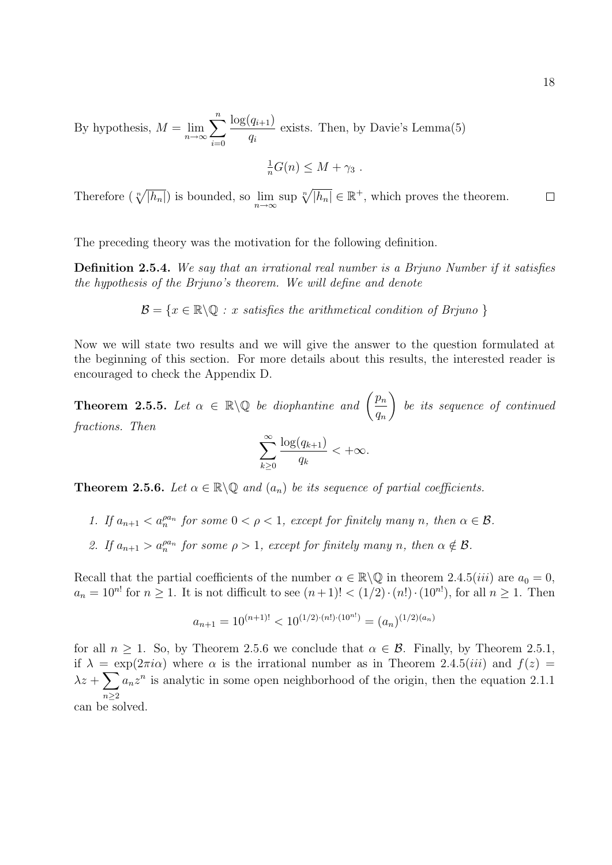By hypothesis,  $M = \lim_{n \to \infty}$  $\sum_{n=1}^{\infty}$  $i=0$  $log(q_{i+1})$ qi exists. Then, by Davie's Lemma(5)

$$
\frac{1}{n}G(n) \leq M + \gamma_3.
$$

Therefore  $(\sqrt[n]{|h_n|})$  is bounded, so  $\lim_{n\to\infty} \sup \sqrt[n]{|h_n|} \in \mathbb{R}^+$ , which proves the theorem.  $\Box$ 

The preceding theory was the motivation for the following definition.

Definition 2.5.4. We say that an irrational real number is a Brjuno Number if it satisfies the hypothesis of the Brjuno's theorem. We will define and denote

$$
\mathcal{B} = \{x \in \mathbb{R} \setminus \mathbb{Q} : x \text{ satisfies the arithmetical condition of Brjuno }\}
$$

Now we will state two results and we will give the answer to the question formulated at the beginning of this section. For more details about this results, the interested reader is encouraged to check the Appendix D.

**Theorem 2.5.5.** Let  $\alpha \in \mathbb{R} \setminus \mathbb{Q}$  be diophantine and  $\left(\frac{p_n}{p}\right)$  $q_n$  $\setminus$ be its sequence of continued fractions. Then

$$
\sum_{k\geq 0}^{\infty} \frac{\log(q_{k+1})}{q_k} < +\infty.
$$

**Theorem 2.5.6.** Let  $\alpha \in \mathbb{R} \backslash \mathbb{Q}$  and  $(a_n)$  be its sequence of partial coefficients.

- 1. If  $a_{n+1} < a_n^{\rho a_n}$  for some  $0 < \rho < 1$ , except for finitely many n, then  $\alpha \in \mathcal{B}$ .
- 2. If  $a_{n+1} > a_n^{\rho a_n}$  for some  $\rho > 1$ , except for finitely many n, then  $\alpha \notin \mathcal{B}$ .

Recall that the partial coefficients of the number  $\alpha \in \mathbb{R} \backslash \mathbb{Q}$  in theorem 2.4.5(*iii*) are  $a_0 = 0$ ,  $a_n = 10^{n!}$  for  $n \ge 1$ . It is not difficult to see  $(n+1)! < (1/2) \cdot (n!) \cdot (10^{n!})$ , for all  $n \ge 1$ . Then

$$
a_{n+1} = 10^{(n+1)!} < 10^{(1/2)\cdot(n!)\cdot(10^{n!})} = (a_n)^{(1/2)(a_n)}
$$

for all  $n > 1$ . So, by Theorem 2.5.6 we conclude that  $\alpha \in \mathcal{B}$ . Finally, by Theorem 2.5.1, if  $\lambda = \exp(2\pi i \alpha)$  where  $\alpha$  is the irrational number as in Theorem 2.4.5(*iii*) and  $f(z)$  $\lambda z + \sum$  $n\geq 2$  $a_n z^n$  is analytic in some open neighborhood of the origin, then the equation 2.1.1 can be solved.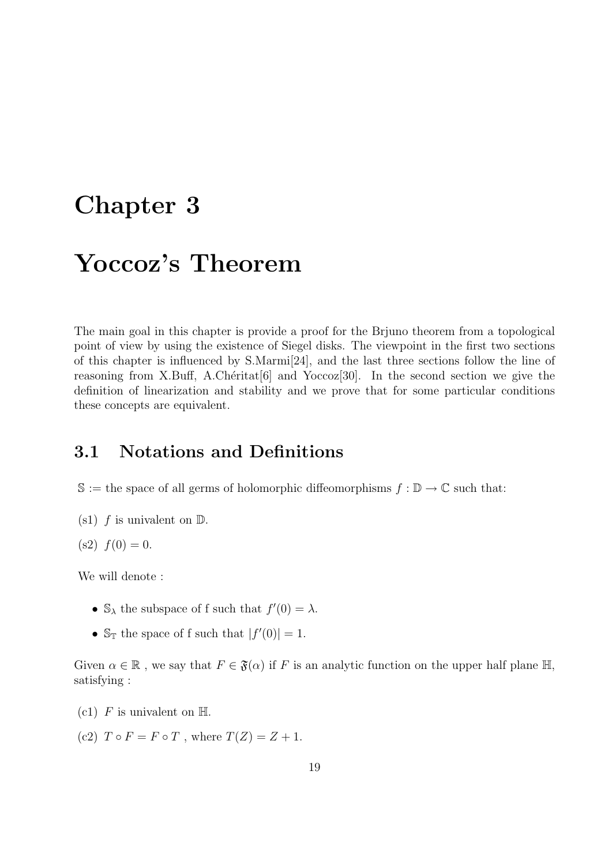# Chapter 3

# Yoccoz's Theorem

The main goal in this chapter is provide a proof for the Brjuno theorem from a topological point of view by using the existence of Siegel disks. The viewpoint in the first two sections of this chapter is influenced by S.Marmi[24], and the last three sections follow the line of reasoning from X.Buff, A.Chéritat<sup>[6]</sup> and Yoccoz<sup>[30]</sup>. In the second section we give the definition of linearization and stability and we prove that for some particular conditions these concepts are equivalent.

### 3.1 Notations and Definitions

- $\mathbb{S} :=$  the space of all germs of holomorphic diffeomorphisms  $f : \mathbb{D} \to \mathbb{C}$  such that:
- (s1)  $f$  is univalent on  $\mathbb{D}$ .
- $(s2) f(0) = 0.$

We will denote :

- $\mathbb{S}_{\lambda}$  the subspace of f such that  $f'(0) = \lambda$ .
- $\mathbb{S}_{\mathbb{T}}$  the space of f such that  $|f'(0)| = 1$ .

Given  $\alpha \in \mathbb{R}$ , we say that  $F \in \mathfrak{F}(\alpha)$  if F is an analytic function on the upper half plane  $\mathbb{H}$ , satisfying :

- (c1) F is univalent on  $\mathbb{H}$ .
- (c2)  $T \circ F = F \circ T$ , where  $T(Z) = Z + 1$ .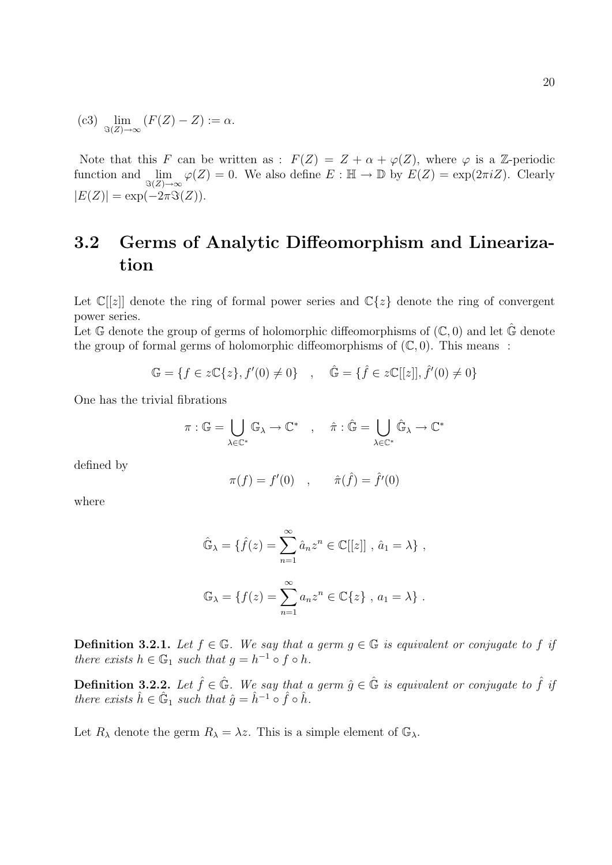(c3) 
$$
\lim_{\Im(Z)\to\infty} (F(Z)-Z) := \alpha.
$$

Note that this F can be written as :  $F(Z) = Z + \alpha + \varphi(Z)$ , where  $\varphi$  is a Z-periodic function and  $\lim_{\Im(Z)\to\infty}\varphi(Z)=0$ . We also define  $E:\mathbb{H}\to\mathbb{D}$  by  $E(Z)=\exp(2\pi i Z)$ . Clearly  $|E(Z)| = \exp(-2\pi \Im(Z)).$ 

## 3.2 Germs of Analytic Diffeomorphism and Linearization

Let  $\mathbb{C}[[z]]$  denote the ring of formal power series and  $\mathbb{C}\{z\}$  denote the ring of convergent power series.

Let  $\mathbb{G}$  denote the group of germs of holomorphic diffeomorphisms of  $(\mathbb{C},0)$  and let  $\hat{\mathbb{G}}$  denote the group of formal germs of holomorphic diffeomorphisms of  $(\mathbb{C}, 0)$ . This means :

$$
\mathbb{G} = \{ f \in z\mathbb{C}\{z\}, f'(0) \neq 0 \} \quad , \quad \hat{\mathbb{G}} = \{ \hat{f} \in z\mathbb{C}[[z]], \hat{f}'(0) \neq 0 \}
$$

One has the trivial fibrations

$$
\pi: \mathbb{G} = \bigcup_{\lambda \in \mathbb{C}^*} \mathbb{G}_{\lambda} \to \mathbb{C}^* \quad , \quad \hat{\pi}: \hat{\mathbb{G}} = \bigcup_{\lambda \in \mathbb{C}^*} \hat{\mathbb{G}}_{\lambda} \to \mathbb{C}^*
$$

defined by

$$
\pi(f) = f'(0) , \quad \hat{\pi}(\hat{f}) = \hat{f}'(0)
$$

where

$$
\hat{\mathbb{G}}_{\lambda} = \{\hat{f}(z) = \sum_{n=1}^{\infty} \hat{a}_n z^n \in \mathbb{C}[[z]] , \hat{a}_1 = \lambda \},
$$
  

$$
\mathbb{G}_{\lambda} = \{f(z) = \sum_{n=1}^{\infty} a_n z^n \in \mathbb{C} \{z\} , a_1 = \lambda \}.
$$

**Definition 3.2.1.** Let  $f \in \mathbb{G}$ . We say that a germ  $g \in \mathbb{G}$  is equivalent or conjugate to f if there exists  $h \in \mathbb{G}_1$  such that  $g = h^{-1} \circ f \circ h$ .

**Definition 3.2.2.** Let  $\hat{f} \in \hat{\mathbb{G}}$ . We say that a germ  $\hat{g} \in \hat{\mathbb{G}}$  is equivalent or conjugate to  $\hat{f}$  if there exists  $\hat{h} \in \hat{\mathbb{G}}_1$  such that  $\hat{g} = \hat{h}^{-1} \circ \hat{f} \circ \hat{h}$ .

Let  $R_{\lambda}$  denote the germ  $R_{\lambda} = \lambda z$ . This is a simple element of  $\mathbb{G}_{\lambda}$ .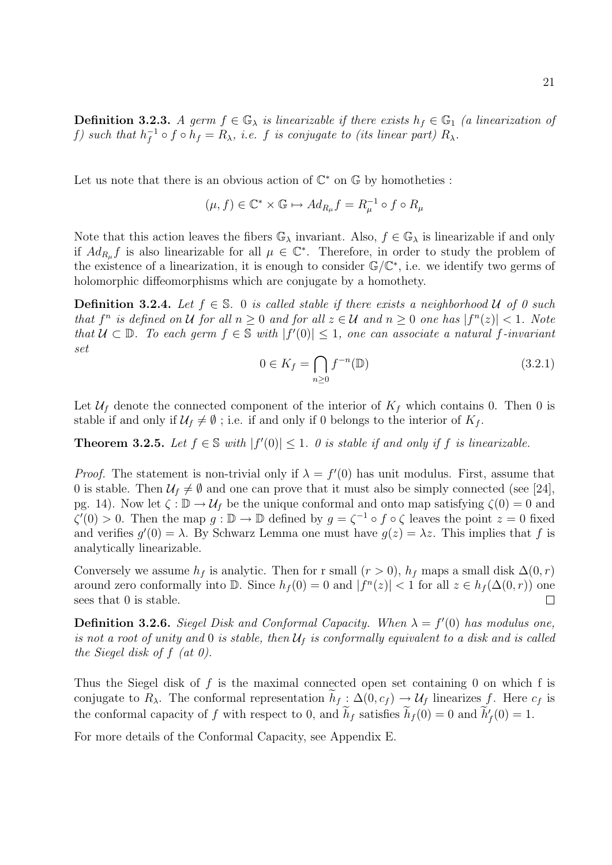Let us note that there is an obvious action of  $\mathbb{C}^*$  on  $\mathbb{G}$  by homotheties :

$$
(\mu, f) \in \mathbb{C}^* \times \mathbb{G} \mapsto Ad_{R_{\mu}}f = R_{\mu}^{-1} \circ f \circ R_{\mu}
$$

Note that this action leaves the fibers  $\mathbb{G}_{\lambda}$  invariant. Also,  $f \in \mathbb{G}_{\lambda}$  is linearizable if and only if  $Ad_{R_\mu}f$  is also linearizable for all  $\mu \in \mathbb{C}^*$ . Therefore, in order to study the problem of the existence of a linearization, it is enough to consider  $\mathbb{G}/\mathbb{C}^*$ , i.e. we identify two germs of holomorphic diffeomorphisms which are conjugate by a homothety.

**Definition 3.2.4.** Let  $f \in \mathbb{S}$ . 0 is called stable if there exists a neighborhood U of 0 such that  $f^n$  is defined on U for all  $n \geq 0$  and for all  $z \in U$  and  $n \geq 0$  one has  $|f^n(z)| < 1$ . Note that  $U \subset \mathbb{D}$ . To each germ  $f \in \mathbb{S}$  with  $|f'(0)| \leq 1$ , one can associate a natural f-invariant set

$$
0 \in K_f = \bigcap_{n \ge 0} f^{-n}(\mathbb{D}) \tag{3.2.1}
$$

Let  $\mathcal{U}_f$  denote the connected component of the interior of  $K_f$  which contains 0. Then 0 is stable if and only if  $\mathcal{U}_f \neq \emptyset$ ; i.e. if and only if 0 belongs to the interior of  $K_f$ .

**Theorem 3.2.5.** Let  $f \in \mathbb{S}$  with  $|f'(0)| \leq 1$ . O is stable if and only if f is linearizable.

*Proof.* The statement is non-trivial only if  $\lambda = f'(0)$  has unit modulus. First, assume that 0 is stable. Then  $\mathcal{U}_f \neq \emptyset$  and one can prove that it must also be simply connected (see [24], pg. 14). Now let  $\zeta : \mathbb{D} \to \mathcal{U}_f$  be the unique conformal and onto map satisfying  $\zeta(0) = 0$  and  $\zeta'(0) > 0$ . Then the map  $g: \mathbb{D} \to \mathbb{D}$  defined by  $g = \zeta^{-1} \circ f \circ \zeta$  leaves the point  $z = 0$  fixed and verifies  $g'(0) = \lambda$ . By Schwarz Lemma one must have  $g(z) = \lambda z$ . This implies that f is analytically linearizable.

Conversely we assume  $h_f$  is analytic. Then for r small  $(r > 0)$ ,  $h_f$  maps a small disk  $\Delta(0, r)$ around zero conformally into  $\mathbb{D}$ . Since  $h_f(0) = 0$  and  $|f^n(z)| < 1$  for all  $z \in h_f(\Delta(0,r))$  one sees that 0 is stable.  $\Box$ 

**Definition 3.2.6.** Siegel Disk and Conformal Capacity. When  $\lambda = f'(0)$  has modulus one, is not a root of unity and 0 is stable, then  $\mathcal{U}_f$  is conformally equivalent to a disk and is called the Siegel disk of  $f$  (at  $0$ ).

Thus the Siegel disk of f is the maximal connected open set containing 0 on which f is conjugate to R<sub> $\lambda$ </sub>. The conformal representation  $h_f : \Delta(0, c_f) \to \mathcal{U}_f$  linearizes f. Here  $c_f$  is the conformal capacity of f with respect to 0, and  $\tilde{h}_f$  satisfies  $\tilde{h}_f(0) = 0$  and  $\tilde{h}'_f(0) = 1$ .

For more details of the Conformal Capacity, see Appendix E.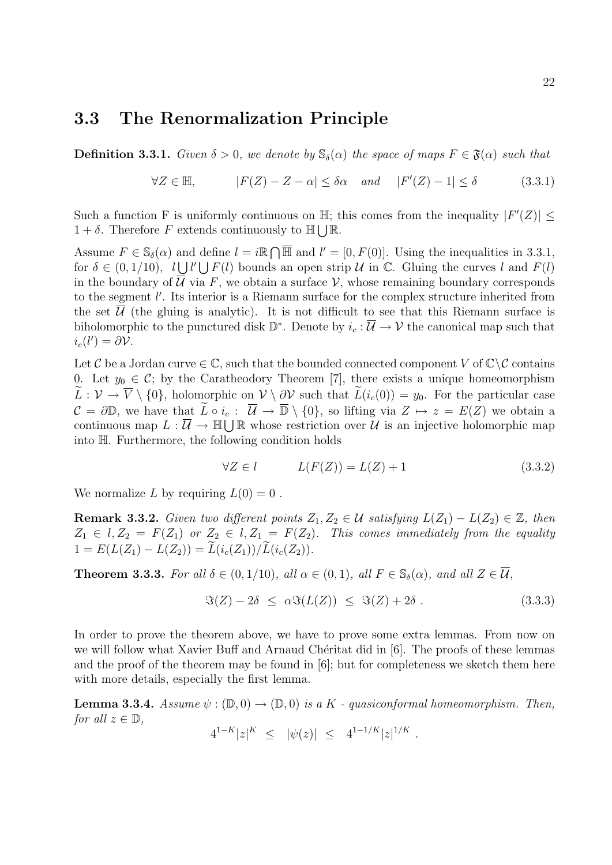### 3.3 The Renormalization Principle

**Definition 3.3.1.** Given  $\delta > 0$ , we denote by  $\mathbb{S}_{\delta}(\alpha)$  the space of maps  $F \in \mathfrak{F}(\alpha)$  such that

$$
\forall Z \in \mathbb{H}, \qquad |F(Z) - Z - \alpha| \le \delta \alpha \quad and \quad |F'(Z) - 1| \le \delta \tag{3.3.1}
$$

Such a function F is uniformly continuous on  $\mathbb{H}$ ; this comes from the inequality  $|F'(Z)| \le$  $1 + \delta$ . Therefore F extends continuously to  $\mathbb{H}\bigcup\mathbb{R}$ .

Assume  $F \in \mathbb{S}_{\delta}(\alpha)$  and define  $l = i\mathbb{R} \cap \overline{\mathbb{H}}$  and  $l' = [0, F(0)]$ . Using the inequalities in 3.3.1, for  $\delta \in (0,1/10)$ ,  $l \bigcup l' \bigcup F(l)$  bounds an open strip U in C. Gluing the curves l and  $F(l)$ in the boundary of  $\overline{\mathcal{U}}$  via F, we obtain a surface V, whose remaining boundary corresponds to the segment  $l'$ . Its interior is a Riemann surface for the complex structure inherited from the set  $\overline{\mathcal{U}}$  (the gluing is analytic). It is not difficult to see that this Riemann surface is biholomorphic to the punctured disk  $\mathbb{D}^*$ . Denote by  $i_c : \overline{\mathcal{U}} \to \mathcal{V}$  the canonical map such that  $i_c(l') = \partial \mathcal{V}.$ 

Let C be a Jordan curve  $\in \mathbb{C}$ , such that the bounded connected component V of  $\mathbb{C}\setminus\mathcal{C}$  contains 0. Let  $y_0 \in \mathcal{C}$ ; by the Caratheodory Theorem [7], there exists a unique homeomorphism  $\widetilde{L}: \mathcal{V} \to \overline{V} \setminus \{0\}$ , holomorphic on  $\mathcal{V} \setminus \partial \mathcal{V}$  such that  $\widetilde{L}(i_c(0)) = y_0$ . For the particular case  $\mathcal{C} = \partial \mathbb{D}$ , we have that  $\widetilde{L} \circ i_c : \overline{\mathcal{U}} \to \overline{\mathbb{D}} \setminus \{0\}$ , so lifting via  $Z \mapsto z = E(Z)$  we obtain a continuous map  $L : \overline{U} \to \mathbb{H} \bigcup \mathbb{R}$  whose restriction over  $U$  is an injective holomorphic map into H. Furthermore, the following condition holds

$$
\forall Z \in l \qquad L(F(Z)) = L(Z) + 1 \tag{3.3.2}
$$

We normalize L by requiring  $L(0) = 0$ .

**Remark 3.3.2.** Given two different points  $Z_1, Z_2 \in \mathcal{U}$  satisfying  $L(Z_1) - L(Z_2) \in \mathbb{Z}$ , then  $Z_1 \in l, Z_2 = F(Z_1)$  or  $Z_2 \in l, Z_1 = F(Z_2)$ . This comes immediately from the equality  $1 = E(L(Z_1) - L(Z_2)) = \widetilde{L}(i_c(Z_1)) / \widetilde{L}(i_c(Z_2)).$ 

**Theorem 3.3.3.** For all  $\delta \in (0, 1/10)$ , all  $\alpha \in (0, 1)$ , all  $F \in \mathbb{S}_{\delta}(\alpha)$ , and all  $Z \in \overline{\mathcal{U}}$ ,

$$
\Im(Z) - 2\delta \leq \alpha \Im(L(Z)) \leq \Im(Z) + 2\delta. \tag{3.3.3}
$$

In order to prove the theorem above, we have to prove some extra lemmas. From now on we will follow what Xavier Buff and Arnaud Chéritat did in [6]. The proofs of these lemmas and the proof of the theorem may be found in [6]; but for completeness we sketch them here with more details, especially the first lemma.

**Lemma 3.3.4.** Assume  $\psi : (\mathbb{D}, 0) \to (\mathbb{D}, 0)$  is a K - quasiconformal homeomorphism. Then, for all  $z \in \mathbb{D}$ ,

$$
4^{1-K}|z|^K \leq |\psi(z)| \leq 4^{1-1/K}|z|^{1/K}.
$$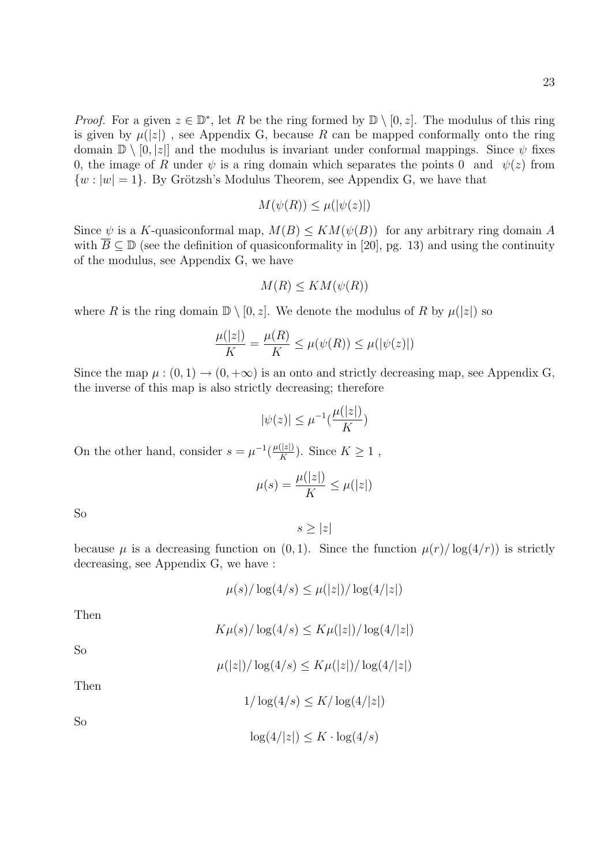*Proof.* For a given  $z \in \mathbb{D}^*$ , let R be the ring formed by  $\mathbb{D} \setminus [0, z]$ . The modulus of this ring is given by  $\mu(|z|)$ , see Appendix G, because R can be mapped conformally onto the ring domain  $\mathbb{D} \setminus [0, |z|]$  and the modulus is invariant under conformal mappings. Since  $\psi$  fixes 0, the image of R under  $\psi$  is a ring domain which separates the points 0 and  $\psi(z)$  from  $\{w : |w| = 1\}$ . By Grötzsh's Modulus Theorem, see Appendix G, we have that

$$
M(\psi(R)) \le \mu(|\psi(z)|)
$$

Since  $\psi$  is a K-quasiconformal map,  $M(B) \leq KM(\psi(B))$  for any arbitrary ring domain A with  $\overline{B} \subseteq \mathbb{D}$  (see the definition of quasiconformality in [20], pg. 13) and using the continuity of the modulus, see Appendix G, we have

$$
M(R) \leq KM(\psi(R))
$$

where R is the ring domain  $\mathbb{D} \setminus [0, z]$ . We denote the modulus of R by  $\mu(|z|)$  so

$$
\frac{\mu(|z|)}{K} = \frac{\mu(R)}{K} \le \mu(\psi(R)) \le \mu(|\psi(z)|)
$$

Since the map  $\mu : (0,1) \to (0,+\infty)$  is an onto and strictly decreasing map, see Appendix G, the inverse of this map is also strictly decreasing; therefore

$$
|\psi(z)| \le \mu^{-1}(\frac{\mu(|z|)}{K})
$$

On the other hand, consider  $s = \mu^{-1} \left( \frac{\mu(|z|)}{K} \right)$  $\frac{(|z|)}{K}$ ). Since  $K \geq 1$ ,

$$
\mu(s) = \frac{\mu(|z|)}{K} \le \mu(|z|)
$$

So

$$
s \geq |z|
$$

because  $\mu$  is a decreasing function on  $(0, 1)$ . Since the function  $\mu(r)/\log(4/r)$  is strictly decreasing, see Appendix G, we have :

$$
\mu(s)/\log(4/s) \le \mu(|z|)/\log(4/|z|)
$$

Then

So

$$
K\mu(s)/\log(4/s) \leq K\mu(|z|)/\log(4/|z|)
$$

$$
\mu(|z|)/\log(4/s) \le K\mu(|z|)/\log(4/|z|)
$$

Then

$$
1/\log(4/s) \le K/\log(4/|z|)
$$

So

$$
\log(4/|z|) \le K \cdot \log(4/s)
$$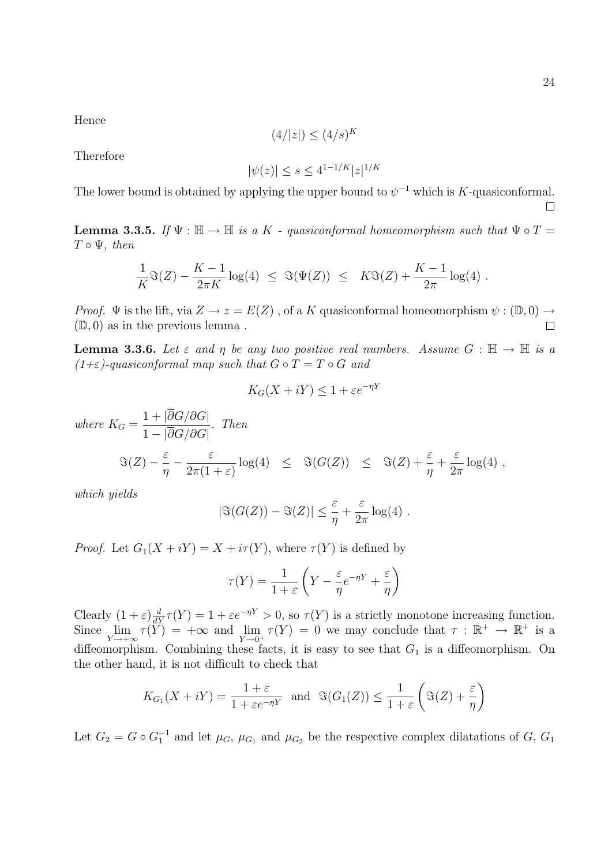Hence

$$
(4/|z|) \le (4/s)^K
$$

Therefore

$$
|\psi(z)| \le s \le 4^{1-1/K} |z|^{1/K}
$$

The lower bound is obtained by applying the upper bound to  $\psi^{-1}$  which is K-quasiconformal.  $\Box$ 

**Lemma 3.3.5.** If  $\Psi : \mathbb{H} \to \mathbb{H}$  is a K - quasiconformal homeomorphism such that  $\Psi \circ T =$  $T \circ \Psi$ , then

$$
\frac{1}{K}\Im(Z) - \frac{K-1}{2\pi K}\log(4) \leq \Im(\Psi(Z)) \leq K\Im(Z) + \frac{K-1}{2\pi}\log(4) .
$$

*Proof.*  $\Psi$  is the lift, via  $Z \to z = E(Z)$ , of a K quasiconformal homeomorphism  $\psi : (\mathbb{D}, 0) \to$  $(D, 0)$  as in the previous lemma.  $\Box$ 

**Lemma 3.3.6.** Let  $\varepsilon$  and  $\eta$  be any two positive real numbers. Assume  $G : \mathbb{H} \to \mathbb{H}$  is a  $(1+\varepsilon)$ -quasiconformal map such that  $G \circ T = T \circ G$  and

$$
K_G(X + iY) \le 1 + \varepsilon e^{-\eta Y}
$$

where  $K_G =$  $1 + |\partial G/\partial G|$  $1 - |\partial G/\partial G|$ . Then  $\Im(Z) - \frac{\varepsilon}{\varepsilon}$ η  $-\frac{\varepsilon}{2(1-\varepsilon)}$  $2\pi(1+\varepsilon)$  $\log(4) \leq \Im(G(Z)) \leq \Im(Z) + \frac{\varepsilon}{\varepsilon}$ η  $+$ ε  $2\pi$  $log(4)$ ,

which yields

$$
|\Im(G(Z)) - \Im(Z)| \leq \frac{\varepsilon}{\eta} + \frac{\varepsilon}{2\pi} \log(4) .
$$

*Proof.* Let  $G_1(X + iY) = X + i\tau(Y)$ , where  $\tau(Y)$  is defined by

$$
\tau(Y) = \frac{1}{1+\varepsilon} \left( Y - \frac{\varepsilon}{\eta} e^{-\eta Y} + \frac{\varepsilon}{\eta} \right)
$$

Clearly  $(1+\varepsilon)\frac{d}{dY}\tau(Y) = 1 + \varepsilon e^{-\eta Y} > 0$ , so  $\tau(Y)$  is a strictly monotone increasing function. Since  $\lim_{Y \to +\infty} \tau(Y) = +\infty$  and  $\lim_{Y \to 0^+} \tau(Y) = 0$  we may conclude that  $\tau : \mathbb{R}^+ \to \mathbb{R}^+$  is a diffeomorphism. Combining these facts, it is easy to see that  $G_1$  is a diffeomorphism. On the other hand, it is not difficult to check that

$$
K_{G_1}(X+iY) = \frac{1+\varepsilon}{1+\varepsilon e^{-\eta Y}}
$$
 and  $\Im(G_1(Z)) \le \frac{1}{1+\varepsilon} \left(\Im(Z) + \frac{\varepsilon}{\eta}\right)$ 

Let  $G_2 = G \circ G_1^{-1}$  and let  $\mu_G$ ,  $\mu_{G_1}$  and  $\mu_{G_2}$  be the respective complex dilatations of  $G$ ,  $G_1$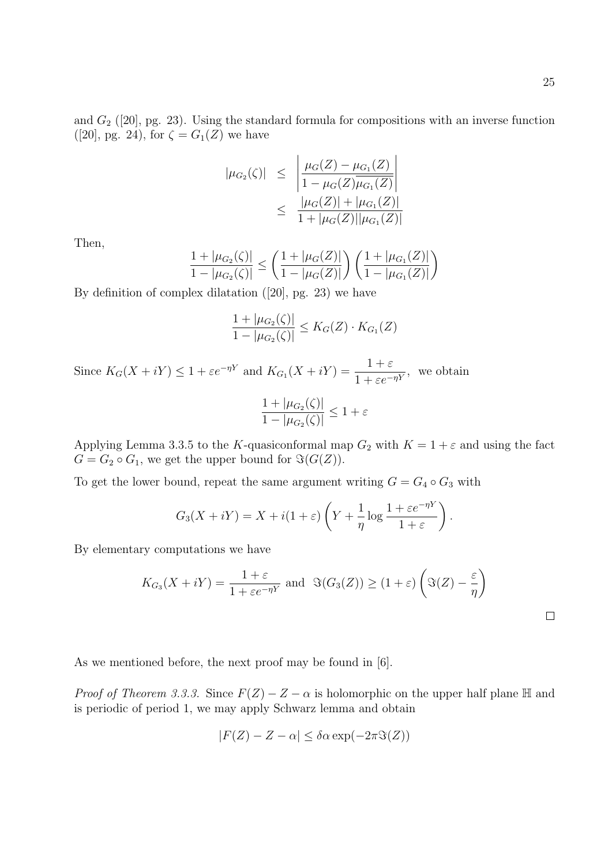$\Box$ 

and  $G_2$  ([20], pg. 23). Using the standard formula for compositions with an inverse function ([20], pg. 24), for  $\zeta = G_1(Z)$  we have

$$
|\mu_{G_2}(\zeta)| \leq \left| \frac{\mu_G(Z) - \mu_{G_1}(Z)}{1 - \mu_G(Z)\overline{\mu_{G_1}(Z)}} \right|
$$
  
 
$$
\leq \frac{|\mu_G(Z)| + |\mu_{G_1}(Z)|}{1 + |\mu_G(Z)| |\mu_{G_1}(Z)|}
$$

Then,

$$
\frac{1+|\mu_{G_2}(\zeta)|}{1-|\mu_{G_2}(\zeta)|} \le \left(\frac{1+|\mu_G(Z)|}{1-|\mu_G(Z)|}\right) \left(\frac{1+|\mu_{G_1}(Z)|}{1-|\mu_{G_1}(Z)|}\right)
$$

By definition of complex dilatation ([20], pg. 23) we have

$$
\frac{1+|\mu_{G_2}(\zeta)|}{1-|\mu_{G_2}(\zeta)|} \leq K_G(Z) \cdot K_{G_1}(Z)
$$

Since  $K_G(X + iY) \leq 1 + \varepsilon e^{-\eta Y}$  and  $K_{G_1}(X + iY) = \frac{1 + \varepsilon}{1 + \varepsilon e^{-\eta Y}}$  $\frac{1+e^{-\eta Y}}{1+ \varepsilon e^{-\eta Y}},$  we obtain  $1 + |\mu_{G_2}(\zeta)|$  $1 - |\mu_{G_2}(\zeta)|$  $\leq 1+\varepsilon$ 

Applying Lemma 3.3.5 to the K-quasiconformal map  $G_2$  with  $K = 1 + \varepsilon$  and using the fact  $G = G_2 \circ G_1$ , we get the upper bound for  $\Im(G(Z))$ .

To get the lower bound, repeat the same argument writing  $G = G_4 \circ G_3$  with

$$
G_3(X + iY) = X + i(1 + \varepsilon) \left(Y + \frac{1}{\eta} \log \frac{1 + \varepsilon e^{-\eta Y}}{1 + \varepsilon}\right).
$$

By elementary computations we have

$$
K_{G_3}(X + iY) = \frac{1+\varepsilon}{1+\varepsilon e^{-\eta Y}} \text{ and } \Im(G_3(Z)) \ge (1+\varepsilon) \left(\Im(Z) - \frac{\varepsilon}{\eta}\right)
$$

As we mentioned before, the next proof may be found in [6].

*Proof of Theorem 3.3.3.* Since  $F(Z) - Z - \alpha$  is holomorphic on the upper half plane H and is periodic of period 1, we may apply Schwarz lemma and obtain

$$
|F(Z) - Z - \alpha| \le \delta \alpha \exp(-2\pi \Im(Z))
$$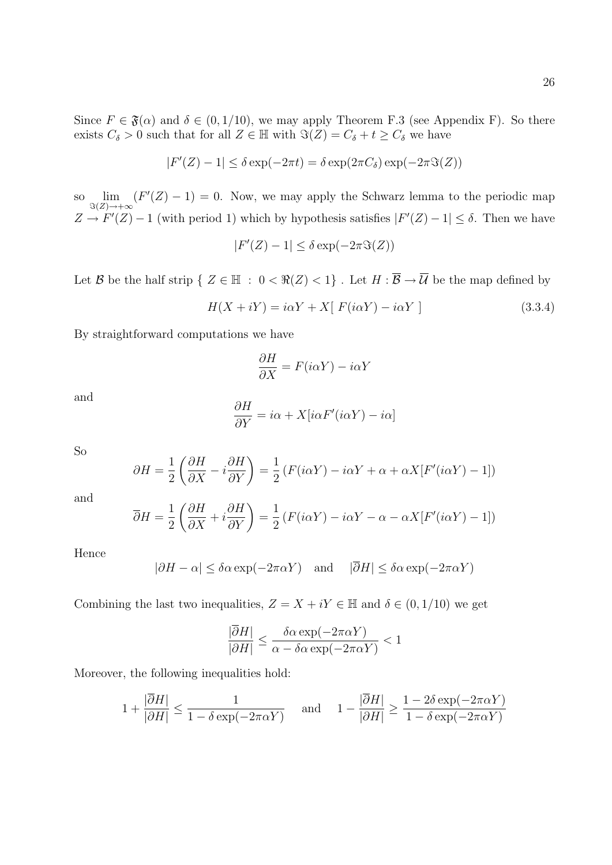Since  $F \in \mathfrak{F}(\alpha)$  and  $\delta \in (0, 1/10)$ , we may apply Theorem F.3 (see Appendix F). So there exists  $C_{\delta} > 0$  such that for all  $Z \in \mathbb{H}$  with  $\Im(Z) = C_{\delta} + t \ge C_{\delta}$  we have

$$
|F'(Z) - 1| \le \delta \exp(-2\pi t) = \delta \exp(2\pi C_{\delta}) \exp(-2\pi \Im(Z))
$$

so  $\lim_{\Im(Z)\to+\infty} (F'(Z)-1)=0$ . Now, we may apply the Schwarz lemma to the periodic map  $Z \to F'(Z) - 1$  (with period 1) which by hypothesis satisfies  $|F'(Z) - 1| \leq \delta$ . Then we have

$$
|F'(Z) - 1| \le \delta \exp(-2\pi \Im(Z))
$$

Let B be the half strip  $\{ Z \in \mathbb{H} : 0 < \Re(Z) < 1 \}$ . Let  $H : \overline{\mathcal{B}} \to \overline{\mathcal{U}}$  be the map defined by

$$
H(X + iY) = i\alpha Y + X[ F(i\alpha Y) - i\alpha Y ]
$$
\n(3.3.4)

By straightforward computations we have

$$
\frac{\partial H}{\partial X} = F(i\alpha Y) - i\alpha Y
$$

and

$$
\frac{\partial H}{\partial Y} = i\alpha + X[i\alpha F'(i\alpha Y) - i\alpha]
$$

So

$$
\partial H = \frac{1}{2} \left( \frac{\partial H}{\partial X} - i \frac{\partial H}{\partial Y} \right) = \frac{1}{2} \left( F(i\alpha Y) - i\alpha Y + \alpha + \alpha X [F'(i\alpha Y) - 1] \right)
$$

and

$$
\overline{\partial}H = \frac{1}{2} \left( \frac{\partial H}{\partial X} + i \frac{\partial H}{\partial Y} \right) = \frac{1}{2} \left( F(i\alpha Y) - i\alpha Y - \alpha - \alpha X [F'(i\alpha Y) - 1] \right)
$$

Hence

$$
|\partial H - \alpha| \le \delta \alpha \exp(-2\pi \alpha Y) \quad \text{and} \quad |\overline{\partial} H| \le \delta \alpha \exp(-2\pi \alpha Y)
$$

Combining the last two inequalities,  $Z = X + iY \in \mathbb{H}$  and  $\delta \in (0, 1/10)$  we get

$$
\frac{|\overline{\partial}H|}{|\partial H|} \le \frac{\delta \alpha \exp(-2\pi \alpha Y)}{\alpha - \delta \alpha \exp(-2\pi \alpha Y)} < 1
$$

Moreover, the following inequalities hold:

$$
1 + \frac{|\overline{\partial}H|}{|\partial H|} \le \frac{1}{1 - \delta \exp(-2\pi\alpha Y)} \quad \text{and} \quad 1 - \frac{|\overline{\partial}H|}{|\partial H|} \ge \frac{1 - 2\delta \exp(-2\pi\alpha Y)}{1 - \delta \exp(-2\pi\alpha Y)}
$$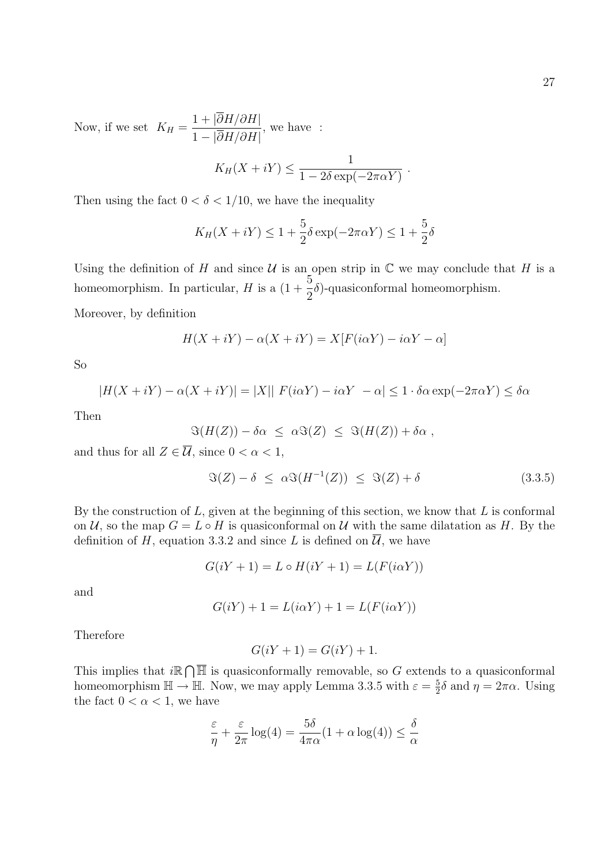Now, if we set  $K_H =$  $1 + |\partial H/\partial H|$  $1 - |\partial H/\partial H|$ , we have :

$$
K_H(X + iY) \leq \frac{1}{1 - 2\delta \exp(-2\pi\alpha Y)}.
$$

Then using the fact  $0 < \delta < 1/10$ , we have the inequality

$$
K_H(X + iY) \le 1 + \frac{5}{2}\delta \exp(-2\pi\alpha Y) \le 1 + \frac{5}{2}\delta
$$

Using the definition of H and since  $\mathcal U$  is an open strip in  $\mathbb C$  we may conclude that H is a homeomorphism. In particular, H is a  $(1 + \frac{5}{5})$ 2  $\delta$ )-quasiconformal homeomorphism.

Moreover, by definition

$$
H(X + iY) - \alpha(X + iY) = X[F(i\alpha Y) - i\alpha Y - \alpha]
$$

So

$$
|H(X + iY) - \alpha(X + iY)| = |X|| F(i\alpha Y) - i\alpha Y - \alpha| \le 1 \cdot \delta \alpha \exp(-2\pi \alpha Y) \le \delta \alpha
$$

Then

$$
\Im(H(Z)) - \delta\alpha \leq \alpha \Im(Z) \leq \Im(H(Z)) + \delta\alpha ,
$$

and thus for all  $Z \in \overline{\mathcal{U}}$ , since  $0 < \alpha < 1$ ,

$$
\Im(Z) - \delta \leq \alpha \Im(H^{-1}(Z)) \leq \Im(Z) + \delta \tag{3.3.5}
$$

By the construction of  $L$ , given at the beginning of this section, we know that  $L$  is conformal on U, so the map  $G = L \circ H$  is quasiconformal on U with the same dilatation as H. By the definition of H, equation 3.3.2 and since L is defined on  $\overline{\mathcal{U}}$ , we have

$$
G(iY + 1) = L \circ H(iY + 1) = L(F(i\alpha Y))
$$

and

$$
G(iY) + 1 = L(i\alpha Y) + 1 = L(F(i\alpha Y))
$$

Therefore

$$
G(iY + 1) = G(iY) + 1.
$$

This implies that  $i\mathbb{R}\cap\overline{\mathbb{H}}$  is quasiconformally removable, so G extends to a quasiconformal homeomorphism  $\mathbb{H} \to \mathbb{H}$ . Now, we may apply Lemma 3.3.5 with  $\varepsilon = \frac{5}{2}$  $\frac{5}{2}\delta$  and  $\eta = 2\pi\alpha$ . Using the fact  $0 < \alpha < 1$ , we have

$$
\frac{\varepsilon}{\eta} + \frac{\varepsilon}{2\pi} \log(4) = \frac{5\delta}{4\pi\alpha} (1 + \alpha \log(4)) \le \frac{\delta}{\alpha}
$$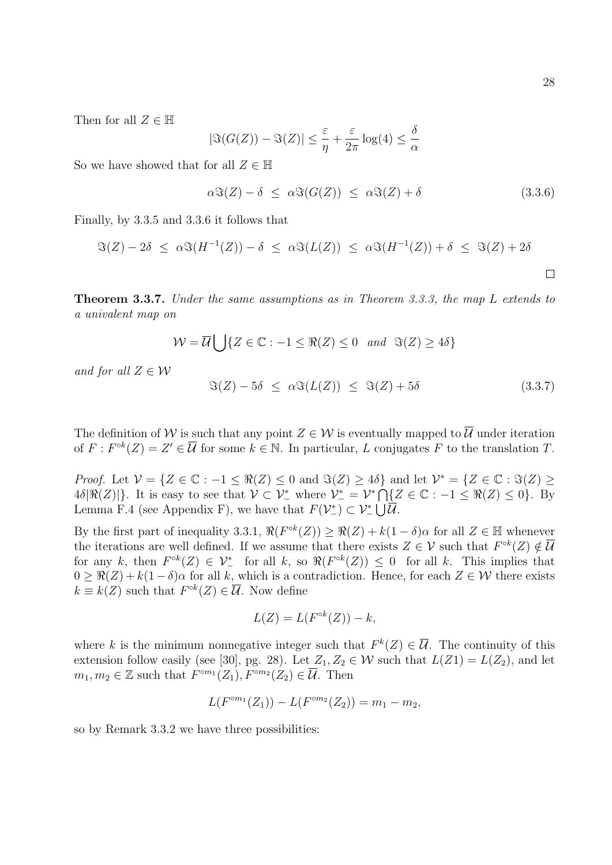Then for all  $Z \in \mathbb{H}$ 

$$
|\Im(G(Z)) - \Im(Z)| \le \frac{\varepsilon}{\eta} + \frac{\varepsilon}{2\pi} \log(4) \le \frac{\delta}{\alpha}
$$

So we have showed that for all  $Z \in \mathbb{H}$ 

$$
\alpha \Im(Z) - \delta \leq \alpha \Im(G(Z)) \leq \alpha \Im(Z) + \delta \tag{3.3.6}
$$

Finally, by 3.3.5 and 3.3.6 it follows that

$$
\Im(Z) - 2\delta \leq \alpha \Im(H^{-1}(Z)) - \delta \leq \alpha \Im(L(Z)) \leq \alpha \Im(H^{-1}(Z)) + \delta \leq \Im(Z) + 2\delta
$$

Theorem 3.3.7. Under the same assumptions as in Theorem 3.3.3, the map L extends to a univalent map on

$$
\mathcal{W} = \overline{\mathcal{U}} \bigcup \{ Z \in \mathbb{C} : -1 \leq \Re(Z) \leq 0 \text{ and } \Im(Z) \geq 4\delta \}
$$

and for all  $Z \in \mathcal{W}$ 

$$
\Im(Z) - 5\delta \leq \alpha \Im(L(Z)) \leq \Im(Z) + 5\delta \tag{3.3.7}
$$

The definition of W is such that any point  $Z \in \mathcal{W}$  is eventually mapped to  $\overline{\mathcal{U}}$  under iteration of  $F: F^{\circ k}(Z) = Z' \in \overline{\mathcal{U}}$  for some  $k \in \mathbb{N}$ . In particular, L conjugates F to the translation T.

*Proof.* Let  $\mathcal{V} = \{Z \in \mathbb{C} : -1 \leq \Re(Z) \leq 0 \text{ and } \Im(Z) \geq 4\delta\}$  and let  $\mathcal{V}^* = \{Z \in \mathbb{C} : \Im(Z) \geq 0 \text{ and } \Im(Z) \leq 4\delta\}$  $4\delta[\Re(Z)]\}.$  It is easy to see that  $\mathcal{V} \subset \mathcal{V}^*_-$  where  $\mathcal{V}^*_- = \mathcal{V}^* \bigcap \{Z \in \mathbb{C} : -1 \leq \Re(Z) \leq 0\}.$  By Lemma F.4 (see Appendix F), we have that  $F(\mathcal{V}_-^*) \subset \mathcal{V}_-^* \cup \overline{\mathcal{U}}$ .

By the first part of inequality 3.3.1,  $\Re(F^{\circ k}(Z)) \geq \Re(Z) + k(1 - \delta)\alpha$  for all  $Z \in \mathbb{H}$  whenever the iterations are well defined. If we assume that there exists  $Z \in \mathcal{V}$  such that  $F^{\circ k}(Z) \notin \overline{\mathcal{U}}$ for any k, then  $F^{\circ k}(Z) \in \mathcal{V}^*_-$  for all k, so  $\Re(F^{\circ k}(Z)) \leq 0$  for all k. This implies that  $0 \geq \Re(Z) + k(1 - \delta)\alpha$  for all k, which is a contradiction. Hence, for each  $Z \in \mathcal{W}$  there exists  $k \equiv k(Z)$  such that  $F^{\circ k}(Z) \in \overline{\mathcal{U}}$ . Now define

$$
L(Z) = L(F^{\circ k}(Z)) - k,
$$

where k is the minimum nonnegative integer such that  $F^k(Z) \in \overline{\mathcal{U}}$ . The continuity of this extension follow easily (see [30], pg. 28). Let  $Z_1, Z_2 \in \mathcal{W}$  such that  $L(Z_1) = L(Z_2)$ , and let  $m_1, m_2 \in \mathbb{Z}$  such that  $F^{cm_1}(Z_1), F^{cm_2}(Z_2) \in \overline{\mathcal{U}}$ . Then

$$
L(F^{\circ m_1}(Z_1)) - L(F^{\circ m_2}(Z_2)) = m_1 - m_2,
$$

so by Remark 3.3.2 we have three possibilities: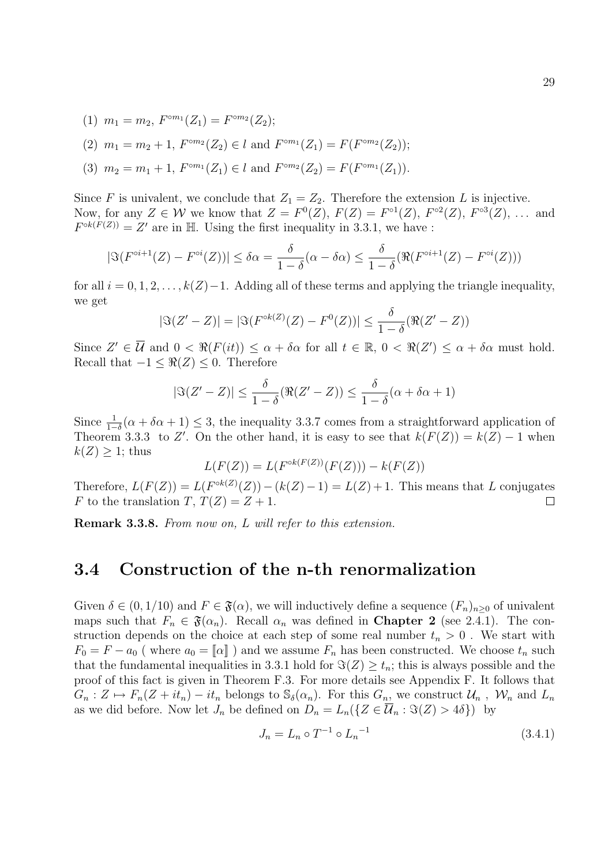(1)  $m_1 = m_2$ ,  $F^{\circ m_1}(Z_1) = F^{\circ m_2}(Z_2)$ ;

(2) 
$$
m_1 = m_2 + 1
$$
,  $F^{\circ m_2}(Z_2) \in l$  and  $F^{\circ m_1}(Z_1) = F(F^{\circ m_2}(Z_2))$ ;

(3)  $m_2 = m_1 + 1$ ,  $F^{\circ m_1}(Z_1) \in l$  and  $F^{\circ m_2}(Z_2) = F(F^{\circ m_1}(Z_1))$ .

Since F is univalent, we conclude that  $Z_1 = Z_2$ . Therefore the extension L is injective. Now, for any  $Z \in \mathcal{W}$  we know that  $Z = F^0(Z)$ ,  $F(Z) = F^{\circ1}(Z)$ ,  $F^{\circ2}(Z)$ ,  $F^{\circ3}(Z)$ , ... and  $F^{\circ k(F(Z))} = Z'$  are in H. Using the first inequality in 3.3.1, we have :

$$
|\Im(F^{\circ i+1}(Z) - F^{\circ i}(Z))| \le \delta \alpha = \frac{\delta}{1-\delta}(\alpha - \delta \alpha) \le \frac{\delta}{1-\delta}(\Re(F^{\circ i+1}(Z) - F^{\circ i}(Z)))
$$

for all  $i = 0, 1, 2, \ldots, k(Z)-1$ . Adding all of these terms and applying the triangle inequality, we get

$$
|\Im(Z'-Z)| = |\Im(F^{\circ k(Z)}(Z) - F^0(Z))| \le \frac{\delta}{1-\delta}(\Re(Z'-Z))
$$

Since  $Z' \in \overline{\mathcal{U}}$  and  $0 < \Re(F(it)) \leq \alpha + \delta \alpha$  for all  $t \in \mathbb{R}$ ,  $0 < \Re(Z') \leq \alpha + \delta \alpha$  must hold. Recall that  $-1 \leq \Re(Z) \leq 0$ . Therefore

$$
|\Im(Z'-Z)| \le \frac{\delta}{1-\delta} (\Re(Z'-Z)) \le \frac{\delta}{1-\delta} (\alpha + \delta \alpha + 1)
$$

Since  $\frac{1}{1-\delta}(\alpha + \delta \alpha + 1) \leq 3$ , the inequality 3.3.7 comes from a straightforward application of Theorem 3.3.3 to Z'. On the other hand, it is easy to see that  $k(F(Z)) = k(Z) - 1$  when  $k(Z) \geq 1$ ; thus

$$
L(F(Z)) = L(F^{\circ k(F(Z))}(F(Z))) - k(F(Z))
$$

Therefore,  $L(F(Z)) = L(F^{\circ k(Z)}(Z)) - (k(Z) - 1) = L(Z) + 1$ . This means that L conjugates F to the translation T,  $T(Z) = Z + 1$ .  $\Box$ 

Remark 3.3.8. From now on, L will refer to this extension.

### 3.4 Construction of the n-th renormalization

Given  $\delta \in (0, 1/10)$  and  $F \in \mathfrak{F}(\alpha)$ , we will inductively define a sequence  $(F_n)_{n>0}$  of univalent maps such that  $F_n \in \mathfrak{F}(\alpha_n)$ . Recall  $\alpha_n$  was defined in **Chapter 2** (see 2.4.1). The construction depends on the choice at each step of some real number  $t_n > 0$ . We start with  $F_0 = F - a_0$  (where  $a_0 = \llbracket \alpha \rrbracket$ ) and we assume  $F_n$  has been constructed. We choose  $t_n$  such that the fundamental inequalities in 3.3.1 hold for  $\Im(Z) \geq t_n$ ; this is always possible and the proof of this fact is given in Theorem F.3. For more details see Appendix F. It follows that  $G_n: Z \mapsto F_n(Z + it_n) - it_n$  belongs to  $\mathbb{S}_{\delta}(\alpha_n)$ . For this  $G_n$ , we construct  $\mathcal{U}_n$ ,  $\mathcal{W}_n$  and  $L_n$ as we did before. Now let  $J_n$  be defined on  $D_n = L_n({Z \in \overline{\mathcal{U}}_n : \Im(Z) > 4\delta})$  by

$$
J_n = L_n \circ T^{-1} \circ L_n^{-1} \tag{3.4.1}
$$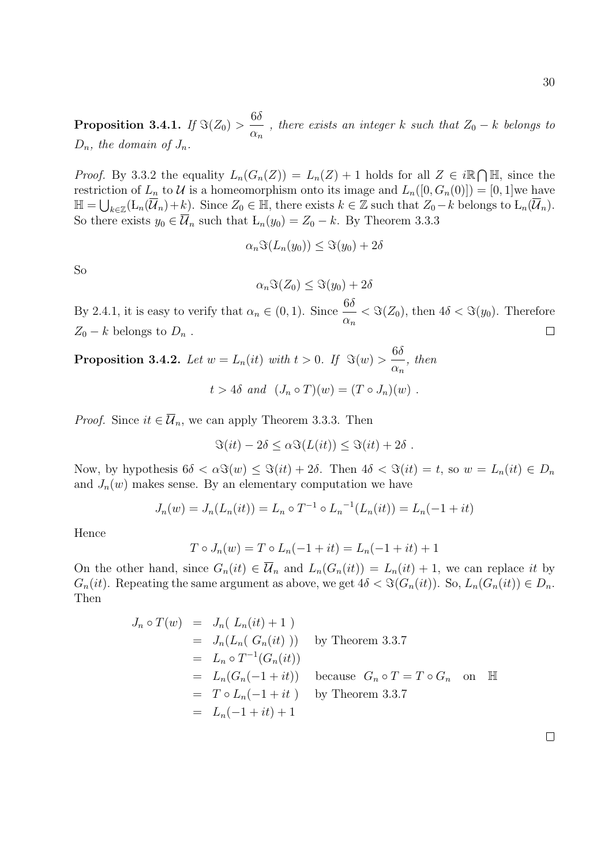Proposition 3.4.1. If  $\Im(Z_0) > \frac{6\delta}{2}$  $\alpha_n$ , there exists an integer k such that  $Z_0 - k$  belongs to  $D_n$ , the domain of  $J_n$ .

*Proof.* By 3.3.2 the equality  $L_n(G_n(Z)) = L_n(Z) + 1$  holds for all  $Z \in i\mathbb{R}\cap\mathbb{H}$ , since the restriction of  $L_n$  to U is a homeomorphism onto its image and  $L_n([0, G_n(0)]) = [0, 1]$  we have  $\mathbb{H} = \bigcup_{k \in \mathbb{Z}} (\mathbb{L}_n(\overline{\mathcal{U}}_n)+k).$  Since  $Z_0 \in \mathbb{H}$ , there exists  $k \in \mathbb{Z}$  such that  $Z_0 - k$  belongs to  $\mathbb{L}_n(\overline{\mathcal{U}}_n)$ . So there exists  $y_0 \in \overline{\mathcal{U}}_n$  such that  $L_n(y_0) = Z_0 - k$ . By Theorem 3.3.3

$$
\alpha_n \Im(L_n(y_0)) \leq \Im(y_0) + 2\delta
$$

So

$$
\alpha_n \Im(Z_0) \le \Im(y_0) + 2\delta
$$

By 2.4.1, it is easy to verify that  $\alpha_n \in (0,1)$ . Since  $\frac{6\delta}{\alpha}$  $< \Im(Z_0)$ , then  $4\delta < \Im(y_0)$ . Therefore  $\alpha_n$  $Z_0 - k$  belongs to  $D_n$ .  $\Box$ 

**Proposition 3.4.2.** Let  $w = L_n(it)$  with  $t > 0$ . If  $\Im(w) > \frac{6\delta}{2}$  $\alpha_n$ , then  $t > 4\delta$  and  $(J_n \circ T)(w) = (T \circ J_n)(w)$ .

*Proof.* Since  $it \in \overline{\mathcal{U}}_n$ , we can apply Theorem 3.3.3. Then

$$
\Im(it) - 2\delta \leq \alpha \Im(L(it)) \leq \Im(it) + 2\delta.
$$

Now, by hypothesis  $6\delta < \alpha \Im(w) \leq \Im(it) + 2\delta$ . Then  $4\delta < \Im(it) = t$ , so  $w = L_n(it) \in D_n$ and  $J_n(w)$  makes sense. By an elementary computation we have

$$
J_n(w) = J_n(L_n(it)) = L_n \circ T^{-1} \circ L_n^{-1}(L_n(it)) = L_n(-1+it)
$$

Hence

$$
T \circ J_n(w) = T \circ L_n(-1 + it) = L_n(-1 + it) + 1
$$

On the other hand, since  $G_n(it) \in \overline{\mathcal{U}}_n$  and  $L_n(G_n(it)) = L_n(it) + 1$ , we can replace it by  $G_n(it)$ . Repeating the same argument as above, we get  $4\delta < \Im(G_n(it))$ . So,  $L_n(G_n(it)) \in D_n$ . Then

$$
J_n \circ T(w) = J_n(L_n(it) + 1)
$$
  
\n
$$
= J_n(L_n(G_n(it)))
$$
 by Theorem 3.3.7  
\n
$$
= L_n \circ T^{-1}(G_n(it))
$$
  
\n
$$
= L_n(G_n(-1+it))
$$
 because  $G_n \circ T = T \circ G_n$  on  $\mathbb{H}$   
\n
$$
= T \circ L_n(-1+it)
$$
 by Theorem 3.3.7  
\n
$$
= L_n(-1+it) + 1
$$

 $\Box$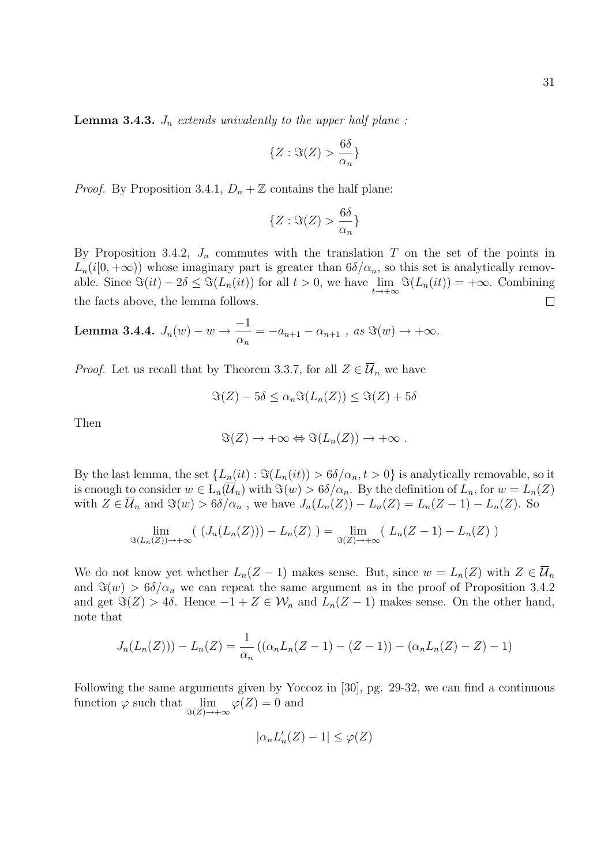**Lemma 3.4.3.**  $J_n$  extends univalently to the upper half plane:

$$
\{Z:\Im(Z) > \frac{6\delta}{\alpha_n}\}
$$

*Proof.* By Proposition 3.4.1,  $D_n + \mathbb{Z}$  contains the half plane:

$$
\{Z:\Im(Z) > \frac{6\delta}{\alpha_n}\}
$$

By Proposition 3.4.2,  $J_n$  commutes with the translation T on the set of the points in  $L_n(i[0,+\infty))$  whose imaginary part is greater than  $6\delta/\alpha_n$ , so this set is analytically removable. Since  $\Im(it) - 2\delta \leq \Im(L_n(it))$  for all  $t > 0$ , we have  $\lim_{t \to +\infty} \Im(L_n(it)) = +\infty$ . Combining the facts above, the lemma follows.  $\Box$ 

**Lemma 3.4.4.** 
$$
J_n(w) - w \to \frac{-1}{\alpha_n} = -a_{n+1} - \alpha_{n+1}
$$
, as  $\Im(w) \to +\infty$ .

*Proof.* Let us recall that by Theorem 3.3.7, for all  $Z \in \overline{\mathcal{U}}_n$  we have

$$
\Im(Z) - 5\delta \le \alpha_n \Im(L_n(Z)) \le \Im(Z) + 5\delta
$$

Then

$$
\Im(Z) \to +\infty \Leftrightarrow \Im(L_n(Z)) \to +\infty .
$$

By the last lemma, the set  $\{L_n(it): \Im(L_n(it)) > 6\delta/\alpha_n, t > 0\}$  is analytically removable, so it is enough to consider  $w \in L_n(\overline{\mathcal{U}}_n)$  with  $\Im(w) > 6\delta/\alpha_n$ . By the definition of  $L_n$ , for  $w = L_n(Z)$ with  $Z \in \overline{\mathcal{U}}_n$  and  $\Im(w) > 6\delta/\alpha_n$ , we have  $J_n(L_n(Z)) - L_n(Z) = L_n(Z - 1) - L_n(Z)$ . So

$$
\lim_{\Im(L_n(Z))\to+\infty} ( (J_n(L_n(Z))) - L_n(Z) ) = \lim_{\Im(Z)\to+\infty} ( L_n(Z-1) - L_n(Z) )
$$

We do not know yet whether  $L_n(Z-1)$  makes sense. But, since  $w = L_n(Z)$  with  $Z \in \overline{\mathcal{U}}_n$ and  $\Im(w) > 6\delta/\alpha_n$  we can repeat the same argument as in the proof of Proposition 3.4.2 and get  $\Im(Z) > 4\delta$ . Hence  $-1 + Z \in \mathcal{W}_n$  and  $L_n(Z-1)$  makes sense. On the other hand, note that

$$
J_n(L_n(Z))) - L_n(Z) = \frac{1}{\alpha_n} ((\alpha_n L_n(Z - 1) - (Z - 1)) - (\alpha_n L_n(Z) - Z) - 1)
$$

Following the same arguments given by Yoccoz in [30], pg. 29-32, we can find a continuous function  $\varphi$  such that  $\lim_{\Im(Z)\to+\infty}\varphi(Z)=0$  and

$$
|\alpha_n L'_n(Z) - 1| \le \varphi(Z)
$$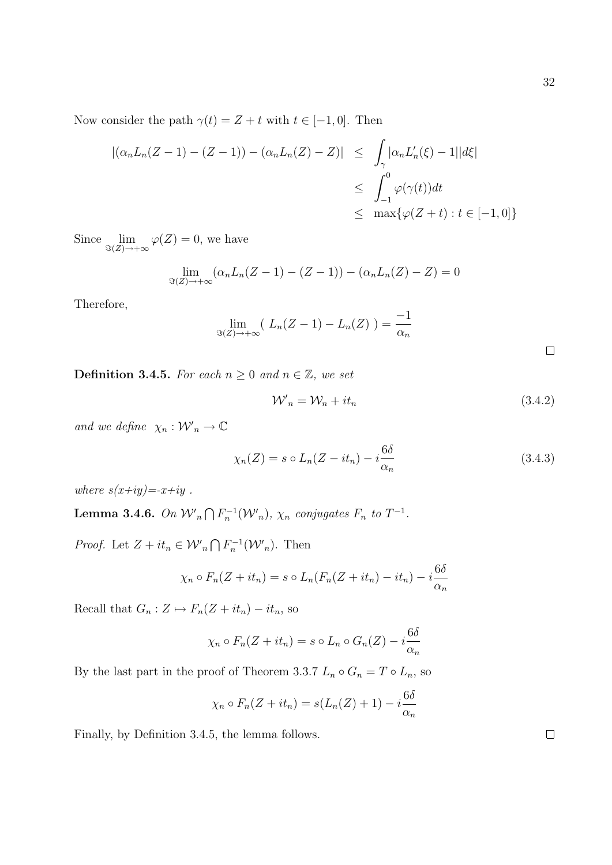Now consider the path  $\gamma(t) = Z + t$  with  $t \in [-1, 0]$ . Then

$$
\begin{aligned} |(\alpha_n L_n(Z-1) - (Z-1)) - (\alpha_n L_n(Z) - Z)| &\leq \int_{\gamma} |\alpha_n L'_n(\xi) - 1| |d\xi| \\ &\leq \int_{-1}^0 \varphi(\gamma(t)) dt \\ &\leq \max \{ \varphi(Z+t) : t \in [-1, 0] \} \end{aligned}
$$

Since  $\lim_{\Im(Z)\to+\infty}\varphi(Z)=0$ , we have

$$
\lim_{S(Z)\to+\infty} (\alpha_n L_n(Z-1) - (Z-1)) - (\alpha_n L_n(Z) - Z) = 0
$$

Therefore,

$$
\lim_{\Im(Z)\to+\infty} (L_n(Z-1)-L_n(Z))=\frac{-1}{\alpha_n}
$$

**Definition 3.4.5.** For each  $n \geq 0$  and  $n \in \mathbb{Z}$ , we set

$$
\mathcal{W}'_n = \mathcal{W}_n + it_n \tag{3.4.2}
$$

and we define  $\chi_n: \mathcal{W'}_n \to \mathbb{C}$ 

$$
\chi_n(Z) = s \circ L_n(Z - it_n) - i \frac{6\delta}{\alpha_n} \tag{3.4.3}
$$

where  $s(x+iy) = -x+iy$ .

**Lemma 3.4.6.** On  $W'_n \bigcap F_n^{-1}(W'_n)$ ,  $\chi_n$  conjugates  $F_n$  to  $T^{-1}$ .

*Proof.* Let  $Z + it_n \in \mathcal{W}'_n \cap F_n^{-1}(\mathcal{W}'_n)$ . Then

$$
\chi_n \circ F_n(Z + it_n) = s \circ L_n(F_n(Z + it_n) - it_n) - i\frac{6\delta}{\alpha_n}
$$

Recall that  $G_n : Z \mapsto F_n(Z + it_n) - it_n$ , so

$$
\chi_n \circ F_n(Z + it_n) = s \circ L_n \circ G_n(Z) - i \frac{6\delta}{\alpha_n}
$$

By the last part in the proof of Theorem 3.3.7  $L_n \circ G_n = T \circ L_n$ , so

$$
\chi_n \circ F_n(Z + it_n) = s(L_n(Z) + 1) - i \frac{6\delta}{\alpha_n}
$$

Finally, by Definition 3.4.5, the lemma follows.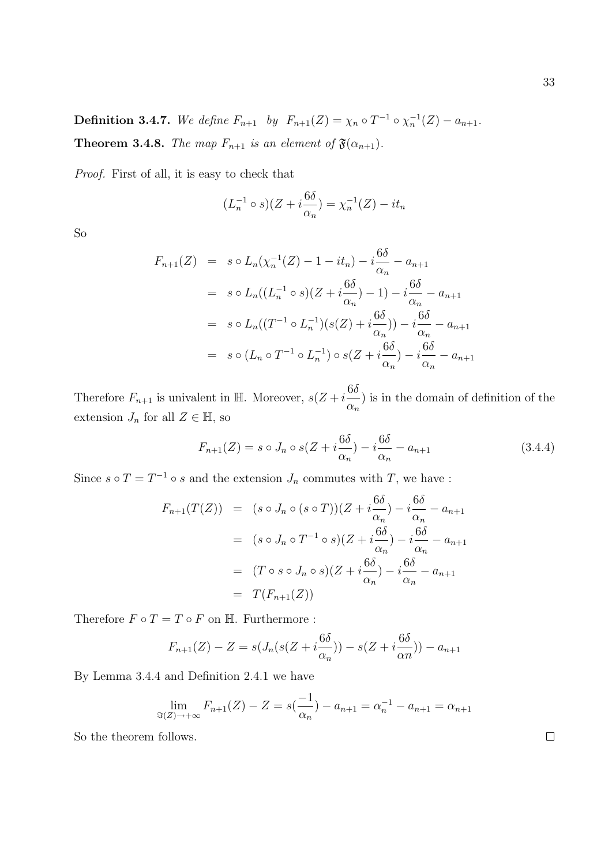**Definition 3.4.7.** We define  $F_{n+1}$  by  $F_{n+1}(Z) = \chi_n \circ T^{-1} \circ \chi_n^{-1}(Z) - a_{n+1}$ . **Theorem 3.4.8.** The map  $F_{n+1}$  is an element of  $\mathfrak{F}(\alpha_{n+1})$ .

Proof. First of all, it is easy to check that

$$
(L_n^{-1} \circ s)(Z + i\frac{6\delta}{\alpha_n}) = \chi_n^{-1}(Z) - it_n
$$

So

$$
F_{n+1}(Z) = s \circ L_n(\chi_n^{-1}(Z) - 1 - it_n) - i\frac{6\delta}{\alpha_n} - a_{n+1}
$$
  

$$
= s \circ L_n((L_n^{-1} \circ s)(Z + i\frac{6\delta}{\alpha_n}) - 1) - i\frac{6\delta}{\alpha_n} - a_{n+1}
$$
  

$$
= s \circ L_n((T^{-1} \circ L_n^{-1})(s(Z) + i\frac{6\delta}{\alpha_n})) - i\frac{6\delta}{\alpha_n} - a_{n+1}
$$
  

$$
= s \circ (L_n \circ T^{-1} \circ L_n^{-1}) \circ s(Z + i\frac{6\delta}{\alpha_n}) - i\frac{6\delta}{\alpha_n} - a_{n+1}
$$

Therefore  $F_{n+1}$  is univalent in H. Moreover,  $s(Z + i\frac{6\delta}{Z})$  $\alpha_n$ ) is in the domain of definition of the extension  $J_n$  for all  $Z \in \mathbb{H}$ , so

$$
F_{n+1}(Z) = s \circ J_n \circ s(Z + i\frac{6\delta}{\alpha_n}) - i\frac{6\delta}{\alpha_n} - a_{n+1}
$$
\n(3.4.4)

Since  $s \circ T = T^{-1} \circ s$  and the extension  $J_n$  commutes with  $T$ , we have :

$$
F_{n+1}(T(Z)) = (s \circ J_n \circ (s \circ T))(Z + i\frac{6\delta}{\alpha_n}) - i\frac{6\delta}{\alpha_n} - a_{n+1}
$$
  

$$
= (s \circ J_n \circ T^{-1} \circ s)(Z + i\frac{6\delta}{\alpha_n}) - i\frac{6\delta}{\alpha_n} - a_{n+1}
$$
  

$$
= (T \circ s \circ J_n \circ s)(Z + i\frac{6\delta}{\alpha_n}) - i\frac{6\delta}{\alpha_n} - a_{n+1}
$$
  

$$
= T(F_{n+1}(Z))
$$

Therefore  $F \circ T = T \circ F$  on  $\mathbb H$ . Furthermore :

$$
F_{n+1}(Z) - Z = s(J_n(s(Z + i\frac{6\delta}{\alpha_n})) - s(Z + i\frac{6\delta}{\alpha_n})) - a_{n+1}
$$

By Lemma 3.4.4 and Definition 2.4.1 we have

$$
\lim_{\Im(Z)\to+\infty} F_{n+1}(Z) - Z = s\left(\frac{-1}{\alpha_n}\right) - a_{n+1} = \alpha_n^{-1} - a_{n+1} = \alpha_{n+1}
$$

So the theorem follows.

33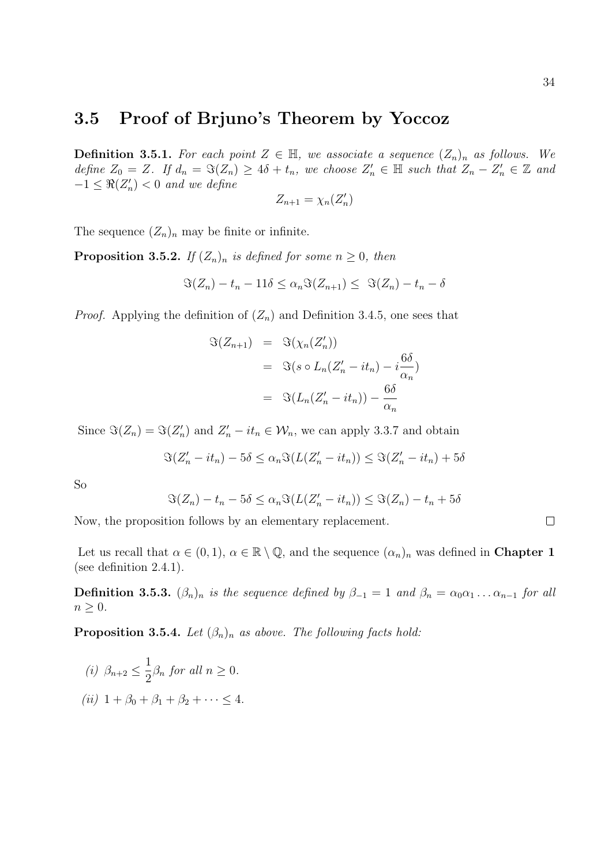#### 3.5 Proof of Brjuno's Theorem by Yoccoz

**Definition 3.5.1.** For each point  $Z \in \mathbb{H}$ , we associate a sequence  $(Z_n)_n$  as follows. We define  $Z_0 = Z$ . If  $d_n = \Im(Z_n) \ge 4\delta + t_n$ , we choose  $Z'_n \in \mathbb{H}$  such that  $Z_n - Z'_n \in \mathbb{Z}$  and  $-1 \leq \Re(Z'_n) < 0$  and we define

$$
Z_{n+1} = \chi_n(Z'_n)
$$

The sequence  $(Z_n)_n$  may be finite or infinite.

**Proposition 3.5.2.** If  $(Z_n)_n$  is defined for some  $n \geq 0$ , then

$$
\Im(Z_n) - t_n - 11\delta \le \alpha_n \Im(Z_{n+1}) \le \Im(Z_n) - t_n - \delta
$$

*Proof.* Applying the definition of  $(Z_n)$  and Definition 3.4.5, one sees that

$$
\mathfrak{S}(Z_{n+1}) = \mathfrak{S}(\chi_n(Z'_n))
$$
  
= 
$$
\mathfrak{S}(s \circ L_n(Z'_n - it_n) - i\frac{6\delta}{\alpha_n})
$$
  
= 
$$
\mathfrak{S}(L_n(Z'_n - it_n)) - \frac{6\delta}{\alpha_n}
$$

Since  $\Im(Z_n) = \Im(Z'_n)$  and  $Z'_n - it_n \in \mathcal{W}_n$ , we can apply 3.3.7 and obtain

$$
\Im(Z'_n - it_n) - 5\delta \le \alpha_n \Im(L(Z'_n - it_n)) \le \Im(Z'_n - it_n) + 5\delta
$$

So

$$
\Im(Z_n) - t_n - 5\delta \le \alpha_n \Im(L(Z'_n - it_n)) \le \Im(Z_n) - t_n + 5\delta
$$

Now, the proposition follows by an elementary replacement.

Let us recall that  $\alpha \in (0,1)$ ,  $\alpha \in \mathbb{R} \setminus \mathbb{Q}$ , and the sequence  $(\alpha_n)_n$  was defined in **Chapter 1** (see definition 2.4.1).

**Definition 3.5.3.**  $(\beta_n)_n$  is the sequence defined by  $\beta_{-1} = 1$  and  $\beta_n = \alpha_0 \alpha_1 \dots \alpha_{n-1}$  for all  $n \geq 0$ .

**Proposition 3.5.4.** Let  $(\beta_n)_n$  as above. The following facts hold:

(i) 
$$
\beta_{n+2} \le \frac{1}{2}\beta_n
$$
 for all  $n \ge 0$ .  
(ii)  $1 + \beta_0 + \beta_1 + \beta_2 + \cdots \le 4$ .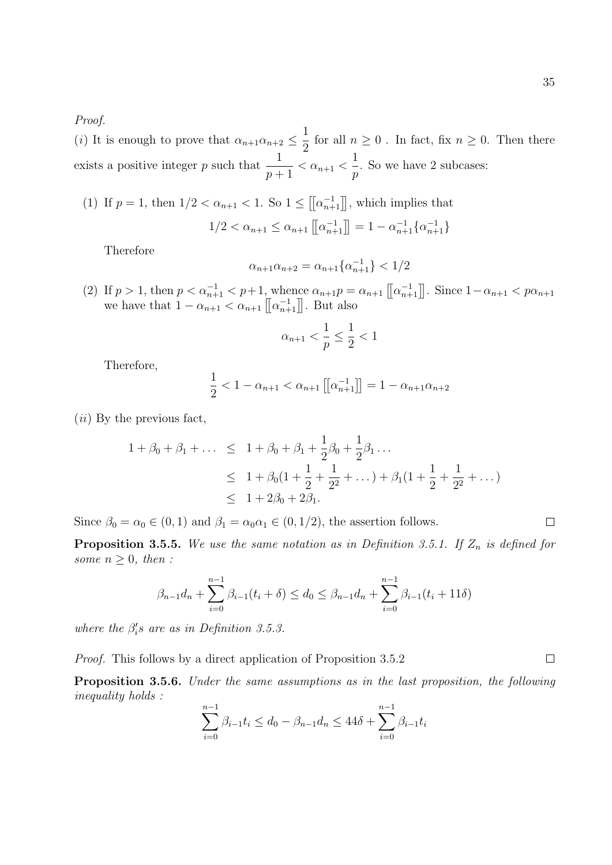Proof.

(*i*) It is enough to prove that  $\alpha_{n+1}\alpha_{n+2} \leq \frac{1}{2}$ 2 for all  $n \geq 0$ . In fact, fix  $n \geq 0$ . Then there exists a positive integer p such that  $\frac{1}{1}$  $\frac{1}{p+1} < \alpha_{n+1} <$ 1 p . So we have 2 subcases:

(1) If  $p = 1$ , then  $1/2 < \alpha_{n+1} < 1$ . So  $1 \leq [[\alpha_{n+1}^{-1}]]$ , which implies that  $1/2 < \alpha_{n+1} \leq \alpha_{n+1} \left[ \left[ \alpha_{n+1}^{-1} \right] \right] = 1 - \alpha_{n+1}^{-1} \{ \alpha_{n+1}^{-1} \}$ 

Therefore

$$
\alpha_{n+1}\alpha_{n+2} = \alpha_{n+1}\{\alpha_{n+1}^{-1}\} < 1/2
$$

(2) If  $p > 1$ , then  $p < \alpha_{n+1}^{-1} < p+1$ , whence  $\alpha_{n+1}p = \alpha_{n+1} \left[ \left[ \alpha_{n+1}^{-1} \right] \right]$ . Since  $1 - \alpha_{n+1} < p\alpha_{n+1}$ we have that  $1 - \alpha_{n+1} < \alpha_{n+1} \left[ \left[ \alpha_{n+1}^{-1} \right] \right]$ . But also

$$
\alpha_{n+1}<\frac{1}{p}\leq\frac{1}{2}<1
$$

Therefore,

$$
\frac{1}{2} < 1 - \alpha_{n+1} < \alpha_{n+1} \left[ \left[ \alpha_{n+1}^{-1} \right] \right] = 1 - \alpha_{n+1} \alpha_{n+2}
$$

 $(ii)$  By the previous fact,

$$
1 + \beta_0 + \beta_1 + \dots \leq 1 + \beta_0 + \beta_1 + \frac{1}{2}\beta_0 + \frac{1}{2}\beta_1 \dots
$$
  
\n
$$
\leq 1 + \beta_0(1 + \frac{1}{2} + \frac{1}{2^2} + \dots) + \beta_1(1 + \frac{1}{2} + \frac{1}{2^2} + \dots)
$$
  
\n
$$
\leq 1 + 2\beta_0 + 2\beta_1.
$$

Since  $\beta_0 = \alpha_0 \in (0, 1)$  and  $\beta_1 = \alpha_0 \alpha_1 \in (0, 1/2)$ , the assertion follows.

**Proposition 3.5.5.** We use the same notation as in Definition 3.5.1. If  $Z_n$  is defined for some  $n \geq 0$ , then :

$$
\beta_{n-1}d_n + \sum_{i=0}^{n-1} \beta_{i-1}(t_i + \delta) \le d_0 \le \beta_{n-1}d_n + \sum_{i=0}^{n-1} \beta_{i-1}(t_i + 11\delta)
$$

where the  $\beta_i$ 's are as in Definition 3.5.3.

Proof. This follows by a direct application of Proposition 3.5.2

Proposition 3.5.6. Under the same assumptions as in the last proposition, the following inequality holds :

$$
\sum_{i=0}^{n-1} \beta_{i-1} t_i \le d_0 - \beta_{n-1} d_n \le 44\delta + \sum_{i=0}^{n-1} \beta_{i-1} t_i
$$

 $\Box$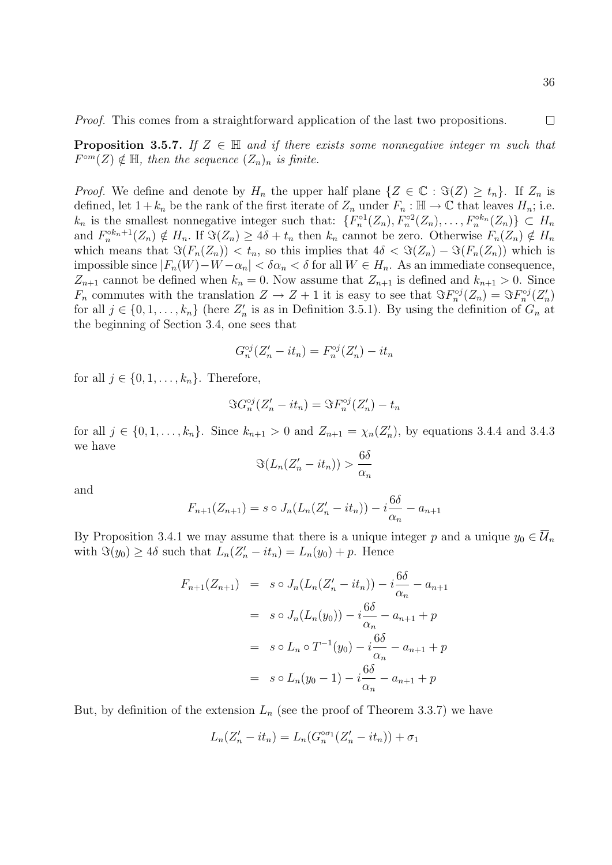Proof. This comes from a straightforward application of the last two propositions.

**Proposition 3.5.7.** If  $Z \in \mathbb{H}$  and if there exists some nonnegative integer m such that  $F^{\circ m}(Z) \notin \mathbb{H}$ , then the sequence  $(Z_n)_n$  is finite.

*Proof.* We define and denote by  $H_n$  the upper half plane  $\{Z \in \mathbb{C} : \Im(Z) \ge t_n\}$ . If  $Z_n$  is defined, let  $1 + k_n$  be the rank of the first iterate of  $Z_n$  under  $F_n : \mathbb{H} \to \mathbb{C}$  that leaves  $H_n$ ; i.e.  $k_n$  is the smallest nonnegative integer such that:  $\{F_n^{\circ1}(Z_n), F_n^{\circ2}(Z_n), \ldots, F_n^{\circ k_n}(Z_n)\} \subset H_n$ and  $F_n^{\circ k_n+1}(Z_n) \notin H_n$ . If  $\Im(Z_n) \geq 4\delta + t_n$  then  $k_n$  cannot be zero. Otherwise  $F_n(Z_n) \notin H_n$ which means that  $\Im(F_n(Z_n)) < t_n$ , so this implies that  $4\delta < \Im(Z_n) - \Im(F_n(Z_n))$  which is impossible since  $|F_n(W)-W-\alpha_n| < \delta \alpha_n < \delta$  for all  $W \in H_n$ . As an immediate consequence,  $Z_{n+1}$  cannot be defined when  $k_n = 0$ . Now assume that  $Z_{n+1}$  is defined and  $k_{n+1} > 0$ . Since  $F_n$  commutes with the translation  $Z \to Z + 1$  it is easy to see that  $\Im F_n^{\circ j}(Z_n) = \Im F_n^{\circ j}(Z_n')$ for all  $j \in \{0, 1, \ldots, k_n\}$  (here  $Z'_n$  is as in Definition 3.5.1). By using the definition of  $G_n$  at the beginning of Section 3.4, one sees that

$$
G_n^{\circ j}(Z_n'-it_n)=F_n^{\circ j}(Z_n')-it_n
$$

for all  $j \in \{0, 1, \ldots, k_n\}$ . Therefore,

$$
\Im G_n^{\circ j}(Z_n'-it_n)=\Im F_n^{\circ j}(Z_n')-t_n
$$

for all  $j \in \{0, 1, ..., k_n\}$ . Since  $k_{n+1} > 0$  and  $Z_{n+1} = \chi_n(Z'_n)$ , by equations 3.4.4 and 3.4.3 we have

$$
\Im(L_n(Z'_n - it_n)) > \frac{6\delta}{\alpha_n}
$$

and

$$
F_{n+1}(Z_{n+1}) = s \circ J_n(L_n(Z'_n - it_n)) - i\frac{6\delta}{\alpha_n} - a_{n+1}
$$

By Proposition 3.4.1 we may assume that there is a unique integer p and a unique  $y_0 \in \overline{\mathcal{U}}_n$ with  $\Im(y_0) \ge 4\delta$  such that  $L_n(Z'_n - it_n) = L_n(y_0) + p$ . Hence

$$
F_{n+1}(Z_{n+1}) = s \circ J_n(L_n(Z'_n - it_n)) - i\frac{6\delta}{\alpha_n} - a_{n+1}
$$
  

$$
= s \circ J_n(L_n(y_0)) - i\frac{6\delta}{\alpha_n} - a_{n+1} + p
$$
  

$$
= s \circ L_n \circ T^{-1}(y_0) - i\frac{6\delta}{\alpha_n} - a_{n+1} + p
$$
  

$$
= s \circ L_n(y_0 - 1) - i\frac{6\delta}{\alpha_n} - a_{n+1} + p
$$

But, by definition of the extension  $L_n$  (see the proof of Theorem 3.3.7) we have

$$
L_n(Z'_n - it_n) = L_n(G_n^{\circ \sigma_1}(Z'_n - it_n)) + \sigma_1
$$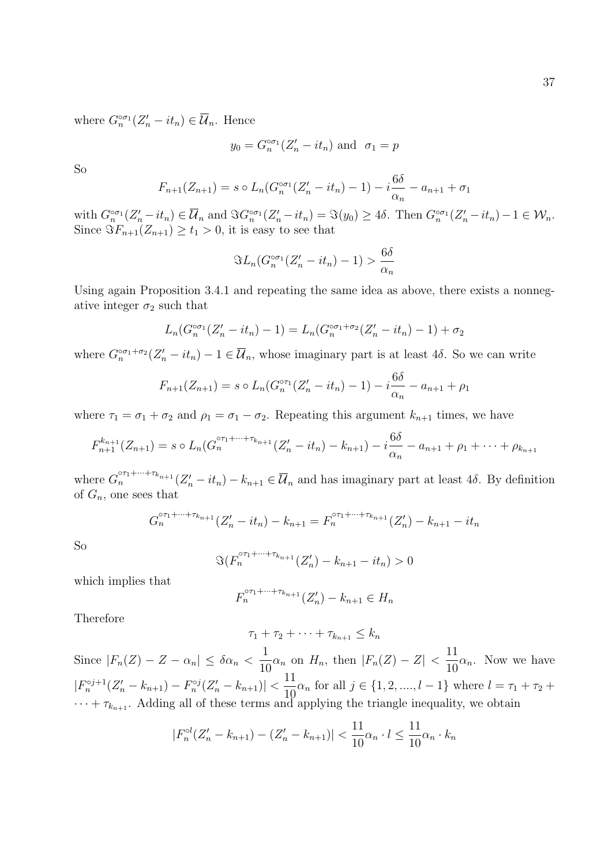where  $G_n^{\circ \sigma_1}(Z_n'-it_n) \in \overline{\mathcal{U}}_n$ . Hence

$$
y_0 = G_n^{\circ \sigma_1}(Z'_n - it_n)
$$
 and  $\sigma_1 = p$ 

So

$$
F_{n+1}(Z_{n+1}) = s \circ L_n(G_n^{\circ \sigma_1}(Z'_n - it_n) - 1) - i \frac{6\delta}{\alpha_n} - a_{n+1} + \sigma_1
$$

with  $G_n^{\circ \sigma_1}(Z_n'-it_n) \in \overline{\mathcal{U}}_n$  and  $\Im G_n^{\circ \sigma_1}(Z_n'-it_n) = \Im(y_0) \geq 4\delta$ . Then  $G_n^{\circ \sigma_1}(Z_n'-it_n) - 1 \in \mathcal{W}_n$ . Since  $\Im F_{n+1}(Z_{n+1}) \geq t_1 > 0$ , it is easy to see that

$$
\Im L_n(G_n^{\circ\sigma_1}(Z'_n - it_n) - 1) > \frac{6\delta}{\alpha_n}
$$

Using again Proposition 3.4.1 and repeating the same idea as above, there exists a nonnegative integer  $\sigma_2$  such that

$$
L_n(G_n^{\circ \sigma_1}(Z'_n - it_n) - 1) = L_n(G_n^{\circ \sigma_1 + \sigma_2}(Z'_n - it_n) - 1) + \sigma_2
$$

where  $G_n^{\circ \sigma_1 + \sigma_2}(Z_n' - it_n) - 1 \in \overline{\mathcal{U}}_n$ , whose imaginary part is at least 4 $\delta$ . So we can write

$$
F_{n+1}(Z_{n+1}) = s \circ L_n(G_n^{\circ \tau_1}(Z_n' - it_n) - 1) - i \frac{6\delta}{\alpha_n} - a_{n+1} + \rho_1
$$

where  $\tau_1 = \sigma_1 + \sigma_2$  and  $\rho_1 = \sigma_1 - \sigma_2$ . Repeating this argument  $k_{n+1}$  times, we have

$$
F_{n+1}^{k_{n+1}}(Z_{n+1}) = s \circ L_n(G_n^{\circ \tau_1 + \dots + \tau_{k_{n+1}}}(Z_n' - it_n) - k_{n+1}) - i \frac{6\delta}{\alpha_n} - a_{n+1} + \rho_1 + \dots + \rho_{k_{n+1}}
$$

where  $G_n^{\sigma_{\tau_1}+\cdots+\tau_{k_{n+1}}}(Z'_n - it_n) - k_{n+1} \in \overline{\mathcal{U}}_n$  and has imaginary part at least 48. By definition of  $G_n$ , one sees that

$$
G_n^{\circ \tau_1 + \dots + \tau_{k_{n+1}}} (Z_n' - it_n) - k_{n+1} = F_n^{\circ \tau_1 + \dots + \tau_{k_{n+1}}} (Z_n') - k_{n+1} - it_n
$$

So

$$
\Im(F_n^{\circ \tau_1 + \dots + \tau_{k_{n+1}}}(Z'_n) - k_{n+1} - it_n) > 0
$$

which implies that

$$
F_n^{\circ \tau_1 + \dots + \tau_{k_{n+1}}} (Z'_n) - k_{n+1} \in H_n
$$

Therefore

 $\tau_1 + \tau_2 + \cdots + \tau_{k_{n+1}} \leq k_n$ 

Since  $|F_n(Z) - Z - \alpha_n| \leq \delta \alpha_n < \frac{1}{16}$  $\frac{1}{10}\alpha_n$  on  $H_n$ , then  $|F_n(Z) - Z| < \frac{11}{10}$  $\frac{1}{10}\alpha_n$ . Now we have  $|F_n^{\circ j+1}(Z_n'-k_{n+1})-F_n^{\circ j}(Z_n'-k_{n+1})|<\frac{11}{10}$  $\frac{11}{10}\alpha_n$  for all  $j \in \{1, 2, ..., l-1\}$  where  $l = \tau_1 + \tau_2 +$  $\cdots + \tau_{k_{n+1}}$ . Adding all of these terms and applying the triangle inequality, we obtain

$$
|F_n^{\circ l}(Z_n'-k_{n+1})-(Z_n'-k_{n+1})| < \frac{11}{10}\alpha_n \cdot l \le \frac{11}{10}\alpha_n \cdot k_n
$$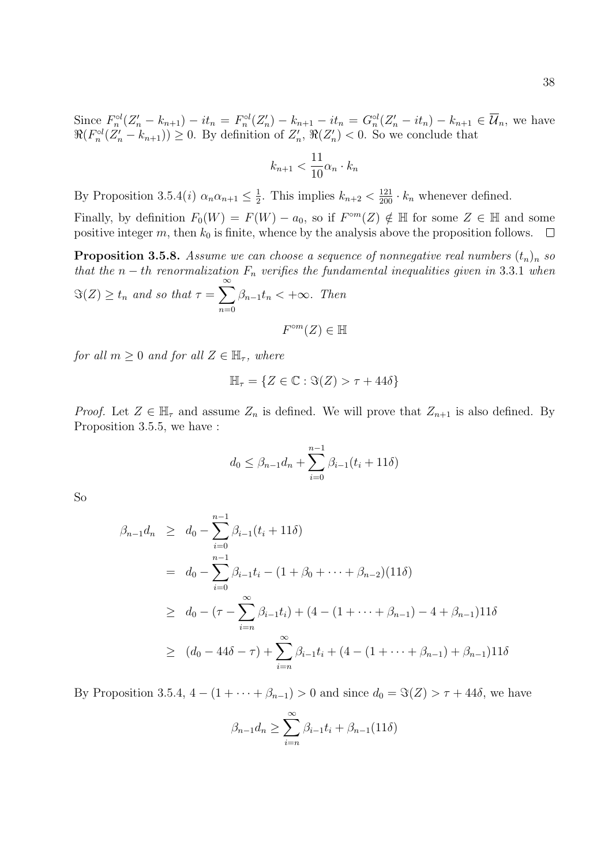Since  $F_n^{\circ l}(Z_n' - k_{n+1}) - it_n = F_n^{\circ l}(Z_n') - k_{n+1} - it_n = G_n^{\circ l}(Z_n' - it_n) - k_{n+1} \in \overline{\mathcal{U}}_n$ , we have  $\Re(F_n^{\circ l}(Z_n'-k_{n+1}))\geq 0$ . By definition of  $Z_n'$ ,  $\Re(Z_n')< 0$ . So we conclude that

$$
k_{n+1} < \frac{11}{10} \alpha_n \cdot k_n
$$

By Proposition 3.5.4(*i*)  $\alpha_n \alpha_{n+1} \leq \frac{1}{2}$  $\frac{1}{2}$ . This implies  $k_{n+2} < \frac{121}{200} \cdot k_n$  whenever defined.

Finally, by definition  $F_0(W) = F(W) - a_0$ , so if  $F^{\circ m}(Z) \notin \mathbb{H}$  for some  $Z \in \mathbb{H}$  and some positive integer  $m$ , then  $k_0$  is finite, whence by the analysis above the proposition follows.  $\Box$ 

**Proposition 3.5.8.** Assume we can choose a sequence of nonnegative real numbers  $(t_n)_n$  so that the  $n-th$  renormalization  $F_n$  verifies the fundamental inequalities given in 3.3.1 when  $\Im(Z) \geq t_n$  and so that  $\tau = \sum_{n=1}^{\infty}$  $n=0$  $\beta_{n-1}t_n < +\infty$ . Then  $F^{\circ m}(Z) \in \mathbb{H}$ 

for all  $m \geq 0$  and for all  $Z \in \mathbb{H}_{\tau}$ , where

$$
\mathbb{H}_{\tau} = \{ Z \in \mathbb{C} : \Im(Z) > \tau + 44\delta \}
$$

*Proof.* Let  $Z \in \mathbb{H}_{\tau}$  and assume  $Z_n$  is defined. We will prove that  $Z_{n+1}$  is also defined. By Proposition 3.5.5, we have :

$$
d_0 \le \beta_{n-1}d_n + \sum_{i=0}^{n-1} \beta_{i-1}(t_i + 11\delta)
$$

So

$$
\beta_{n-1}d_n \geq d_0 - \sum_{i=0}^{n-1} \beta_{i-1}(t_i + 11\delta)
$$
  
=  $d_0 - \sum_{i=0}^{n-1} \beta_{i-1}t_i - (1 + \beta_0 + \dots + \beta_{n-2})(11\delta)$   

$$
\geq d_0 - (\tau - \sum_{i=n}^{\infty} \beta_{i-1}t_i) + (4 - (1 + \dots + \beta_{n-1}) - 4 + \beta_{n-1})11\delta
$$
  

$$
\geq (d_0 - 44\delta - \tau) + \sum_{i=n}^{\infty} \beta_{i-1}t_i + (4 - (1 + \dots + \beta_{n-1}) + \beta_{n-1})11\delta
$$

By Proposition 3.5.4,  $4 - (1 + \cdots + \beta_{n-1}) > 0$  and since  $d_0 = \Im(Z) > \tau + 44\delta$ , we have

$$
\beta_{n-1}d_n \ge \sum_{i=n}^{\infty} \beta_{i-1}t_i + \beta_{n-1}(11\delta)
$$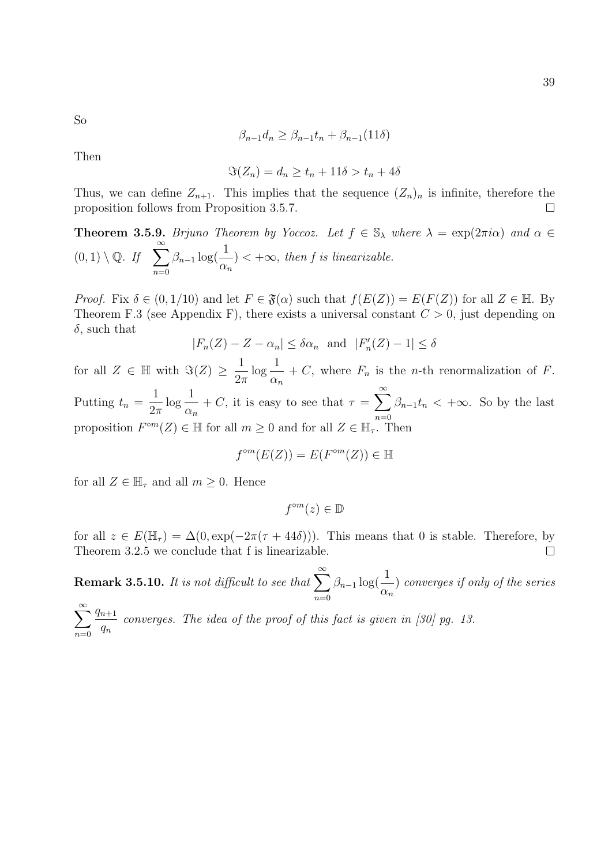So

$$
\beta_{n-1}d_n \ge \beta_{n-1}t_n + \beta_{n-1}(11\delta)
$$

Then

$$
\Im(Z_n) = d_n \ge t_n + 11\delta > t_n + 4\delta
$$

Thus, we can define  $Z_{n+1}$ . This implies that the sequence  $(Z_n)_n$  is infinite, therefore the proposition follows from Proposition 3.5.7.  $\Box$ 

**Theorem 3.5.9.** Brjuno Theorem by Yoccoz. Let  $f \in \mathbb{S}_{\lambda}$  where  $\lambda = \exp(2\pi i \alpha)$  and  $\alpha \in$  $(0, 1) \setminus \mathbb{Q}$ . If  $\sum_{i=1}^{\infty}$  $n=0$  $\beta_{n-1} \log(\frac{1}{n})$  $\alpha_n$  $) < +\infty$ , then f is linearizable.

*Proof.* Fix  $\delta \in (0, 1/10)$  and let  $F \in \mathfrak{F}(\alpha)$  such that  $f(E(Z)) = E(F(Z))$  for all  $Z \in \mathbb{H}$ . By Theorem F.3 (see Appendix F), there exists a universal constant  $C > 0$ , just depending on  $\delta$ , such that

$$
|F_n(Z) - Z - \alpha_n| \le \delta \alpha_n \text{ and } |F'_n(Z) - 1| \le \delta
$$

for all  $Z \in \mathbb{H}$  with  $\Im(Z) \geq \frac{1}{2}$  $2\pi$  $\log \frac{1}{1}$  $\alpha_n$ + C, where  $F_n$  is the *n*-th renormalization of F. Putting  $t_n =$ 1  $2\pi$  $\log \frac{1}{1}$  $\alpha_n$ + C, it is easy to see that  $\tau = \sum_{n=1}^{\infty}$  $n=0$  $\beta_{n-1}t_n < +\infty$ . So by the last proposition  $F^{\circ m}(Z) \in \mathbb{H}$  for all  $m \geq 0$  and for all  $Z \in \mathbb{H}_{\tau}$ . Then

$$
f^{\circ m}(E(Z)) = E(F^{\circ m}(Z)) \in \mathbb{H}
$$

for all  $Z \in \mathbb{H}_{\tau}$  and all  $m \geq 0$ . Hence

 $f^{\circ m}(z) \in \mathbb{D}$ 

for all  $z \in E(\mathbb{H}_{\tau}) = \Delta(0, \exp(-2\pi(\tau + 44\delta)))$ . This means that 0 is stable. Therefore, by Theorem 3.2.5 we conclude that f is linearizable.  $\Box$ 

**Remark 3.5.10.** It is not difficult to see that  $\sum_{n=1}^{\infty}$  $n=0$  $\beta_{n-1} \log(\frac{1}{\alpha})$  $\alpha_n$ ) converges if only of the series

 $\sum^{\infty}$  $n=0$  $q_{n+1}$  $q_n$ converges. The idea of the proof of this fact is given in [30] pg. 13.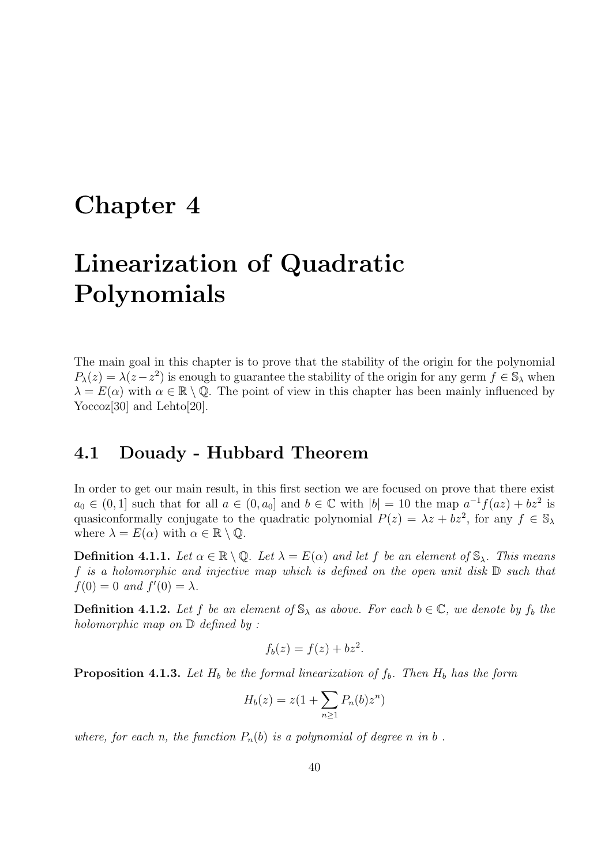#### Chapter 4

# Linearization of Quadratic Polynomials

The main goal in this chapter is to prove that the stability of the origin for the polynomial  $P_{\lambda}(z) = \lambda(z - z^2)$  is enough to guarantee the stability of the origin for any germ  $f \in \mathbb{S}_{\lambda}$  when  $\lambda = E(\alpha)$  with  $\alpha \in \mathbb{R} \setminus \mathbb{Q}$ . The point of view in this chapter has been mainly influenced by Yoccoz<sup>[30]</sup> and Lehto<sup>[20]</sup>.

#### 4.1 Douady - Hubbard Theorem

In order to get our main result, in this first section we are focused on prove that there exist  $a_0 \in (0,1]$  such that for all  $a \in (0,a_0]$  and  $b \in \mathbb{C}$  with  $|b| = 10$  the map  $a^{-1}f(az) + bz^2$  is quasiconformally conjugate to the quadratic polynomial  $P(z) = \lambda z + bz^2$ , for any  $f \in \mathbb{S}_{\lambda}$ where  $\lambda = E(\alpha)$  with  $\alpha \in \mathbb{R} \setminus \mathbb{Q}$ .

**Definition 4.1.1.** Let  $\alpha \in \mathbb{R} \setminus \mathbb{Q}$ . Let  $\lambda = E(\alpha)$  and let f be an element of  $\mathbb{S}_{\lambda}$ . This means f is a holomorphic and injective map which is defined on the open unit disk  $\mathbb D$  such that  $f(0) = 0$  and  $f'(0) = \lambda$ .

**Definition 4.1.2.** Let f be an element of  $\mathbb{S}_{\lambda}$  as above. For each  $b \in \mathbb{C}$ , we denote by  $f_b$  the holomorphic map on  $\mathbb D$  defined by :

$$
f_b(z) = f(z) + bz^2.
$$

**Proposition 4.1.3.** Let  $H_b$  be the formal linearization of  $f_b$ . Then  $H_b$  has the form

$$
H_b(z) = z(1 + \sum_{n\geq 1} P_n(b)z^n)
$$

where, for each n, the function  $P_n(b)$  is a polynomial of degree n in b.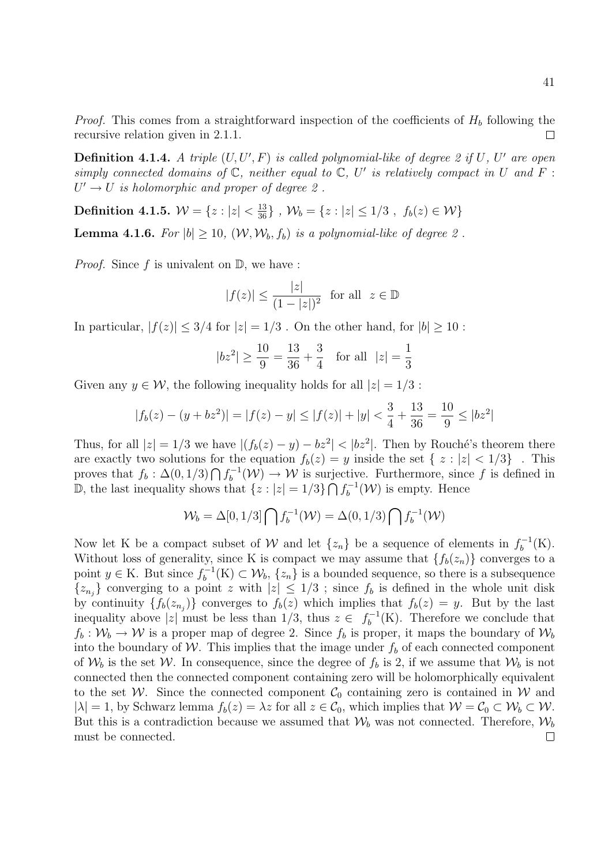*Proof.* This comes from a straightforward inspection of the coefficients of  $H_b$  following the recursive relation given in 2.1.1.

**Definition 4.1.4.** A triple  $(U, U', F)$  is called polynomial-like of degree 2 if U, U' are open simply connected domains of  $\mathbb C$ , neither equal to  $\mathbb C$ , U' is relatively compact in U and F :  $U' \rightarrow U$  is holomorphic and proper of degree 2.

**Definition 4.1.5.**  $\mathcal{W} = \{z : |z| < \frac{13}{36}\}$  ,  $\mathcal{W}_b = \{z : |z| \leq 1/3$  ,  $f_b(z) \in \mathcal{W}\}$ 

**Lemma 4.1.6.** For  $|b| \ge 10$ ,  $(\mathcal{W}, \mathcal{W}_b, f_b)$  is a polynomial-like of degree 2.

*Proof.* Since f is univalent on  $\mathbb{D}$ , we have :

$$
|f(z)| \le \frac{|z|}{(1-|z|)^2} \text{ for all } z \in \mathbb{D}
$$

In particular,  $|f(z)| \leq 3/4$  for  $|z| = 1/3$ . On the other hand, for  $|b| \geq 10$ :

$$
|bz^2| \ge \frac{10}{9} = \frac{13}{36} + \frac{3}{4}
$$
 for all  $|z| = \frac{1}{3}$ 

Given any  $y \in \mathcal{W}$ , the following inequality holds for all  $|z| = 1/3$ :

$$
|f_b(z) - (y + bz^2)| = |f(z) - y| \le |f(z)| + |y| < \frac{3}{4} + \frac{13}{36} = \frac{10}{9} \le |bz^2|
$$

Thus, for all  $|z| = 1/3$  we have  $|(f_b(z) - y) - bz^2| < |bz^2|$ . Then by Rouché's theorem there are exactly two solutions for the equation  $f_b(z) = y$  inside the set  $\{z : |z| < 1/3\}$ . This proves that  $f_b: \Delta(0, 1/3) \bigcap f_b^{-1}$  $b_b^{-1}(\mathcal{W}) \to \mathcal{W}$  is surjective. Furthermore, since f is defined in D, the last inequality shows that  $\{z : |z| = 1/3\} \bigcap f_h^{-1}$  $b_b^{-1}(\mathcal{W})$  is empty. Hence

$$
\mathcal{W}_b = \Delta[0, 1/3] \bigcap f_b^{-1}(\mathcal{W}) = \Delta(0, 1/3) \bigcap f_b^{-1}(\mathcal{W})
$$

Now let K be a compact subset of W and let  $\{z_n\}$  be a sequence of elements in  $f_b^{-1}$  $b^{-1}(K).$ Without loss of generality, since K is compact we may assume that  $\{f_b(z_n)\}\)$  converges to a point  $y \in K$ . But since  $f_h^{-1}$  $b_b^{-1}(K) \subset \mathcal{W}_b$ ,  $\{z_n\}$  is a bounded sequence, so there is a subsequence  $\{z_{n_j}\}\$  converging to a point z with  $|z|\leq 1/3$ ; since  $f_b$  is defined in the whole unit disk by continuity  $\{f_b(z_{n_j})\}$  converges to  $f_b(z)$  which implies that  $f_b(z) = y$ . But by the last inequality above |z| must be less than 1/3, thus  $z \in f_h^{-1}$  $b_b^{-1}(K)$ . Therefore we conclude that  $f_b: \mathcal{W}_b \to \mathcal{W}$  is a proper map of degree 2. Since  $f_b$  is proper, it maps the boundary of  $\mathcal{W}_b$ into the boundary of W. This implies that the image under  $f<sub>b</sub>$  of each connected component of  $W_b$  is the set W. In consequence, since the degree of  $f_b$  is 2, if we assume that  $W_b$  is not connected then the connected component containing zero will be holomorphically equivalent to the set W. Since the connected component  $C_0$  containing zero is contained in W and  $|\lambda| = 1$ , by Schwarz lemma  $f_b(z) = \lambda z$  for all  $z \in C_0$ , which implies that  $\mathcal{W} = C_0 \subset \mathcal{W}_b \subset \mathcal{W}$ . But this is a contradiction because we assumed that  $\mathcal{W}_b$  was not connected. Therefore,  $\mathcal{W}_b$ must be connected. $\Box$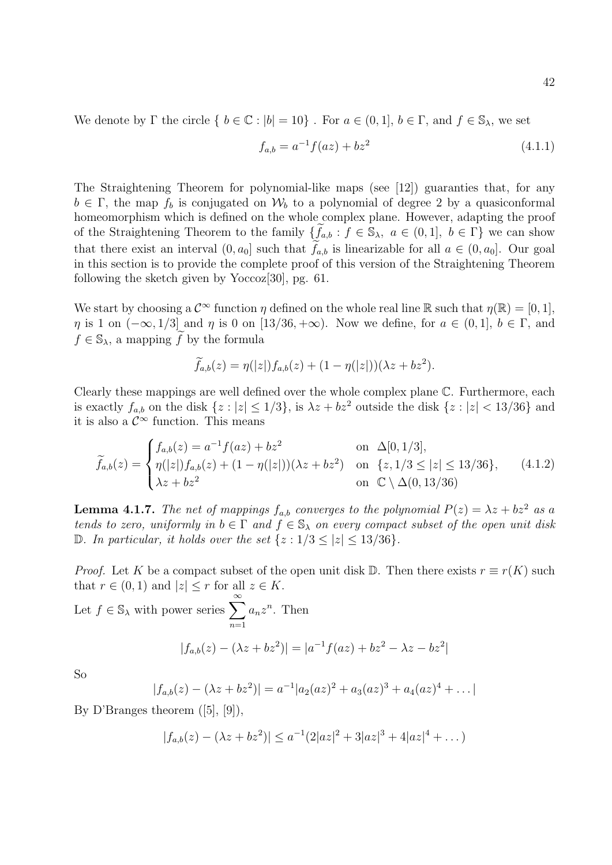We denote by  $\Gamma$  the circle  $\{ b \in \mathbb{C} : |b| = 10 \}$ . For  $a \in (0,1], b \in \Gamma$ , and  $f \in \mathbb{S}_{\lambda}$ , we set

$$
f_{a,b} = a^{-1} f(az) + bz^2
$$
\n(4.1.1)

The Straightening Theorem for polynomial-like maps (see [12]) guaranties that, for any  $b \in \Gamma$ , the map  $f_b$  is conjugated on  $\mathcal{W}_b$  to a polynomial of degree 2 by a quasiconformal homeomorphism which is defined on the whole complex plane. However, adapting the proof of the Straightening Theorem to the family  $\{f_{a,b} : f \in \mathbb{S}_{\lambda}, a \in (0,1], b \in \Gamma\}$  we can show that there exist an interval  $(0, a_0]$  such that  $f_{a,b}$  is linearizable for all  $a \in (0, a_0]$ . Our goal in this section is to provide the complete proof of this version of the Straightening Theorem following the sketch given by Yoccoz[30], pg. 61.

We start by choosing a  $\mathcal{C}^{\infty}$  function  $\eta$  defined on the whole real line R such that  $\eta(\mathbb{R}) = [0, 1]$ ,  $\eta$  is 1 on  $(-\infty, 1/3]$  and  $\eta$  is 0 on [13/36, + $\infty$ ). Now we define, for  $a \in (0, 1], b \in \Gamma$ , and  $f \in \mathbb{S}_{\lambda}$ , a mapping f by the formula

$$
\widetilde{f}_{a,b}(z) = \eta(|z|) f_{a,b}(z) + (1 - \eta(|z|))(\lambda z + bz^2).
$$

Clearly these mappings are well defined over the whole complex plane C. Furthermore, each is exactly  $f_{a,b}$  on the disk  $\{z : |z| \leq 1/3\}$ , is  $\lambda z + bz^2$  outside the disk  $\{z : |z| < 13/36\}$  and it is also a  $\mathcal{C}^{\infty}$  function. This means

$$
\widetilde{f}_{a,b}(z) = \begin{cases}\nf_{a,b}(z) = a^{-1}f(az) + bz^2 & \text{on } \Delta[0,1/3], \\
\eta(|z|)f_{a,b}(z) + (1 - \eta(|z|))(\lambda z + bz^2) & \text{on } \{z, 1/3 \le |z| \le 13/36\}, \\
\lambda z + bz^2 & \text{on } \mathbb{C} \setminus \Delta(0,13/36)\n\end{cases}
$$
\n(4.1.2)

**Lemma 4.1.7.** The net of mappings  $f_{a,b}$  converges to the polynomial  $P(z) = \lambda z + bz^2$  as a tends to zero, uniformly in  $b \in \Gamma$  and  $f \in \mathbb{S}_{\lambda}$  on every compact subset of the open unit disk D. In particular, it holds over the set  $\{z: 1/3 \le |z| \le 13/36\}.$ 

*Proof.* Let K be a compact subset of the open unit disk D. Then there exists  $r \equiv r(K)$  such that  $r \in (0,1)$  and  $|z| \leq r$  for all  $z \in K$ .

Let 
$$
f \in \mathbb{S}_{\lambda}
$$
 with power series  $\sum_{n=1}^{\infty} a_n z^n$ . Then  
\n
$$
|f_{a,b}(z) - (\lambda z + bz^2)| = |a^{-1}f(az) + bz^2 - \lambda z - bz^2|
$$

So

$$
|f_{a,b}(z) - (\lambda z + bz^2)| = a^{-1}|a_2(az)^2 + a_3(az)^3 + a_4(az)^4 + \dots|
$$

By D'Branges theorem ([5], [9]),

$$
|f_{a,b}(z) - (\lambda z + bz^2)| \le a^{-1}(2|az|^2 + 3|az|^3 + 4|az|^4 + \dots)
$$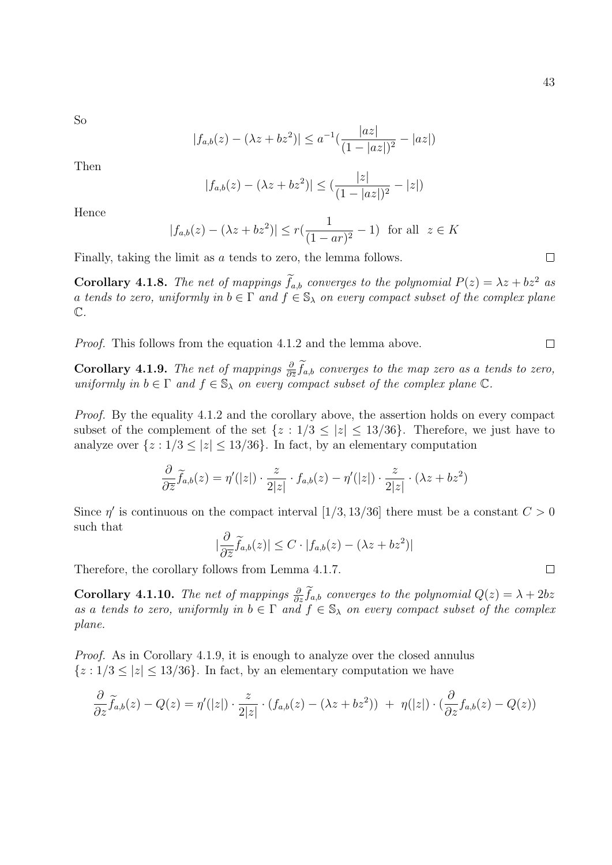So

$$
|f_{a,b}(z) - (\lambda z + bz^2)| \le a^{-1} \left( \frac{|az|}{(1-|az|)^2} - |az| \right)
$$

Then

$$
|f_{a,b}(z) - (\lambda z + bz^2)| \leq (\frac{|z|}{(1-|az|)^2} - |z|)
$$

Hence

$$
|f_{a,b}(z) - (\lambda z + bz^2)| \le r(\frac{1}{(1-ar)^2} - 1)
$$
 for all  $z \in K$ 

Finally, taking the limit as a tends to zero, the lemma follows.

**Corollary 4.1.8.** The net of mappings  $\tilde{f}_{a,b}$  converges to the polynomial  $P(z) = \lambda z + bz^2$  as a tends to zero, uniformly in  $b \in \Gamma$  and  $f \in \mathbb{S}_{\lambda}$  on every compact subset of the complex plane  $\mathbb{C}.$ 

Proof. This follows from the equation 4.1.2 and the lemma above.

**Corollary 4.1.9.** The net of mappings  $\frac{\partial}{\partial \bar{z}} \tilde{f}_{a,b}$  converges to the map zero as a tends to zero, uniformly in  $b \in \Gamma$  and  $f \in \mathbb{S}_{\lambda}$  on every compact subset of the complex plane  $\mathbb{C}$ .

Proof. By the equality 4.1.2 and the corollary above, the assertion holds on every compact subset of the complement of the set  $\{z: 1/3 \le |z| \le 13/36\}$ . Therefore, we just have to analyze over  $\{z: 1/3 \le |z| \le 13/36\}$ . In fact, by an elementary computation

$$
\frac{\partial}{\partial \overline{z}}\widetilde{f}_{a,b}(z) = \eta'(|z|) \cdot \frac{z}{2|z|} \cdot f_{a,b}(z) - \eta'(|z|) \cdot \frac{z}{2|z|} \cdot (\lambda z + bz^2)
$$

Since  $\eta'$  is continuous on the compact interval [1/3, 13/36] there must be a constant  $C > 0$ such that

$$
|\frac{\partial}{\partial \overline{z}}\widetilde{f}_{a,b}(z)| \leq C \cdot |f_{a,b}(z) - (\lambda z + bz^2)|
$$

Therefore, the corollary follows from Lemma 4.1.7.

**Corollary 4.1.10.** The net of mappings  $\frac{\partial}{\partial z} \tilde{f}_{a,b}$  converges to the polynomial  $Q(z) = \lambda + 2bz$ as a tends to zero, uniformly in  $b \in \Gamma$  and  $f \in \mathbb{S}_{\lambda}$  on every compact subset of the complex plane.

Proof. As in Corollary 4.1.9, it is enough to analyze over the closed annulus  ${z : 1/3 \lt |z| \lt 13/36}$ . In fact, by an elementary computation we have

$$
\frac{\partial}{\partial z}\widetilde{f}_{a,b}(z) - Q(z) = \eta'(|z|) \cdot \frac{z}{2|z|} \cdot (f_{a,b}(z) - (\lambda z + bz^2)) + \eta(|z|) \cdot (\frac{\partial}{\partial z}f_{a,b}(z) - Q(z))
$$

 $\Box$ 

 $\Box$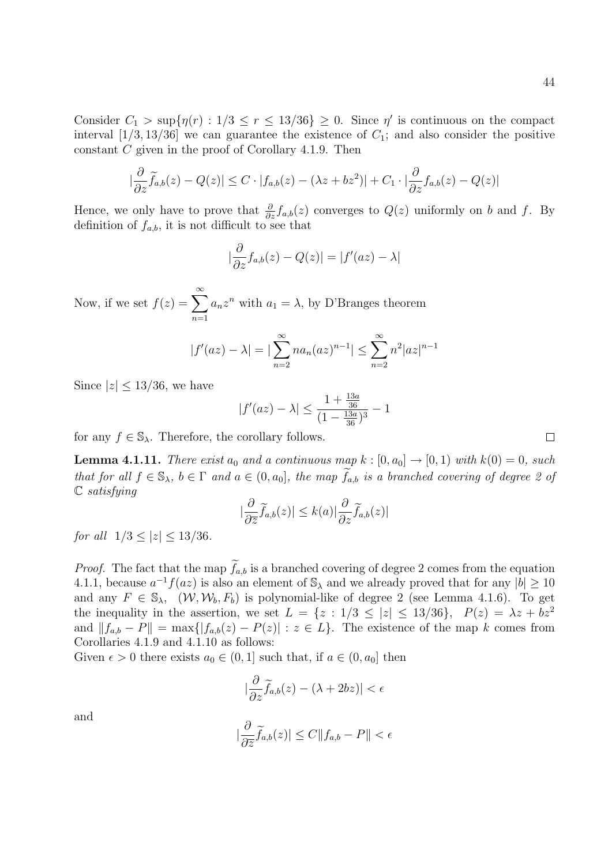Consider  $C_1 > \sup\{\eta(r) : 1/3 \le r \le 13/36\} \ge 0$ . Since  $\eta'$  is continuous on the compact interval  $[1/3, 13/36]$  we can guarantee the existence of  $C_1$ ; and also consider the positive constant C given in the proof of Corollary 4.1.9. Then

$$
\left|\frac{\partial}{\partial z}\widetilde{f}_{a,b}(z)-Q(z)\right|\leq C\cdot|f_{a,b}(z)-(\lambda z+bz^2)|+C_1\cdot|\frac{\partial}{\partial z}f_{a,b}(z)-Q(z)|
$$

Hence, we only have to prove that  $\frac{\partial}{\partial z} f_{a,b}(z)$  converges to  $Q(z)$  uniformly on b and f. By definition of  $f_{a,b}$ , it is not difficult to see that

$$
\left|\frac{\partial}{\partial z}f_{a,b}(z) - Q(z)\right| = |f'(az) - \lambda|
$$

Now, if we set  $f(z) = \sum_{n=0}^{\infty}$  $n=1$  $a_n z^n$  with  $a_1 = \lambda$ , by D'Branges theorem

$$
|f'(az) - \lambda| = |\sum_{n=2}^{\infty} na_n (az)^{n-1}| \le \sum_{n=2}^{\infty} n^2 |az|^{n-1}
$$

Since  $|z| \leq 13/36$ , we have

$$
|f'(az) - \lambda| \le \frac{1 + \frac{13a}{36}}{(1 - \frac{13a}{36})^3} - 1
$$

for any  $f \in \mathbb{S}_{\lambda}$ . Therefore, the corollary follows.

**Lemma 4.1.11.** There exist  $a_0$  and a continuous map  $k : [0, a_0] \rightarrow [0, 1)$  with  $k(0) = 0$ , such that for all  $f \in \mathbb{S}_{\lambda}$ ,  $b \in \Gamma$  and  $a \in (0, a_0]$ , the map  $f_{a,b}$  is a branched covering of degree 2 of  $\mathbb C$  satisfying

$$
\left|\frac{\partial}{\partial \overline{z}}\widetilde{f}_{a,b}(z)\right| \leq k(a)|\frac{\partial}{\partial z}\widetilde{f}_{a,b}(z)|
$$

for all  $1/3 < |z| < 13/36$ .

*Proof.* The fact that the map  $\tilde{f}_{a,b}$  is a branched covering of degree 2 comes from the equation 4.1.1, because  $a^{-1}f(az)$  is also an element of  $\mathbb{S}_{\lambda}$  and we already proved that for any  $|b| \geq 10$ and any  $F \in \mathbb{S}_{\lambda}$ ,  $(\mathcal{W}, \mathcal{W}_b, F_b)$  is polynomial-like of degree 2 (see Lemma 4.1.6). To get the inequality in the assertion, we set  $L = \{z : 1/3 \le |z| \le 13/36\}, P(z) = \lambda z + bz^2$ and  $||f_{a,b} - P|| = \max\{|f_{a,b}(z) - P(z)| : z \in L\}$ . The existence of the map k comes from Corollaries 4.1.9 and 4.1.10 as follows:

Given  $\epsilon > 0$  there exists  $a_0 \in (0, 1]$  such that, if  $a \in (0, a_0]$  then

|

$$
\left|\frac{\partial}{\partial z}\widetilde{f}_{a,b}(z) - (\lambda + 2bz)\right| < \epsilon
$$

and

$$
\frac{\partial}{\partial \overline{z}} \widetilde{f}_{a,b}(z)| \le C \|f_{a,b} - P\| < \epsilon
$$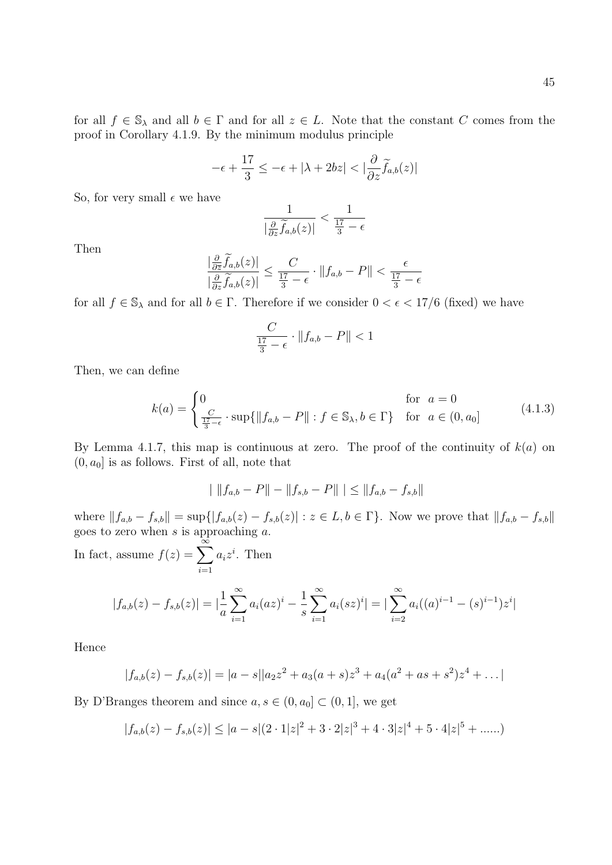for all  $f \in \mathbb{S}_{\lambda}$  and all  $b \in \Gamma$  and for all  $z \in L$ . Note that the constant C comes from the proof in Corollary 4.1.9. By the minimum modulus principle

$$
-\epsilon + \frac{17}{3} \leq -\epsilon + |\lambda + 2bz| < |\frac{\partial}{\partial z}\widetilde{f}_{a,b}(z)|
$$

So, for very small  $\epsilon$  we have

$$
\frac{1}{\left|\frac{\partial}{\partial z}\widetilde{f}_{a,b}(z)\right|} < \frac{1}{\frac{17}{3} - \epsilon}
$$

Then

$$
\frac{|\frac{\partial}{\partial \bar{z}}\widetilde{f}_{a,b}(z)|}{|\frac{\partial}{\partial z}\widetilde{f}_{a,b}(z)|} \le \frac{C}{\frac{17}{3}-\epsilon} \cdot \|f_{a,b} - P\| < \frac{\epsilon}{\frac{17}{3}-\epsilon}
$$

for all  $f \in \mathbb{S}_{\lambda}$  and for all  $b \in \Gamma$ . Therefore if we consider  $0 < \epsilon < 17/6$  (fixed) we have

$$
\frac{C}{\frac{17}{3}-\epsilon} \cdot \|f_{a,b} - P\| < 1
$$

Then, we can define

$$
k(a) = \begin{cases} 0 & \text{for } a = 0\\ \frac{C}{\frac{17}{3} - \epsilon} \cdot \sup\{\|f_{a,b} - P\| : f \in \mathbb{S}_{\lambda}, b \in \Gamma\} & \text{for } a \in (0, a_0] \end{cases}
$$
(4.1.3)

By Lemma 4.1.7, this map is continuous at zero. The proof of the continuity of  $k(a)$  on  $(0, a_0]$  is as follows. First of all, note that

$$
| \|f_{a,b} - P\| - \|f_{s,b} - P\| \| \le \|f_{a,b} - f_{s,b}\|
$$

where  $||f_{a,b} - f_{s,b}|| = \sup{||f_{a,b}(z) - f_{s,b}(z)|| : z \in L, b \in \Gamma}$ . Now we prove that  $||f_{a,b} - f_{s,b}||$ goes to zero when  $s$  is approaching  $a$ .

In fact, assume  $f(z) = \sum_{n=0}^{\infty}$  $i=1$  $a_i z^i$ . Then

$$
|f_{a,b}(z) - f_{s,b}(z)| = \left| \frac{1}{a} \sum_{i=1}^{\infty} a_i (az)^i - \frac{1}{s} \sum_{i=1}^{\infty} a_i (sz)^i \right| = \left| \sum_{i=2}^{\infty} a_i ((a)^{i-1} - (s)^{i-1}) z^i \right|
$$

Hence

$$
|f_{a,b}(z) - f_{s,b}(z)| = |a - s||a_2z^2 + a_3(a + s)z^3 + a_4(a^2 + as + s^2)z^4 + \dots|
$$

By D'Branges theorem and since  $a, s \in (0, a_0] \subset (0, 1]$ , we get

$$
|f_{a,b}(z) - f_{s,b}(z)| \le |a - s|(2 \cdot 1|z|^2 + 3 \cdot 2|z|^3 + 4 \cdot 3|z|^4 + 5 \cdot 4|z|^5 + \dots)
$$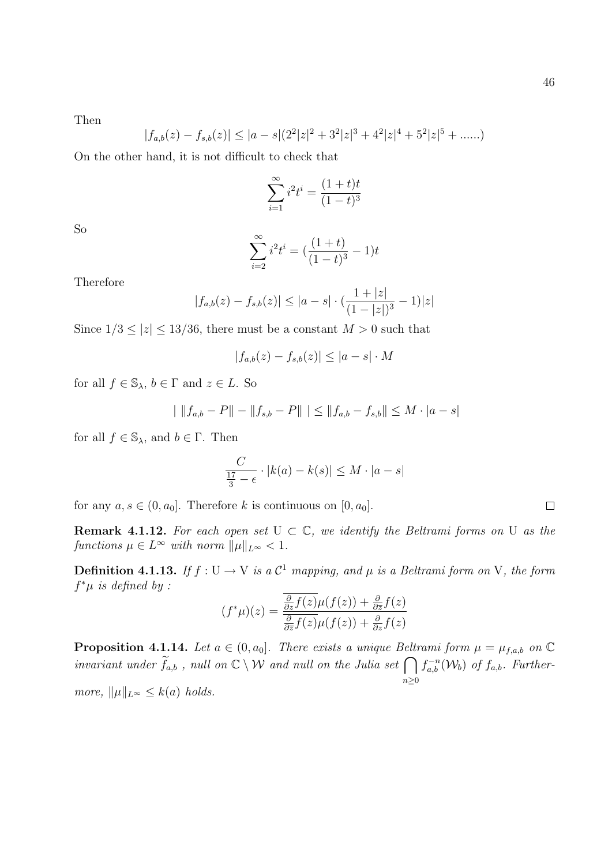Then

$$
|f_{a,b}(z) - f_{s,b}(z)| \le |a - s|(2^2|z|^2 + 3^2|z|^3 + 4^2|z|^4 + 5^2|z|^5 + \dots)
$$

On the other hand, it is not difficult to check that

$$
\sum_{i=1}^{\infty} i^2 t^i = \frac{(1+t)t}{(1-t)^3}
$$

So

$$
\sum_{i=2}^{\infty} i^2 t^i = \left(\frac{(1+t)}{(1-t)^3} - 1\right)t
$$

Therefore

$$
|f_{a,b}(z) - f_{s,b}(z)| \le |a - s| \cdot \left(\frac{1 + |z|}{(1 - |z|)^3} - 1\right)|z|
$$

Since  $1/3 \le |z| \le 13/36$ , there must be a constant  $M > 0$  such that

$$
|f_{a,b}(z) - f_{s,b}(z)| \le |a - s| \cdot M
$$

for all  $f \in \mathbb{S}_{\lambda}$ ,  $b \in \Gamma$  and  $z \in L$ . So

$$
| \|f_{a,b} - P\| - \|f_{s,b} - P\| \| \le \|f_{a,b} - f_{s,b}\| \le M \cdot |a - s|
$$

for all  $f \in \mathbb{S}_{\lambda}$ , and  $b \in \Gamma$ . Then

$$
\frac{C}{\frac{17}{3} - \epsilon} \cdot |k(a) - k(s)| \le M \cdot |a - s|
$$

for any  $a, s \in (0, a_0]$ . Therefore k is continuous on  $[0, a_0]$ .

**Remark 4.1.12.** For each open set  $U \subset \mathbb{C}$ , we identify the Beltrami forms on U as the functions  $\mu \in L^{\infty}$  with norm  $\|\mu\|_{L^{\infty}} < 1$ .

**Definition 4.1.13.** If  $f: U \to V$  is a  $\mathcal{C}^1$  mapping, and  $\mu$  is a Beltrami form on V, the form  $f^*\mu$  is defined by:

$$
(f^*\mu)(z) = \frac{\frac{\partial}{\partial z}f(z)\mu(f(z)) + \frac{\partial}{\partial \overline{z}}f(z)}{\frac{\partial}{\partial \overline{z}}f(z)\mu(f(z)) + \frac{\partial}{\partial z}f(z)}
$$

**Proposition 4.1.14.** Let  $a \in (0, a_0]$ . There exists a unique Beltrami form  $\mu = \mu_{f,a,b}$  on  $\mathbb{C}$ invariant under  $\widetilde{f}_{a,b}$ , null on  $\mathbb{C} \setminus \mathcal{W}$  and null on the Julia set  $\bigcap_{n \geq 0}$  $f_{a,b}^{-n}(\mathcal{W}_b)$  of  $f_{a,b}$ . Furthermore,  $\|\mu\|_{L^{\infty}} \leq k(a)$  holds.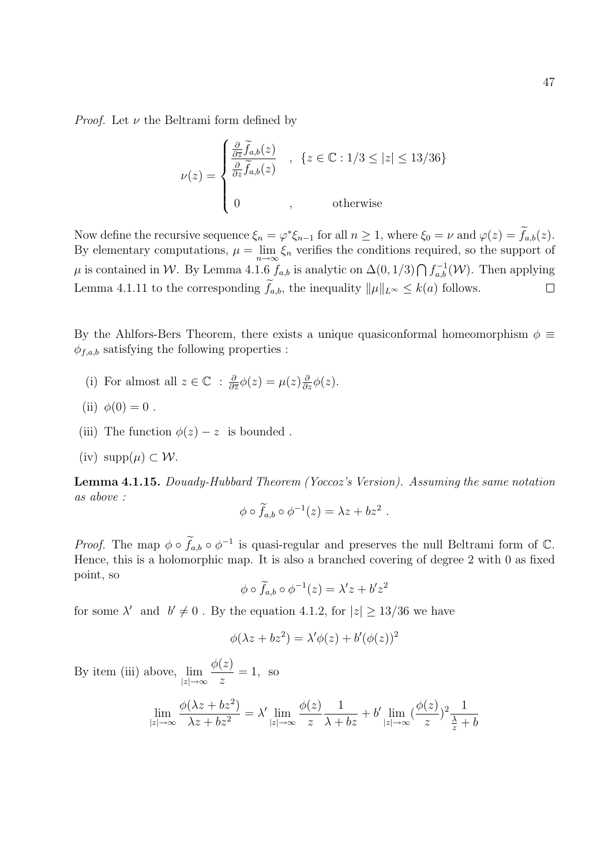*Proof.* Let  $\nu$  the Beltrami form defined by

$$
\nu(z) = \begin{cases} \frac{\frac{\partial}{\partial \bar{z}} \tilde{f}_{a,b}(z)}{\frac{\partial}{\partial z} \tilde{f}_{a,b}(z)} & , \ \{z \in \mathbb{C} : 1/3 \le |z| \le 13/36\} \\ 0 & , \qquad \text{otherwise} \end{cases}
$$

Now define the recursive sequence  $\xi_n = \varphi^* \xi_{n-1}$  for all  $n \ge 1$ , where  $\xi_0 = \nu$  and  $\varphi(z) = f_{a,b}(z)$ . By elementary computations,  $\mu = \lim_{n \to \infty} \xi_n$  verifies the conditions required, so the support of  $\mu$  is contained in W. By Lemma 4.1.6  $f_{a,b}$  is analytic on  $\Delta(0,1/3) \bigcap f_{a,b}^{-1}(\mathcal{W})$ . Then applying Lemma 4.1.11 to the corresponding  $\tilde{f}_{a,b}$ , the inequality  $\|\mu\|_{L^{\infty}} \leq k(a)$  follows.  $\Box$ 

By the Ahlfors-Bers Theorem, there exists a unique quasiconformal homeomorphism  $\phi \equiv$  $\phi_{f,a,b}$  satisfying the following properties :

- (i) For almost all  $z \in \mathbb{C}$  :  $\frac{\partial}{\partial \overline{z}}$  $\frac{\partial}{\partial \overline{z}}\phi(z)=\mu(z)\frac{\partial}{\partial z}\phi(z).$
- (ii)  $\phi(0) = 0$ .
- (iii) The function  $\phi(z) z$  is bounded.
- (iv)  $\text{supp}(\mu) \subset \mathcal{W}$ .

Lemma 4.1.15. Douady-Hubbard Theorem (Yoccoz's Version). Assuming the same notation as above :

$$
\phi \circ \widetilde{f}_{a,b} \circ \phi^{-1}(z) = \lambda z + b z^2.
$$

*Proof.* The map  $\phi \circ \widetilde{f}_{a,b} \circ \phi^{-1}$  is quasi-regular and preserves the null Beltrami form of  $\mathbb{C}$ . Hence, this is a holomorphic map. It is also a branched covering of degree 2 with 0 as fixed point, so

$$
\phi \circ \widetilde{f}_{a,b} \circ \phi^{-1}(z) = \lambda' z + b' z^2
$$

for some  $\lambda'$  and  $b' \neq 0$ . By the equation 4.1.2, for  $|z| \geq 13/36$  we have

$$
\phi(\lambda z + bz^2) = \lambda' \phi(z) + b'(\phi(z))^2
$$

By item (iii) above,  $\lim_{|z| \to \infty}$  $\phi(z)$ z  $= 1$ , so

$$
\lim_{|z| \to \infty} \frac{\phi(\lambda z + bz^2)}{\lambda z + bz^2} = \lambda' \lim_{|z| \to \infty} \frac{\phi(z)}{z} \frac{1}{\lambda + bz} + b' \lim_{|z| \to \infty} (\frac{\phi(z)}{z})^2 \frac{1}{\frac{\lambda}{z} + b}
$$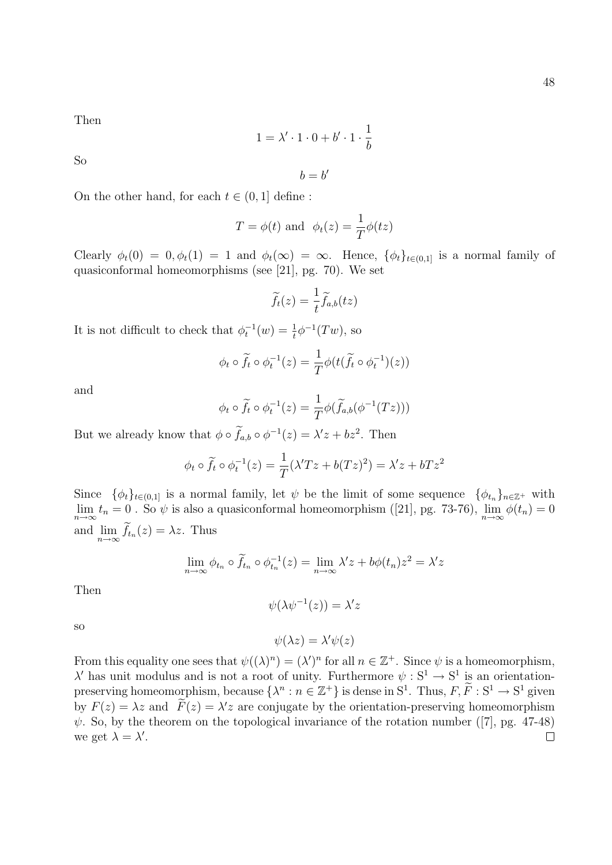Then

$$
1 = \lambda' \cdot 1 \cdot 0 + b' \cdot 1 \cdot \frac{1}{b}
$$

So

 $b = b'$ 

On the other hand, for each  $t \in (0, 1]$  define:

$$
T = \phi(t)
$$
 and  $\phi_t(z) = \frac{1}{T}\phi(tz)$ 

Clearly  $\phi_t(0) = 0, \phi_t(1) = 1$  and  $\phi_t(\infty) = \infty$ . Hence,  $\{\phi_t\}_{t \in (0,1]}$  is a normal family of quasiconformal homeomorphisms (see [21], pg. 70). We set

$$
\widetilde{f}_t(z) = \frac{1}{t} \widetilde{f}_{a,b}(tz)
$$

It is not difficult to check that  $\phi_t^{-1}(w) = \frac{1}{t} \phi^{-1}(Tw)$ , so

$$
\phi_t \circ \widetilde{f}_t \circ \phi_t^{-1}(z) = \frac{1}{T} \phi(t(\widetilde{f}_t \circ \phi_t^{-1})(z))
$$

and

$$
\phi_t \circ \widetilde{f}_t \circ \phi_t^{-1}(z) = \frac{1}{T} \phi(\widetilde{f}_{a,b}(\phi^{-1}(Tz)))
$$

But we already know that  $\phi \circ f_{a,b} \circ \phi^{-1}(z) = \lambda' z + bz^2$ . Then

$$
\phi_t \circ \widetilde{f}_t \circ \phi_t^{-1}(z) = \frac{1}{T} (\lambda' T z + b(Tz)^2) = \lambda' z + bTz^2
$$

Since  $\{\phi_t\}_{t\in(0,1]}$  is a normal family, let  $\psi$  be the limit of some sequence  $\{\phi_{t_n}\}_{n\in\mathbb{Z}^+}$  with  $\lim_{n\to\infty} t_n = 0$ . So  $\psi$  is also a quasiconformal homeomorphism ([21], pg. 73-76),  $\lim_{n\to\infty} \phi(t_n) = 0$ and  $\lim_{n\to\infty} f_{t_n}(z) = \lambda z$ . Thus

$$
\lim_{n \to \infty} \phi_{t_n} \circ \widetilde{f}_{t_n} \circ \phi_{t_n}^{-1}(z) = \lim_{n \to \infty} \lambda' z + b\phi(t_n)z^2 = \lambda' z
$$

Then

$$
\psi(\lambda \psi^{-1}(z)) = \lambda' z
$$

so

 $\psi(\lambda z) = \lambda' \psi(z)$ 

From this equality one sees that  $\psi((\lambda)^n) = (\lambda')^n$  for all  $n \in \mathbb{Z}^+$ . Since  $\psi$  is a homeomorphism,  $λ'$  has unit modulus and is not a root of unity. Furthermore  $ψ$ : S<sup>1</sup> → S<sup>1</sup> is an orientationpreserving homeomorphism, because  $\{\lambda^n : n \in \mathbb{Z}^+\}$  is dense in  $S^1$ . Thus,  $F, \widetilde{F} : S^1 \to S^1$  given by  $F(z) = \lambda z$  and  $\tilde{F}(z) = \lambda' z$  are conjugate by the orientation-preserving homeomorphism  $\psi$ . So, by the theorem on the topological invariance of the rotation number ([7], pg. 47-48) we get  $\lambda = \lambda'$ .  $\Box$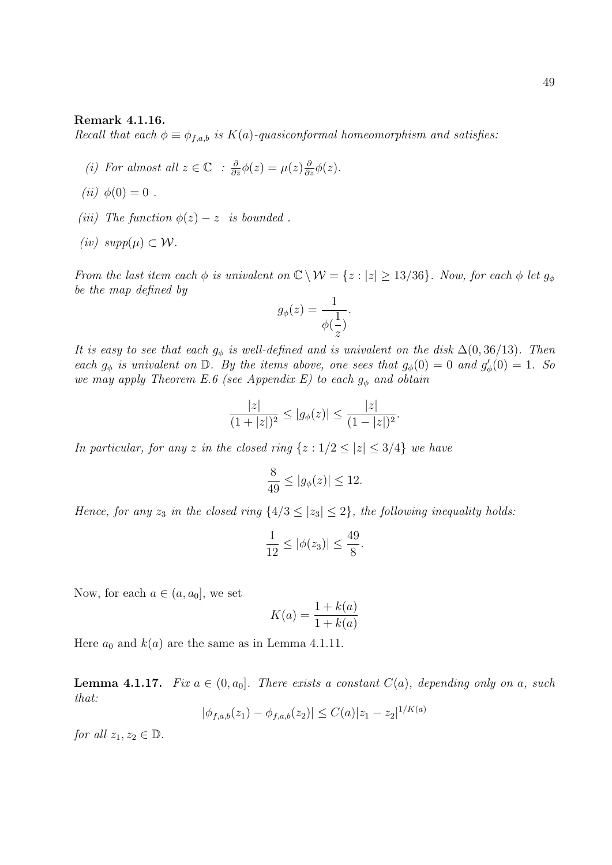#### Remark 4.1.16.

Recall that each  $\phi \equiv \phi_{f,a,b}$  is  $K(a)$ -quasiconformal homeomorphism and satisfies:

- (i) For almost all  $z \in \mathbb{C}$  :  $\frac{\partial}{\partial \overline{z}}$  $\frac{\partial}{\partial \overline{z}}\phi(z)=\mu(z)\frac{\partial}{\partial z}\phi(z).$
- (*ii*)  $\phi(0) = 0$ .
- (iii) The function  $\phi(z) z$  is bounded.
- (iv)  $supp(\mu) \subset \mathcal{W}$ .

From the last item each  $\phi$  is univalent on  $\mathbb{C} \setminus \mathcal{W} = \{z : |z| \geq 13/36\}$ . Now, for each  $\phi$  let  $g_{\phi}$ be the map defined by

$$
g_{\phi}(z) = \frac{1}{\phi(\frac{1}{z})}.
$$

It is easy to see that each  $g_{\phi}$  is well-defined and is univalent on the disk  $\Delta(0, 36/13)$ . Then each  $g_{\phi}$  is univalent on  $\mathbb{D}$ . By the items above, one sees that  $g_{\phi}(0) = 0$  and  $g'_{\phi}(0) = 1$ . So we may apply Theorem E.6 (see Appendix E) to each  $g_{\phi}$  and obtain

$$
\frac{|z|}{(1+|z|)^2} \le |g_{\phi}(z)| \le \frac{|z|}{(1-|z|)^2}.
$$

In particular, for any z in the closed ring  $\{z: 1/2 \le |z| \le 3/4\}$  we have

$$
\frac{8}{49} \le |g_{\phi}(z)| \le 12.
$$

Hence, for any  $z_3$  in the closed ring  $\{4/3 \leq |z_3| \leq 2\}$ , the following inequality holds:

$$
\frac{1}{12} \le |\phi(z_3)| \le \frac{49}{8}.
$$

Now, for each  $a \in (a, a_0]$ , we set

$$
K(a) = \frac{1 + k(a)}{1 + k(a)}
$$

Here  $a_0$  and  $k(a)$  are the same as in Lemma 4.1.11.

**Lemma 4.1.17.** Fix  $a \in (0, a_0]$ . There exists a constant  $C(a)$ , depending only on a, such that:  $/K(a)$ 

$$
|\phi_{f,a,b}(z_1) - \phi_{f,a,b}(z_2)| \le C(a)|z_1 - z_2|^{1/K(a)}
$$

for all  $z_1, z_2 \in \mathbb{D}$ .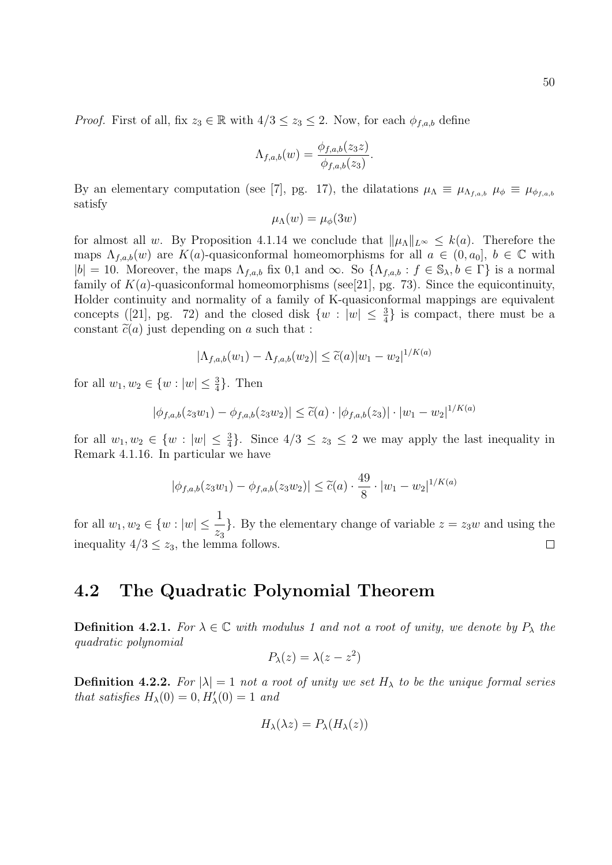*Proof.* First of all, fix  $z_3 \in \mathbb{R}$  with  $4/3 \leq z_3 \leq 2$ . Now, for each  $\phi_{f,a,b}$  define

$$
\Lambda_{f,a,b}(w) = \frac{\phi_{f,a,b}(z_3 z)}{\phi_{f,a,b}(z_3)}.
$$

By an elementary computation (see [7], pg. 17), the dilatations  $\mu_{\Lambda} \equiv \mu_{\Lambda_{f,a,b}}$   $\mu_{\phi} \equiv \mu_{\phi_{f,a,b}}$ satisfy

$$
\mu_{\Lambda}(w) = \mu_{\phi}(3w)
$$

for almost all w. By Proposition 4.1.14 we conclude that  $\|\mu_\Lambda\|_{L^\infty} \leq k(a)$ . Therefore the maps  $\Lambda_{f,a,b}(w)$  are  $K(a)$ -quasiconformal homeomorphisms for all  $a \in (0, a_0], b \in \mathbb{C}$  with  $|b| = 10$ . Moreover, the maps  $\Lambda_{f,a,b}$  fix 0,1 and  $\infty$ . So  $\{\Lambda_{f,a,b} : f \in \mathbb{S}_{\lambda}, b \in \Gamma\}$  is a normal family of  $K(a)$ -quasiconformal homeomorphisms (see[21], pg. 73). Since the equicontinuity, Holder continuity and normality of a family of K-quasiconformal mappings are equivalent concepts ([21], pg. 72) and the closed disk  $\{w : |w| \leq \frac{3}{4}\}\$ is compact, there must be a constant  $\tilde{c}(a)$  just depending on a such that :

$$
|\Lambda_{f,a,b}(w_1) - \Lambda_{f,a,b}(w_2)| \le \tilde{c}(a)|w_1 - w_2|^{1/K(a)}
$$

for all  $w_1, w_2 \in \{w : |w| \leq \frac{3}{4}\}.$  Then

$$
|\phi_{f,a,b}(z_3w_1) - \phi_{f,a,b}(z_3w_2)| \leq \widetilde{c}(a) \cdot |\phi_{f,a,b}(z_3)| \cdot |w_1 - w_2|^{1/K(a)}
$$

for all  $w_1, w_2 \in \{w : |w| \leq \frac{3}{4}\}.$  Since  $4/3 \leq z_3 \leq 2$  we may apply the last inequality in Remark 4.1.16. In particular we have

$$
|\phi_{f,a,b}(z_3w_1) - \phi_{f,a,b}(z_3w_2)| \leq \widetilde{c}(a) \cdot \frac{49}{8} \cdot |w_1 - w_2|^{1/K(a)}
$$

for all  $w_1, w_2 \in \{w : |w| \leq \frac{1}{w}\}$ }. By the elementary change of variable  $z = z_3w$  and using the  $\overline{z}_3$ inequality  $4/3 \leq z_3$ , the lemma follows.  $\Box$ 

#### 4.2 The Quadratic Polynomial Theorem

**Definition 4.2.1.** For  $\lambda \in \mathbb{C}$  with modulus 1 and not a root of unity, we denote by  $P_{\lambda}$  the quadratic polynomial

$$
P_{\lambda}(z) = \lambda(z - z^2)
$$

**Definition 4.2.2.** For  $|\lambda| = 1$  not a root of unity we set  $H_{\lambda}$  to be the unique formal series that satisfies  $H_{\lambda}(0) = 0, H'_{\lambda}(0) = 1$  and

$$
H_{\lambda}(\lambda z) = P_{\lambda}(H_{\lambda}(z))
$$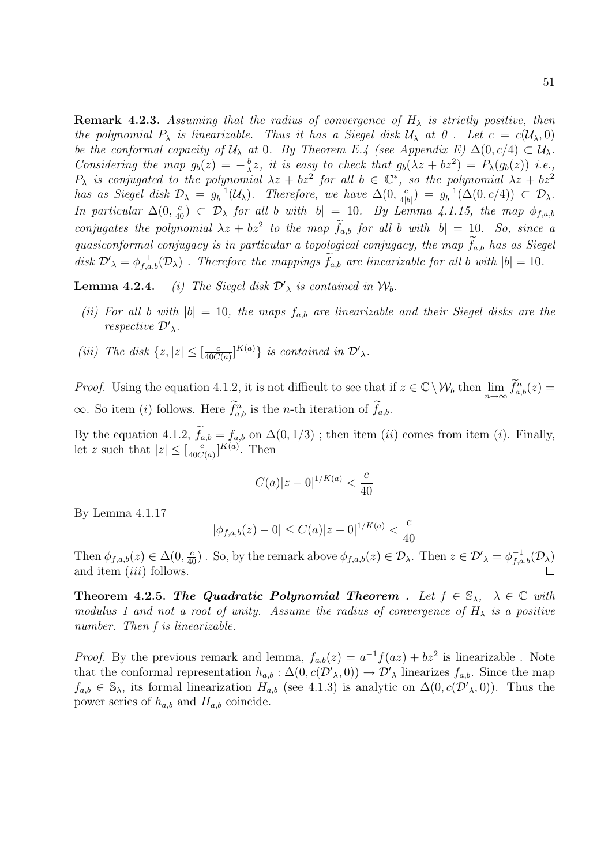**Remark 4.2.3.** Assuming that the radius of convergence of  $H_{\lambda}$  is strictly positive, then the polynomial  $P_\lambda$  is linearizable. Thus it has a Siegel disk  $\mathcal{U}_\lambda$  at  $\theta$ . Let  $c = c(\mathcal{U}_\lambda, 0)$ be the conformal capacity of  $U_\lambda$  at 0. By Theorem E.4 (see Appendix E)  $\Delta(0, c/4) \subset U_\lambda$ . Considering the map  $g_b(z) = -\frac{b}{\lambda}$  $\frac{b}{\lambda}z$ , it is easy to check that  $g_b(\lambda z + bz^2) = P_{\lambda}(g_b(z))$  i.e.,  $P_{\lambda}$  is conjugated to the polynomial  $\lambda z + bz^2$  for all  $b \in \mathbb{C}^*$ , so the polynomial  $\lambda z + bz^2$ has as Siegel disk  $\mathcal{D}_{\lambda} = g_{b}^{-1}$  $b_0^{-1}(\mathcal{U}_\lambda)$ . Therefore, we have  $\Delta(0, \frac{\epsilon}{4|\lambda|})$  $\frac{c}{4|b|}$ ) =  $g_b^{-1}$  $b_b^{-1}(\Delta(0, c/4)) \subset \mathcal{D}_\lambda.$ In particular  $\Delta(0, \frac{c}{40})$   $\subset \mathcal{D}_{\lambda}$  for all b with  $|b| = 10$ . By Lemma 4.1.15, the map  $\phi_{f,a,b}$ conjugates the polynomial  $\lambda z + bz^2$  to the map  $f_{a,b}$  for all b with  $|b| = 10$ . So, since a quasiconformal conjugacy is in particular a topological conjugacy, the map  $\tilde{f}_{a,b}$  has as Siegel disk  $\mathcal{D}'_{\lambda} = \phi_{f,a,b}^{-1}(\mathcal{D}_{\lambda})$ . Therefore the mappings  $\tilde{f}_{a,b}$  are linearizable for all b with  $|b| = 10$ .

**Lemma 4.2.4.** (i) The Siegel disk  $\mathcal{D}'_{\lambda}$  is contained in  $\mathcal{W}_{b}$ .

- (ii) For all b with  $|b| = 10$ , the maps  $f_{a,b}$  are linearizable and their Siegel disks are the respective  $\mathcal{D'}_{\lambda}$ .
- (iii) The disk  $\{z, |z| \leq \left[\frac{c}{40C}\right]$  $\frac{c}{40C(a)}$ <sup>K(a)</sup>} is contained in  $\mathcal{D}'_{\lambda}$ .

*Proof.* Using the equation 4.1.2, it is not difficult to see that if  $z \in \mathbb{C} \setminus \mathcal{W}_b$  then  $\lim_{n \to \infty} \widetilde{f}_{a,b}^n(z) =$  $\infty$ . So item (i) follows. Here  $\tilde{f}_{a,b}^n$  is the *n*-th iteration of  $\tilde{f}_{a,b}$ .

By the equation 4.1.2,  $f_{a,b} = f_{a,b}$  on  $\Delta(0, 1/3)$ ; then item  $(ii)$  comes from item  $(i)$ . Finally, let z such that  $|z| \leq \left[\frac{c}{40C}\right]$  $\frac{c}{40C(a)}$ <sup>K(a)</sup>. Then

$$
C(a)|z-0|^{1/K(a)} < \frac{c}{40}
$$

By Lemma 4.1.17

$$
|\phi_{f,a,b}(z) - 0| \le C(a)|z - 0|^{1/K(a)} < \frac{c}{40}
$$

Then  $\phi_{f,a,b}(z) \in \Delta(0, \frac{c}{40})$ . So, by the remark above  $\phi_{f,a,b}(z) \in \mathcal{D}_{\lambda}$ . Then  $z \in \mathcal{D}'_{\lambda} = \phi_{f,a,b}^{-1}(\mathcal{D}_{\lambda})$ and item *(iii)* follows.

Theorem 4.2.5. The Quadratic Polynomial Theorem . Let  $f \in \mathbb{S}_{\lambda}$ ,  $\lambda \in \mathbb{C}$  with modulus 1 and not a root of unity. Assume the radius of convergence of  $H_{\lambda}$  is a positive number. Then f is linearizable.

*Proof.* By the previous remark and lemma,  $f_{a,b}(z) = a^{-1}f(az) + bz^2$  is linearizable. Note that the conformal representation  $h_{a,b} : \Delta(0, c(\mathcal{D}'_{\lambda}, 0)) \to \mathcal{D}'_{\lambda}$  linearizes  $f_{a,b}$ . Since the map  $f_{a,b} \in \mathbb{S}_{\lambda}$ , its formal linearization  $H_{a,b}$  (see 4.1.3) is analytic on  $\Delta(0, c(\mathcal{D}',0))$ . Thus the power series of  $h_{a,b}$  and  $H_{a,b}$  coincide.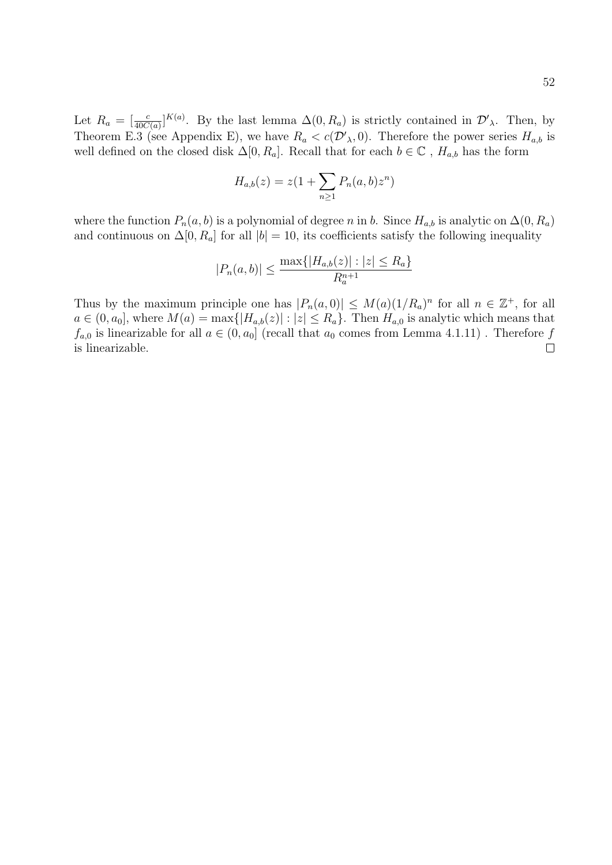Let  $R_a = \left[\frac{c}{40C(a)}\right]^{K(a)}$ . By the last lemma  $\Delta(0, R_a)$  is strictly contained in  $\mathcal{D}'_\lambda$ . Then, by Theorem E.3 (see Appendix E), we have  $R_a < c(\mathcal{D}'_{\lambda}, 0)$ . Therefore the power series  $H_{a,b}$  is well defined on the closed disk  $\Delta[0, R_a]$ . Recall that for each  $b \in \mathbb{C}$ ,  $H_{a,b}$  has the form

$$
H_{a,b}(z) = z(1 + \sum_{n\geq 1} P_n(a,b)z^n)
$$

where the function  $P_n(a, b)$  is a polynomial of degree n in b. Since  $H_{a,b}$  is analytic on  $\Delta(0, R_a)$ and continuous on  $\Delta[0, R_a]$  for all  $|b| = 10$ , its coefficients satisfy the following inequality

$$
|P_n(a,b)| \le \frac{\max\{|H_{a,b}(z)| : |z| \le R_a\}}{R_a^{n+1}}
$$

Thus by the maximum principle one has  $|P_n(a,0)| \leq M(a)(1/R_a)^n$  for all  $n \in \mathbb{Z}^+$ , for all  $a \in (0, a_0]$ , where  $M(a) = \max\{|H_{a,b}(z)| : |z| \le R_a\}$ . Then  $H_{a,0}$  is analytic which means that  $f_{a,0}$  is linearizable for all  $a \in (0, a_0]$  (recall that  $a_0$  comes from Lemma 4.1.11). Therefore f  $\Box$ is linearizable.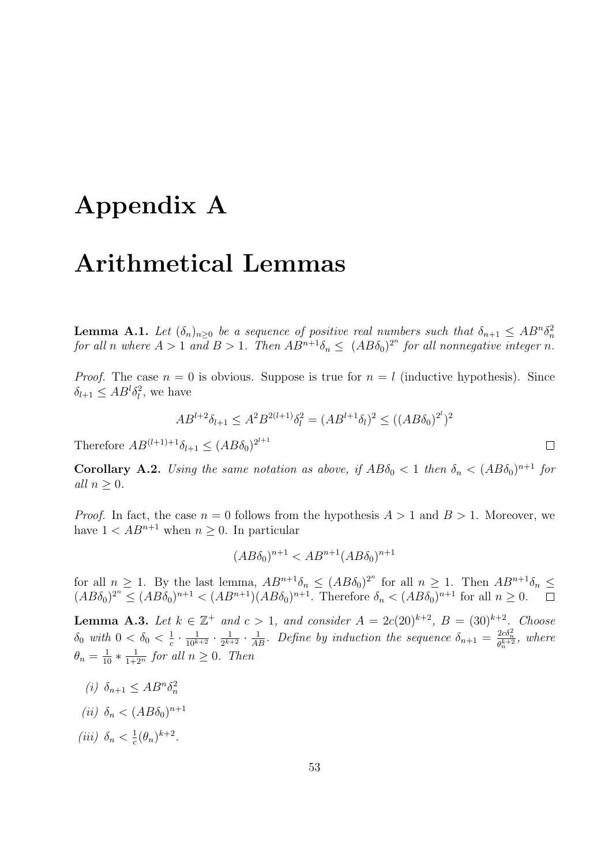## Appendix A

## Arithmetical Lemmas

**Lemma A.1.** Let  $(\delta_n)_{n\geq 0}$  be a sequence of positive real numbers such that  $\delta_{n+1} \leq AB^n \delta_n^2$ for all n where  $A > 1$  and  $B > 1$ . Then  $AB^{n+1}\delta_n \leq (AB\delta_0)^{2^n}$  for all nonnegative integer n.

*Proof.* The case  $n = 0$  is obvious. Suppose is true for  $n = l$  (inductive hypothesis). Since  $\delta_{l+1} \leq AB^l \delta_l^2$ , we have

$$
AB^{l+2}\delta_{l+1} \le A^2 B^{2(l+1)}\delta_l^2 = (AB^{l+1}\delta_l)^2 \le ((AB\delta_0)^{2^l})^2
$$

Therefore  $AB^{(l+1)+1}\delta_{l+1} \leq (AB\delta_0)^{2^{l+1}}$ 

**Corollary A.2.** Using the same notation as above, if  $AB\delta_0 < 1$  then  $\delta_n < (AB\delta_0)^{n+1}$  for all  $n \geq 0$ .

*Proof.* In fact, the case  $n = 0$  follows from the hypothesis  $A > 1$  and  $B > 1$ . Moreover, we have  $1 < AB^{n+1}$  when  $n \geq 0$ . In particular

$$
(AB\delta_0)^{n+1} < AB^{n+1}(AB\delta_0)^{n+1}
$$

for all  $n \geq 1$ . By the last lemma,  $AB^{n+1}\delta_n \leq (AB\delta_0)^{2^n}$  for all  $n \geq 1$ . Then  $AB^{n+1}\delta_n \leq$  $(AB\delta_0)^{2^n} \leq (AB\delta_0)^{n+1} < (AB^{n+1})(AB\delta_0)^{n+1}$ . Therefore  $\delta_n < (AB\delta_0)^{n+1}$  for all  $n \geq 0$ .

**Lemma A.3.** Let  $k \in \mathbb{Z}^+$  and  $c > 1$ , and consider  $A = 2c(20)^{k+2}$ ,  $B = (30)^{k+2}$ . Choose  $\delta_0$  with  $0 < \delta_0 < \frac{1}{c}$  $\frac{1}{c} \cdot \frac{1}{10^{k+2}} \cdot \frac{1}{2^{k+1}}$  $\frac{1}{2^{k+2}} \cdot \frac{1}{AB}$ . Define by induction the sequence  $\delta_{n+1} = \frac{2c\delta_n^2}{\theta_n^{k+2}}$ , where  $\theta_n = \frac{1}{10} * \frac{1}{1+2^n}$  for all  $n \geq 0$ . Then

- (*i*)  $\delta_{n+1} \leq AB^n \delta_n^2$
- (*ii*)  $\delta_n < (AB\delta_0)^{n+1}$
- (iii)  $\delta_n < \frac{1}{c}$  $\frac{1}{c}(\theta_n)^{k+2}.$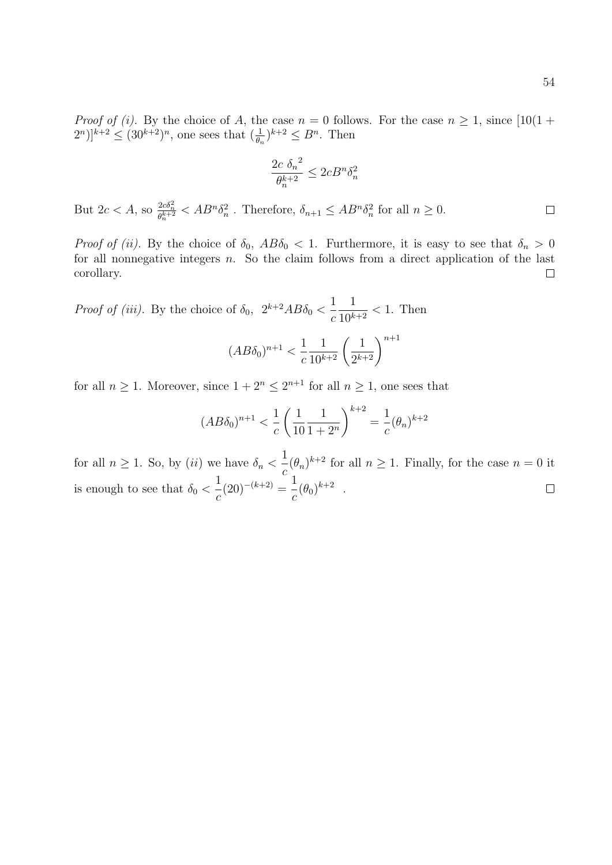*Proof of (i).* By the choice of A, the case  $n = 0$  follows. For the case  $n \ge 1$ , since  $[10(1 +$  $[2^n]^{k+2} \leq (30^{k+2})^n$ , one sees that  $(\frac{1}{\theta_n})^{k+2} \leq B^n$ . Then

$$
\frac{2c \delta_n^2}{\theta_n^{k+2}} \le 2cB^n \delta_n^2
$$

But  $2c < A$ , so  $\frac{2c\delta_n^2}{\theta_n^{k+2}} < AB^n \delta_n^2$ . Therefore,  $\delta_{n+1} \le AB^n \delta_n^2$  for all  $n \ge 0$ .  $\Box$ 

Proof of (ii). By the choice of  $\delta_0$ ,  $AB\delta_0 < 1$ . Furthermore, it is easy to see that  $\delta_n > 0$ for all nonnegative integers  $n$ . So the claim follows from a direct application of the last corollary.  $\Box$ 

*Proof of (iii).* By the choice of  $\delta_0$ ,  $2^{k+2}AB\delta_0 < \frac{1}{2}$ c 1  $\frac{1}{10^{k+2}} < 1$ . Then

$$
(AB\delta_0)^{n+1} < \frac{1}{c} \frac{1}{10^{k+2}} \left(\frac{1}{2^{k+2}}\right)^{n+1}
$$

for all  $n \geq 1$ . Moreover, since  $1 + 2^n \leq 2^{n+1}$  for all  $n \geq 1$ , one sees that

$$
(AB\delta_0)^{n+1} < \frac{1}{c} \left( \frac{1}{10} \frac{1}{1+2^n} \right)^{k+2} = \frac{1}{c} (\theta_n)^{k+2}
$$

for all  $n \geq 1$ . So, by *(ii)* we have  $\delta_n < \frac{1}{1}$  $\int_{c}^{1} (\theta_n)^{k+2}$  for all  $n \geq 1$ . Finally, for the case  $n = 0$  it 1  $(20)^{-(k+2)} = \frac{1}{k}$  $\frac{1}{c}(\theta_0)^{k+2}$ . is enough to see that  $\delta_0$  <  $\Box$ c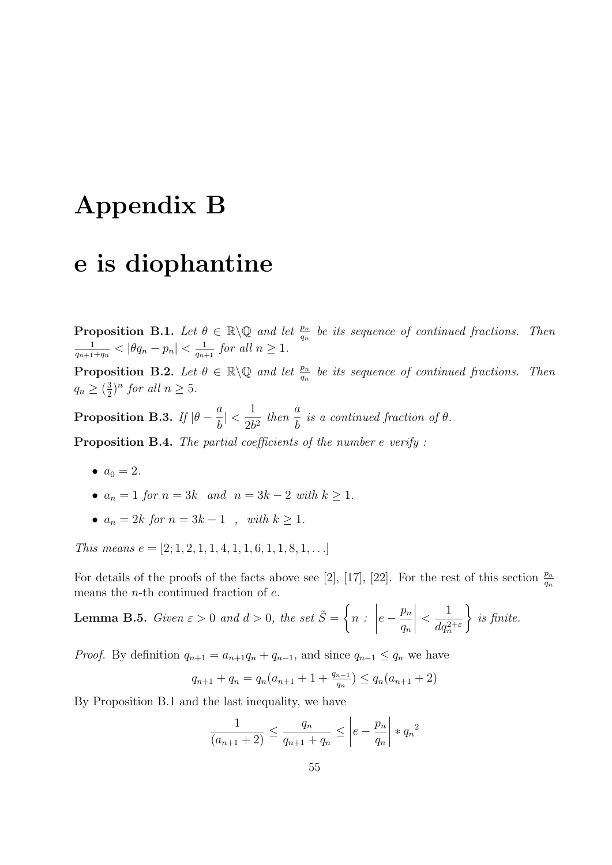## Appendix B

#### e is diophantine

**Proposition B.1.** Let  $\theta \in \mathbb{R} \setminus \mathbb{Q}$  and let  $\frac{p_n}{q_n}$  be its sequence of continued fractions. Then 1  $\frac{1}{q_{n+1}+q_n} < |\theta q_n - p_n| < \frac{1}{q_{n+1}}$  $\frac{1}{q_{n+1}}$  for all  $n \geq 1$ .

**Proposition B.2.** Let  $\theta \in \mathbb{R} \setminus \mathbb{Q}$  and let  $\frac{p_n}{q_n}$  be its sequence of continued fractions. Then  $q_n \geq \left(\frac{3}{2}\right)$  $(\frac{3}{2})^n$  for all  $n \geq 5$ .

Proposition B.3. If  $|\theta - \frac{a}{b}|$ b  $|<\frac{1}{2}$  $rac{1}{2b^2}$  then  $rac{a}{b}$ b is a continued fraction of  $\theta$ .

Proposition B.4. The partial coefficients of the number e verify:

- $a_0 = 2$ .
- $a_n = 1$  for  $n = 3k$  and  $n = 3k 2$  with  $k \ge 1$ .
- $a_n = 2k$  for  $n = 3k 1$ , with  $k \ge 1$ .

This means  $e = [2; 1, 2, 1, 1, 4, 1, 1, 6, 1, 1, 8, 1, \ldots]$ 

For details of the proofs of the facts above see [2], [17], [22]. For the rest of this section  $\frac{p_n}{q_n}$ means the *n*-th continued fraction of  $e$ .

**Lemma B.5.** Given 
$$
\varepsilon > 0
$$
 and  $d > 0$ , the set  $\tilde{S} = \left\{ n : \left| e - \frac{p_n}{q_n} \right| < \frac{1}{dq_n^{2+\varepsilon}} \right\}$  is finite.

*Proof.* By definition  $q_{n+1} = a_{n+1}q_n + q_{n-1}$ , and since  $q_{n-1} \leq q_n$  we have

$$
q_{n+1} + q_n = q_n(a_{n+1} + 1 + \frac{q_{n-1}}{q_n}) \le q_n(a_{n+1} + 2)
$$

By Proposition B.1 and the last inequality, we have

$$
\frac{1}{(a_{n+1}+2)} \le \frac{q_n}{q_{n+1}+q_n} \le \left| e - \frac{p_n}{q_n} \right| * q_n^2
$$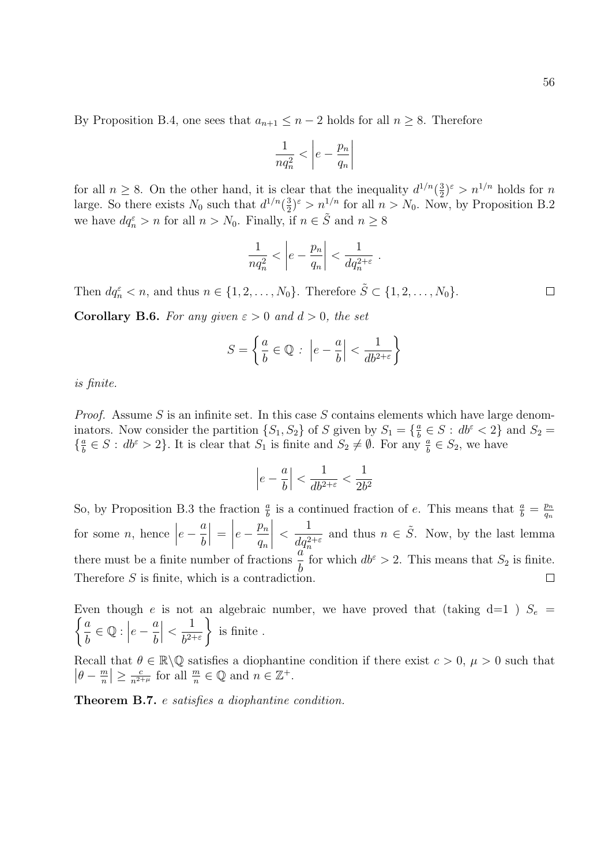By Proposition B.4, one sees that  $a_{n+1} \leq n-2$  holds for all  $n \geq 8$ . Therefore

$$
\frac{1}{nq_n^2} < \left| e - \frac{p_n}{q_n} \right|
$$

for all  $n \geq 8$ . On the other hand, it is clear that the inequality  $d^{1/n}(\frac{3}{2})$  $(\frac{3}{2})^{\varepsilon} > n^{1/n}$  holds for *n* large. So there exists  $N_0$  such that  $d^{1/n}(\frac{3}{2})$  $\frac{3}{2}$ )<sup> $\varepsilon$ </sup> >  $n^{1/n}$  for all  $n > N_0$ . Now, by Proposition B.2 we have  $dq_n^{\varepsilon} > n$  for all  $n > N_0$ . Finally, if  $n \in \tilde{S}$  and  $n \geq 8$ 

$$
\frac{1}{nq_n^2} < \left| e - \frac{p_n}{q_n} \right| < \frac{1}{dq_n^{2+\varepsilon}} \; .
$$

Then  $dq_n^{\varepsilon} < n$ , and thus  $n \in \{1, 2, ..., N_0\}$ . Therefore  $\tilde{S} \subset \{1, 2, ..., N_0\}$ .  $\Box$ 

**Corollary B.6.** For any given  $\varepsilon > 0$  and  $d > 0$ , the set

$$
S = \left\{ \frac{a}{b} \in \mathbb{Q} : \left| e - \frac{a}{b} \right| < \frac{1}{db^{2+\varepsilon}} \right\}
$$

is finite.

*Proof.* Assume S is an infinite set. In this case S contains elements which have large denominators. Now consider the partition  $\{S_1, S_2\}$  of S given by  $S_1 = \{\frac{a}{b}\}$  $\frac{a}{b} \in S$ :  $db^{\varepsilon} < 2$ } and  $S_2$  =  $\left\{\frac{a}{b}\right\}$  $\frac{a}{b} \in S : db^{\varepsilon} > 2$ . It is clear that  $S_1$  is finite and  $S_2 \neq \emptyset$ . For any  $\frac{a}{b} \in S_2$ , we have

$$
\left|e-\frac{a}{b}\right|<\frac{1}{db^{2+\varepsilon}}<\frac{1}{2b^2}
$$

So, by Proposition B.3 the fraction  $\frac{a}{b}$  is a continued fraction of e. This means that  $\frac{a}{b} = \frac{p_n}{q_n}$  $q_n$  $\begin{array}{c} \begin{array}{c} \begin{array}{c} \end{array} \\ \begin{array}{c} \end{array} \end{array} \end{array}$   $e-\frac{a}{b}$  $e-\frac{p_n}{n}$ 1 for some  $n$ , hence  $\Big|$  $\Big| =$ and thus  $n \in \tilde{S}$ . Now, by the last lemma  $\lt$  $dq_n^{2+\varepsilon}$ b  $q_n$ there must be a finite number of fractions  $\frac{a}{b}$  $\frac{a}{b}$  for which  $db^{\varepsilon} > 2$ . This means that  $S_2$  is finite. Therefore  $S$  is finite, which is a contradiction.  $\Box$ 

 $\int a$ Even though e is not an algebraic number, we have proved that (taking d=1 )  $S_e$  = b  $\in \mathbb{Q}:$  $e-\frac{a}{1}$ b  $\begin{array}{c} \begin{array}{c} \begin{array}{c} \end{array} \\ \begin{array}{c} \end{array} \end{array} \end{array}$  $\lt$ 1  $b^{2+\varepsilon}$  $\mathcal{L}$ is finite .

Recall that  $\theta \in \mathbb{R} \setminus \mathbb{Q}$  satisfies a diophantine condition if there exist  $c > 0$ ,  $\mu > 0$  such that  $\left|\theta - \frac{m}{n}\right|$  $\left| \frac{m}{n} \right| \geq \frac{c}{n^{2+\mu}}$  for all  $\frac{m}{n} \in \mathbb{Q}$  and  $n \in \mathbb{Z}^+$ .

Theorem B.7. e satisfies a diophantine condition.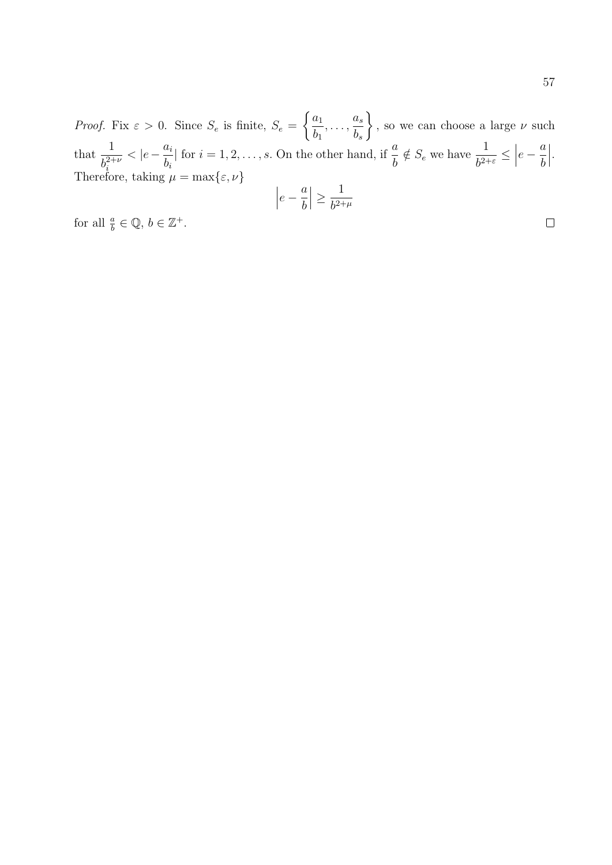*Proof.* Fix  $\varepsilon > 0$ . Since  $S_e$  is finite,  $S_e$  =  $\int a_1$  $b_1$  $,\ldots,\frac{a_s}{b}$  $b_s$  $\mathcal{L}$ , so we can choose a large  $\nu$  such that  $\frac{1}{2}$  $b_i^{2+\nu}$ i  $<$  $|e-\frac{a_i}{a_i}|$  $b_i$ | for  $i = 1, 2, \ldots, s$ . On the other hand, if  $\frac{a}{b}$  $\frac{a}{b} \notin S_e$  we have  $\frac{1}{b^{2+\varepsilon}} \leq \Big|$  $e-\frac{a}{b}$ b   . Therefore, taking  $\mu = \max\{\varepsilon, \nu\}$ 

$$
\left|e - \frac{a}{b}\right| \geq \frac{1}{b^{2 + \mu}}
$$

for all  $\frac{a}{b} \in \mathbb{Q}, b \in \mathbb{Z}^+$ .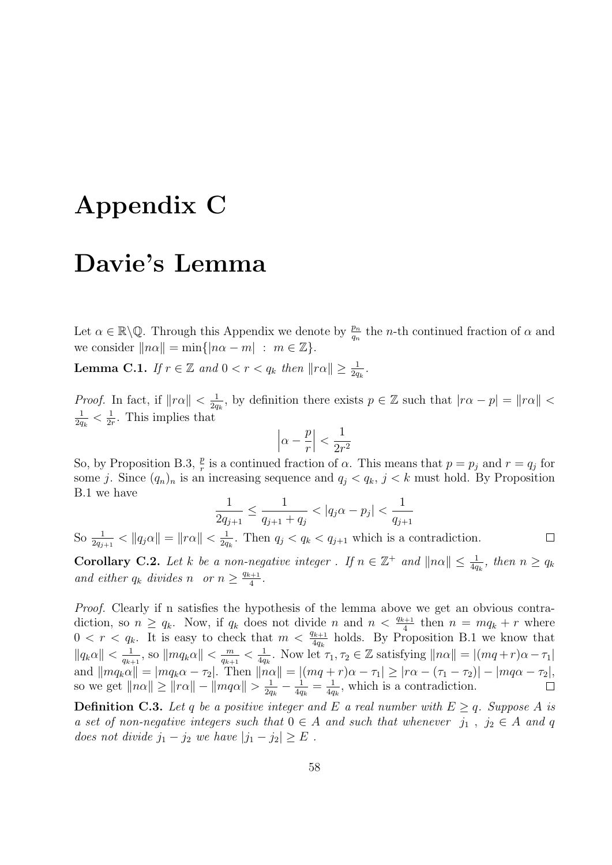## Appendix C

#### Davie's Lemma

Let  $\alpha \in \mathbb{R}\setminus\mathbb{Q}$ . Through this Appendix we denote by  $\frac{p_n}{q_n}$  the *n*-th continued fraction of  $\alpha$  and we consider  $\|n\alpha\| = \min\{|n\alpha - m| : m \in \mathbb{Z}\}.$ 

**Lemma C.1.** If  $r \in \mathbb{Z}$  and  $0 < r < q_k$  then  $||r\alpha|| \geq \frac{1}{2q_k}$ .

*Proof.* In fact, if  $||r\alpha|| < \frac{1}{2a}$  $\frac{1}{2q_k}$ , by definition there exists  $p \in \mathbb{Z}$  such that  $|r\alpha - p| = ||r\alpha|| <$ 1  $\frac{1}{2q_{k}} < \frac{1}{2n}$  $\frac{1}{2r}$ . This implies that

$$
\left|\alpha - \frac{p}{r}\right| < \frac{1}{2r^2}
$$

So, by Proposition B.3,  $\frac{p}{r}$  is a continued fraction of  $\alpha$ . This means that  $p = p_j$  and  $r = q_j$  for some j. Since  $(q_n)_n$  is an increasing sequence and  $q_j < q_k$ ,  $j < k$  must hold. By Proposition B.1 we have

$$
\frac{1}{2q_{j+1}} \le \frac{1}{q_{j+1} + q_j} < |q_j \alpha - p_j| < \frac{1}{q_{j+1}}
$$

 $\Box$ 

So  $\frac{1}{2q_{j+1}} < ||q_j \alpha|| = ||r\alpha|| < \frac{1}{2q}$  $\frac{1}{2q_k}$ . Then  $q_j < q_k < q_{j+1}$  which is a contradiction.

**Corollary C.2.** Let k be a non-negative integer. If  $n \in \mathbb{Z}^+$  and  $||n\alpha|| \leq \frac{1}{4q_k}$ , then  $n \geq q_k$ and either  $q_k$  divides n or  $n \geq \frac{q_{k+1}}{4}$  $\frac{1}{4}$ .

Proof. Clearly if n satisfies the hypothesis of the lemma above we get an obvious contradiction, so  $n \ge q_k$ . Now, if  $q_k$  does not divide n and  $n < \frac{q_{k+1}}{4}$  then  $n = mq_k + r$  where  $0 < r < q_k$ . It is easy to check that  $m < \frac{q_{k+1}}{4q_k}$  holds. By Proposition B.1 we know that  $\|q_k\alpha\| < \frac{1}{a_k}$  $\frac{1}{q_{k+1}}$ , so  $\|mq_k\alpha\| < \frac{m}{q_{k+1}}$  $\frac{m}{q_{k+1}} < \frac{1}{4q}$  $\frac{1}{4q_k}$ . Now let  $\tau_1, \tau_2 \in \mathbb{Z}$  satisfying  $\|n\alpha\| = |(mq+r)\alpha - \tau_1|$ and  $||mq_k\alpha|| = |mq_k\alpha - \tau_2|$ . Then  $||n\alpha|| = |(mq + r)\alpha - \tau_1| \ge |r\alpha - (\tau_1 - \tau_2)| - |mq\alpha - \tau_2|$ , so we get  $\|n\alpha\| \geq \|r\alpha\| - \|mq\alpha\| > \frac{1}{2a}$  $\frac{1}{2q_k} - \frac{1}{4q}$  $\frac{1}{4q_k} = \frac{1}{4q}$  $\frac{1}{4q_k}$ , which is a contradiction.

**Definition C.3.** Let q be a positive integer and E a real number with  $E \geq q$ . Suppose A is a set of non-negative integers such that  $0 \in A$  and such that whenever  $j_1$ ,  $j_2 \in A$  and q does not divide  $j_1 - j_2$  we have  $|j_1 - j_2| \ge E$ .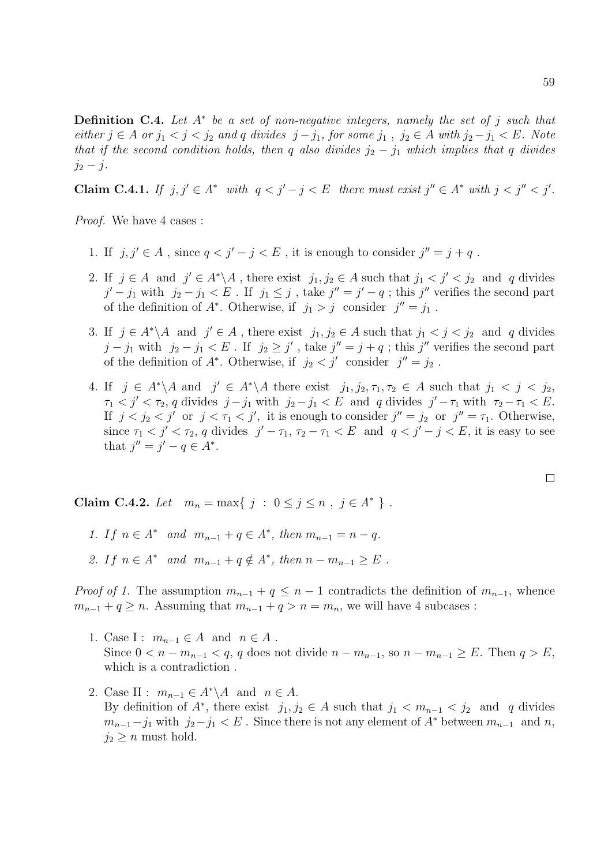**Definition C.4.** Let  $A^*$  be a set of non-negative integers, namely the set of j such that either  $j \in A$  or  $j_1 < j < j_2$  and q divides  $j - j_1$ , for some  $j_1$ ,  $j_2 \in A$  with  $j_2 - j_1 < E$ . Note that if the second condition holds, then q also divides  $j_2 - j_1$  which implies that q divides  $j_2 - j$ .

Claim C.4.1. If  $j, j' \in A^*$  with  $q < j' - j < E$  there must exist  $j'' \in A^*$  with  $j < j'' < j'$ .

Proof. We have 4 cases :

- 1. If  $j, j' \in A$ , since  $q < j' j < E$ , it is enough to consider  $j'' = j + q$ .
- 2. If  $j \in A$  and  $j' \in A^*\backslash A$ , there exist  $j_1, j_2 \in A$  such that  $j_1 < j' < j_2$  and q divides  $j'-j_1$  with  $j_2-j_1 < E$ . If  $j_1 \leq j$ , take  $j''=j'-q$ ; this  $j''$  verifies the second part of the definition of  $A^*$ . Otherwise, if  $j_1 > j$  consider  $j'' = j_1$ .
- 3. If  $j \in A^*\backslash A$  and  $j' \in A$ , there exist  $j_1, j_2 \in A$  such that  $j_1 < j < j_2$  and q divides  $j - j_1$  with  $j_2 - j_1 < E$ . If  $j_2 \geq j'$ , take  $j'' = j + q$ ; this  $j''$  verifies the second part of the definition of  $A^*$ . Otherwise, if  $j_2 < j'$  consider  $j'' = j_2$ .
- 4. If  $j \in A^*\backslash A$  and  $j' \in A^*\backslash A$  there exist  $j_1, j_2, \tau_1, \tau_2 \in A$  such that  $j_1 < j < j_2$ ,  $\tau_1 < j' < \tau_2$ , q divides  $j - j_1$  with  $j_2 - j_1 < E$  and q divides  $j' - \tau_1$  with  $\tau_2 - \tau_1 < E$ . If  $j < j_2 < j'$  or  $j < \tau_1 < j'$ , it is enough to consider  $j'' = j_2$  or  $j'' = \tau_1$ . Otherwise, since  $\tau_1 < j' < \tau_2$ , q divides  $j' - \tau_1$ ,  $\tau_2 - \tau_1 < E$  and  $q < j' - j < E$ , it is easy to see that  $j'' = j' - q \in A^*$ .

Claim C.4.2. Let  $m_n = \max\{ j : 0 \le j \le n , j \in A^* \}$ .

- 1. If  $n \in A^*$  and  $m_{n-1} + q \in A^*$ , then  $m_{n-1} = n q$ .
- 2. If  $n \in A^*$  and  $m_{n-1} + q \notin A^*$ , then  $n m_{n-1} \ge E$ .

*Proof of 1.* The assumption  $m_{n-1} + q \leq n-1$  contradicts the definition of  $m_{n-1}$ , whence  $m_{n-1} + q \geq n$ . Assuming that  $m_{n-1} + q > n = m_n$ , we will have 4 subcases :

- 1. Case I :  $m_{n-1} \in A$  and  $n \in A$ . Since  $0 < n - m_{n-1} < q$ , q does not divide  $n - m_{n-1}$ , so  $n - m_{n-1} \ge E$ . Then  $q > E$ , which is a contradiction .
- 2. Case II :  $m_{n-1} \in A^* \backslash A$  and  $n \in A$ . By definition of  $A^*$ , there exist  $j_1, j_2 \in A$  such that  $j_1 < m_{n-1} < j_2$  and q divides  $m_{n-1}-j_1$  with  $j_2-j_1 < E$ . Since there is not any element of  $A^*$  between  $m_{n-1}$  and n,  $j_2 \geq n$  must hold.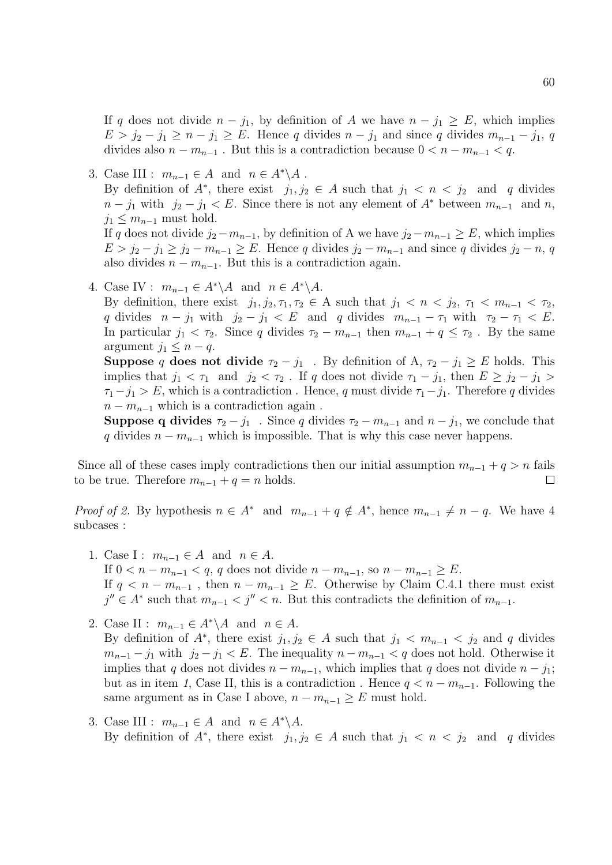If q does not divide  $n - j_1$ , by definition of A we have  $n - j_1 \geq E$ , which implies  $E > j_2 - j_1 \geq n - j_1 \geq E$ . Hence q divides  $n - j_1$  and since q divides  $m_{n-1} - j_1$ , q divides also  $n - m_{n-1}$ . But this is a contradiction because  $0 < n - m_{n-1} < q$ .

3. Case III :  $m_{n-1} \in A$  and  $n \in A^* \backslash A$ . By definition of  $A^*$ , there exist  $j_1, j_2 \in A$  such that  $j_1 < n < j_2$  and q divides  $n - j_1$  with  $j_2 - j_1 < E$ . Since there is not any element of  $A^*$  between  $m_{n-1}$  and n,  $j_1 < m_{n-1}$  must hold. If q does not divide  $j_2 - m_{n-1}$ , by definition of A we have  $j_2 - m_{n-1} \geq E$ , which implies  $E > j_2 - j_1 \geq j_2 - m_{n-1} \geq E$ . Hence q divides  $j_2 - m_{n-1}$  and since q divides  $j_2 - n$ , q also divides  $n - m_{n-1}$ . But this is a contradiction again.

4. Case IV :  $m_{n-1} \in A^* \backslash A$  and  $n \in A^* \backslash A$ .

By definition, there exist  $j_1, j_2, \tau_1, \tau_2 \in A$  such that  $j_1 < n < j_2, \tau_1 < m_{n-1} < \tau_2$ , q divides  $n - j_1$  with  $j_2 - j_1 < E$  and q divides  $m_{n-1} - \tau_1$  with  $\tau_2 - \tau_1 < E$ . In particular  $j_1 < \tau_2$ . Since q divides  $\tau_2 - m_{n-1}$  then  $m_{n-1} + q \leq \tau_2$ . By the same argument  $j_1 \leq n - q$ .

**Suppose** q does not divide  $\tau_2 - j_1$ . By definition of A,  $\tau_2 - j_1 \geq E$  holds. This implies that  $j_1 < \tau_1$  and  $j_2 < \tau_2$ . If q does not divide  $\tau_1 - j_1$ , then  $E \geq j_2 - j_1 >$  $\tau_1-j_1 > E$ , which is a contradiction. Hence, q must divide  $\tau_1-j_1$ . Therefore q divides  $n - m_{n-1}$  which is a contradiction again.

**Suppose q divides**  $\tau_2 - j_1$ . Since q divides  $\tau_2 - m_{n-1}$  and  $n - j_1$ , we conclude that q divides  $n - m_{n-1}$  which is impossible. That is why this case never happens.

Since all of these cases imply contradictions then our initial assumption  $m_{n-1} + q > n$  fails to be true. Therefore  $m_{n-1} + q = n$  holds.  $\Box$ 

*Proof of 2.* By hypothesis  $n \in A^*$  and  $m_{n-1} + q \notin A^*$ , hence  $m_{n-1} \neq n - q$ . We have 4 subcases :

- 1. Case I :  $m_{n-1} \in A$  and  $n \in A$ . If  $0 < n - m_{n-1} < q$ , q does not divide  $n - m_{n-1}$ , so  $n - m_{n-1} \geq E$ . If  $q < n - m_{n-1}$ , then  $n - m_{n-1} \ge E$ . Otherwise by Claim C.4.1 there must exist  $j'' \in A^*$  such that  $m_{n-1} < j'' < n$ . But this contradicts the definition of  $m_{n-1}$ .
- 2. Case II :  $m_{n-1} \in A^* \backslash A$  and  $n \in A$ . By definition of  $A^*$ , there exist  $j_1, j_2 \in A$  such that  $j_1 < m_{n-1} < j_2$  and q divides  $m_{n-1} - j_1$  with  $j_2 - j_1 < E$ . The inequality  $n - m_{n-1} < q$  does not hold. Otherwise it implies that q does not divides  $n - m_{n-1}$ , which implies that q does not divide  $n - j_1$ ; but as in item 1, Case II, this is a contradiction. Hence  $q < n - m_{n-1}$ . Following the same argument as in Case I above,  $n - m_{n-1} \geq E$  must hold.
- 3. Case III :  $m_{n-1} \in A$  and  $n \in A^* \backslash A$ . By definition of  $A^*$ , there exist  $j_1, j_2 \in A$  such that  $j_1 < n < j_2$  and q divides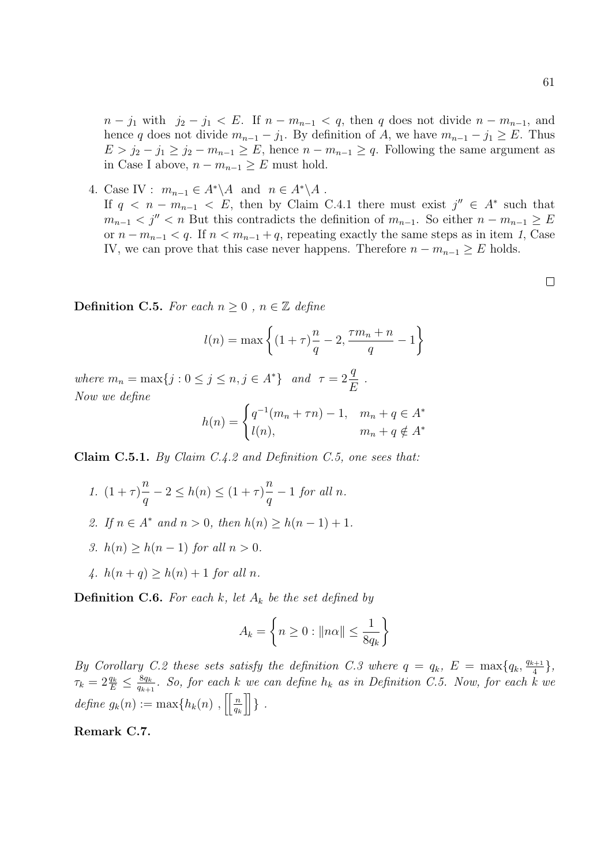$n - j_1$  with  $j_2 - j_1 < E$ . If  $n - m_{n-1} < q$ , then q does not divide  $n - m_{n-1}$ , and hence q does not divide  $m_{n-1} - j_1$ . By definition of A, we have  $m_{n-1} - j_1 \geq E$ . Thus  $E > j_2 - j_1 \geq j_2 - m_{n-1} \geq E$ , hence  $n - m_{n-1} \geq q$ . Following the same argument as in Case I above,  $n - m_{n-1} \geq E$  must hold.

4. Case IV :  $m_{n-1} \in A^* \backslash A$  and  $n \in A^* \backslash A$ . If  $q \leq n - m_{n-1} \leq E$ , then by Claim C.4.1 there must exist  $j'' \in A^*$  such that  $m_{n-1} < j'' < n$  But this contradicts the definition of  $m_{n-1}$ . So either  $n - m_{n-1} \geq E$ or  $n - m_{n-1} < q$ . If  $n < m_{n-1} + q$ , repeating exactly the same steps as in item 1, Case IV, we can prove that this case never happens. Therefore  $n - m_{n-1} \geq E$  holds.

**Definition C.5.** For each  $n \geq 0$ ,  $n \in \mathbb{Z}$  define

$$
l(n) = \max\left\{ (1+\tau)\frac{n}{q} - 2, \frac{\tau m_n + n}{q} - 1 \right\}
$$

where  $m_n = \max\{j : 0 \le j \le n, j \in A^*\}$  and  $\tau = 2\frac{q}{l}$ E . Now we define

$$
h(n) = \begin{cases} q^{-1}(m_n + \tau n) - 1, & m_n + q \in A^* \\ l(n), & m_n + q \notin A^* \end{cases}
$$

Claim C.5.1. By Claim C.4.2 and Definition C.5, one sees that:

- 1.  $(1 + \tau)$ n q  $-2 \leq h(n) \leq (1+\tau)^n$  $\overline{q}$  $-1$  for all n.
- 2. If  $n \in A^*$  and  $n > 0$ , then  $h(n) \ge h(n-1) + 1$ .
- 3.  $h(n) > h(n-1)$  for all  $n > 0$ .
- 4.  $h(n + q) > h(n) + 1$  for all n.

**Definition C.6.** For each k, let  $A_k$  be the set defined by

$$
A_k = \left\{ n \ge 0 : ||n\alpha|| \le \frac{1}{8q_k} \right\}
$$

By Corollary C.2 these sets satisfy the definition C.3 where  $q = q_k$ ,  $E = \max\{q_k, \frac{q_{k+1}}{4}\}$  $\frac{1}{4} \},$  $\tau_k = 2 \frac{q_k}{E} \leq \frac{8q_k}{q_{k+1}}$  $\frac{sq_k}{q_{k+1}}$ . So, for each k we can define  $h_k$  as in Definition C.5. Now, for each k we define  $g_k(n) := \max\{h_k(n) , \prod_{n=1}^{\infty} h_n\}$  $\frac{n}{q_k}$  } .

Remark C.7.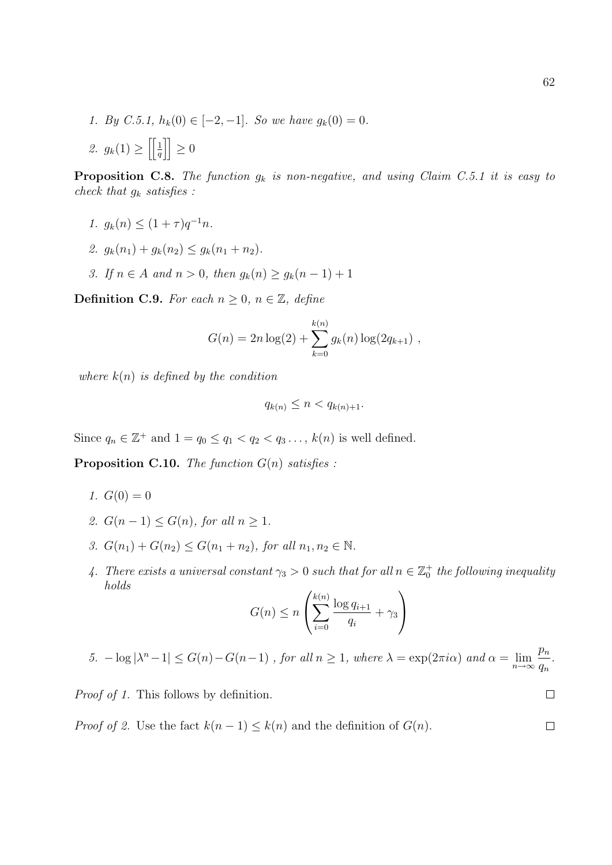1. By C.5.1,  $h_k(0) \in [-2, -1]$ . So we have  $g_k(0) = 0$ . 2.  $g_k(1) \ge \left| \frac{1}{q} \right| \ge 0$ 

**Proposition C.8.** The function  $g_k$  is non-negative, and using Claim C.5.1 it is easy to check that  $g_k$  satisfies :

- 1.  $g_k(n) \leq (1+\tau)q^{-1}n$ .
- 2.  $q_k(n_1) + q_k(n_2) \leq q_k(n_1 + n_2)$ .
- 3. If  $n \in A$  and  $n > 0$ , then  $g_k(n) \ge g_k(n-1) + 1$

**Definition C.9.** For each  $n \geq 0$ ,  $n \in \mathbb{Z}$ , define

$$
G(n) = 2n \log(2) + \sum_{k=0}^{k(n)} g_k(n) \log(2q_{k+1}),
$$

where  $k(n)$  is defined by the condition

$$
q_{k(n)} \leq n < q_{k(n)+1}.
$$

Since  $q_n \in \mathbb{Z}^+$  and  $1 = q_0 \leq q_1 < q_2 < q_3 \ldots$ ,  $k(n)$  is well defined.

**Proposition C.10.** The function  $G(n)$  satisfies :

- 1.  $G(0) = 0$
- 2.  $G(n-1) \leq G(n)$ , for all  $n \geq 1$ .
- 3.  $G(n_1) + G(n_2) \leq G(n_1 + n_2)$ , for all  $n_1, n_2 \in \mathbb{N}$ .
- 4. There exists a universal constant  $\gamma_3 > 0$  such that for all  $n \in \mathbb{Z}_0^+$  the following inequality holds

$$
G(n) \le n \left( \sum_{i=0}^{k(n)} \frac{\log q_{i+1}}{q_i} + \gamma_3 \right)
$$

5.  $-\log |\lambda^n - 1| \le G(n) - G(n-1)$ , for all  $n \ge 1$ , where  $\lambda = \exp(2\pi i \alpha)$  and  $\alpha = \lim_{n \to \infty} \frac{p_n}{q_n}$  $q_n$ .

Proof of 1. This follows by definition.

*Proof of 2.* Use the fact  $k(n-1) \leq k(n)$  and the definition of  $G(n)$ .  $\Box$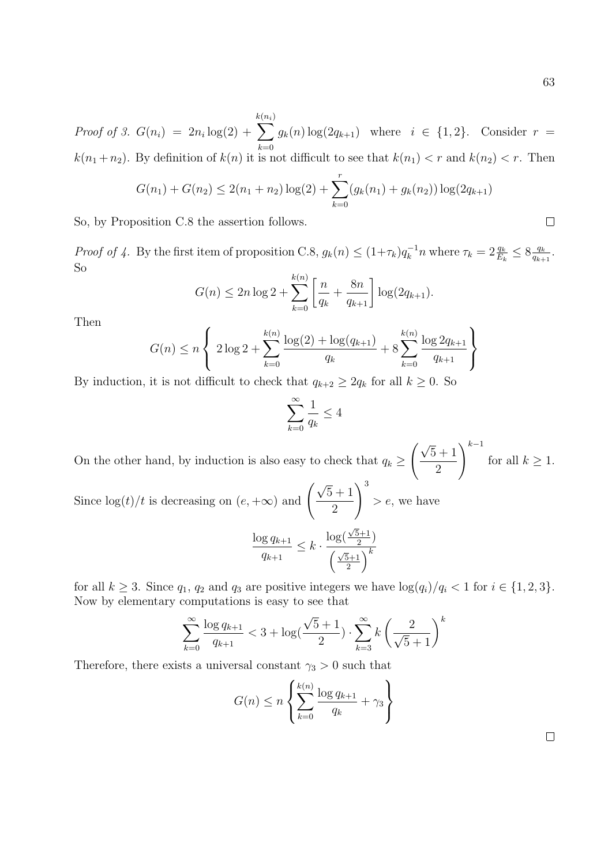$\Box$ 

*Proof of 3.*  $G(n_i) = 2n_i \log(2) +$ k  $\sum$  $(n_i)$  $k=0$  $g_k(n) \log(2q_{k+1})$  where  $i \in \{1,2\}$ . Consider  $r =$  $k(n_1 + n_2)$ . By definition of  $k(n)$  it is not difficult to see that  $k(n_1) < r$  and  $k(n_2) < r$ . Then

$$
G(n_1) + G(n_2) \le 2(n_1 + n_2) \log(2) + \sum_{k=0}^{r} (g_k(n_1) + g_k(n_2)) \log(2q_{k+1})
$$

So, by Proposition C.8 the assertion follows.

*Proof of 4.* By the first item of proposition C.8,  $g_k(n) \leq (1+\tau_k)q_k^{-1}n$  where  $\tau_k = 2\frac{q_k}{E_k} \leq 8\frac{q_k}{q_{k+1}}$  $\frac{q_k}{q_{k+1}}$ . So

$$
G(n) \le 2n \log 2 + \sum_{k=0}^{k(n)} \left[ \frac{n}{q_k} + \frac{8n}{q_{k+1}} \right] \log(2q_{k+1}).
$$

Then

$$
G(n) \le n \left\{ 2 \log 2 + \sum_{k=0}^{k(n)} \frac{\log(2) + \log(q_{k+1})}{q_k} + 8 \sum_{k=0}^{k(n)} \frac{\log 2q_{k+1}}{q_{k+1}} \right\}
$$

By induction, it is not difficult to check that  $q_{k+2} \geq 2q_k$  for all  $k \geq 0$ . So

$$
\sum_{k=0}^{\infty} \frac{1}{q_k} \le 4
$$

On the other hand, by induction is also easy to check that  $q_k \geq$  $(\sqrt{5} + 1)$ 2  $\setminus^{k-1}$ for all  $k \geq 1$ .

Since  $\log(t)/t$  is decreasing on  $(e, +\infty)$  and  $\left(\frac{\sqrt{2}}{2}\right)$  $5 + 1$ 2  $\setminus^3$  $> e$ , we have √

$$
\frac{\log q_{k+1}}{q_{k+1}} \le k \cdot \frac{\log(\frac{\sqrt{5}+1}{2})}{\left(\frac{\sqrt{5}+1}{2}\right)^k}
$$

for all  $k \geq 3$ . Since  $q_1, q_2$  and  $q_3$  are positive integers we have  $\log(q_i)/q_i < 1$  for  $i \in \{1, 2, 3\}$ . Now by elementary computations is easy to see that

$$
\sum_{k=0}^{\infty} \frac{\log q_{k+1}}{q_{k+1}} < 3 + \log(\frac{\sqrt{5} + 1}{2}) \cdot \sum_{k=3}^{\infty} k \left(\frac{2}{\sqrt{5} + 1}\right)^k
$$

Therefore, there exists a universal constant  $\gamma_3 > 0$  such that

$$
G(n) \le n \left\{ \sum_{k=0}^{k(n)} \frac{\log q_{k+1}}{q_k} + \gamma_3 \right\}
$$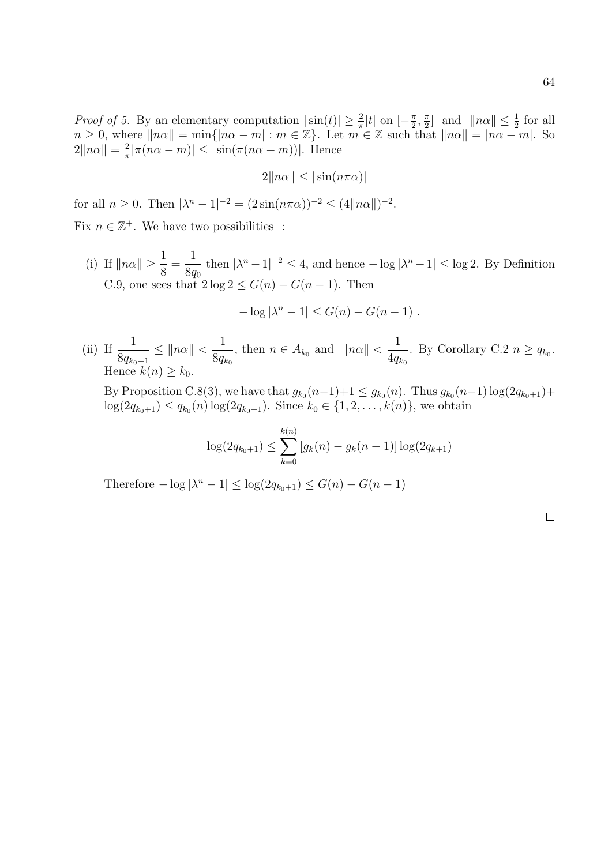*Proof of 5.* By an elementary computation  $|\sin(t)| \geq \frac{2}{\pi}|t|$  on  $[-\frac{\pi}{2}]$  $\frac{\pi}{2}, \frac{\pi}{2}$  $\frac{\pi}{2}$  and  $\|n\alpha\| \leq \frac{1}{2}$  for all  $n \geq 0$ , where  $||n\alpha|| = \min\{|n\alpha - m| : m \in \mathbb{Z}\}\$ . Let  $m \in \mathbb{Z}$  such that  $||n\alpha|| = |n\alpha - m|$ . So  $2\|n\alpha\| = \frac{2}{\pi}$  $\frac{2}{\pi} |\pi(n\alpha - m)| \leq |\sin(\pi(n\alpha - m))|$ . Hence

$$
2\|n\alpha\| \le |\sin(n\pi\alpha)|
$$

for all  $n \ge 0$ . Then  $|\lambda^n - 1|^{-2} = (2 \sin(n\pi\alpha))^{-2} \le (4||n\alpha||)^{-2}$ .

Fix  $n \in \mathbb{Z}^+$ . We have two possibilities :

(i) If  $\|n\alpha\| \geq \frac{1}{\alpha}$ 8 = 1 8q<sup>0</sup> then  $|\lambda^n - 1|^{-2} \leq 4$ , and hence  $-\log |\lambda^n - 1| \leq \log 2$ . By Definition C.9, one sees that  $2 \log 2 \leq G(n) - G(n-1)$ . Then

$$
-\log |\lambda^n - 1| \le G(n) - G(n-1) .
$$

(ii) If  $\frac{1}{\sqrt{2}}$  $8q_{k_0+1}$  $\leq ||n\alpha|| < \frac{1}{2}$  $8q_{k_0}$ , then  $n \in A_{k_0}$  and  $||n\alpha|| < \frac{1}{4a}$  $4q_{k_0}$ . By Corollary C.2  $n \ge q_{k_0}$ . Hence  $k(n) \geq k_0$ .

By Proposition C.8(3), we have that  $g_{k_0}(n-1)+1 \leq g_{k_0}(n)$ . Thus  $g_{k_0}(n-1)\log(2q_{k_0+1})+$  $log(2q_{k_0+1}) \le q_{k_0}(n) log(2q_{k_0+1})$ . Since  $k_0 \in \{1, 2, ..., k(n)\}\)$ , we obtain

$$
\log(2q_{k_0+1}) \le \sum_{k=0}^{k(n)} [g_k(n) - g_k(n-1)] \log(2q_{k+1})
$$

Therefore  $-\log |\lambda^n - 1| \leq \log(2q_{k_0+1}) \leq G(n) - G(n-1)$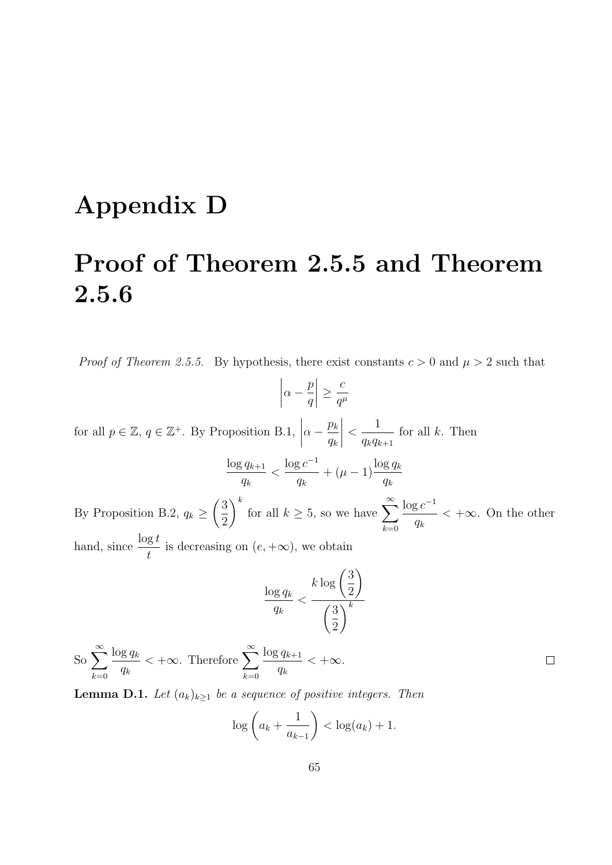## Appendix D

# Proof of Theorem 2.5.5 and Theorem 2.5.6

*Proof of Theorem 2.5.5.* By hypothesis, there exist constants  $c > 0$  and  $\mu > 2$  such that

$$
\left|\alpha - \frac{p}{q}\right| \ge \frac{c}{q^{\mu}}
$$

for all  $p \in \mathbb{Z}$ ,  $q \in \mathbb{Z}^+$ . By Proposition B.1,  $\Big|$  $\alpha - \frac{p_k}{\cdots}$  $q_k$  $\begin{array}{c} \begin{array}{c} \begin{array}{c} \end{array} \\ \begin{array}{c} \end{array} \end{array} \end{array}$  $\lt$ 1  $q_kq_{k+1}$ for all  $k$ . Then

$$
\frac{\log q_{k+1}}{q_k} < \frac{\log c^{-1}}{q_k} + (\mu - 1) \frac{\log q_k}{q_k}
$$

By Proposition B.2,  $q_k \geq$  $\sqrt{3}$ 2 for all  $k \geq 5$ , so we have  $\sum_{k=1}^{\infty}$  $k=0$  $\log c^{-1}$  $q_k$  $< +\infty$ . On the other hand, since  $\frac{\log t}{t}$ t is decreasing on  $(e, +\infty)$ , we obtain

$$
\frac{\log q_k}{q_k} < \frac{k \log \left(\frac{3}{2}\right)}{\left(\frac{3}{2}\right)^k}
$$

 $\Box$ 

 $\int_{-\infty}^{\infty}$  $k=0$  $\log q_k$  $q_k$  $< +\infty$ . Therefore  $\sum_{n=1}^{\infty}$  $k=0$  $\log q_{k+1}$  $q_k$  $< +\infty$ .

**Lemma D.1.** Let  $(a_k)_{k\geq 1}$  be a sequence of positive integers. Then

$$
\log\left(a_k + \frac{1}{a_{k-1}}\right) < \log(a_k) + 1.
$$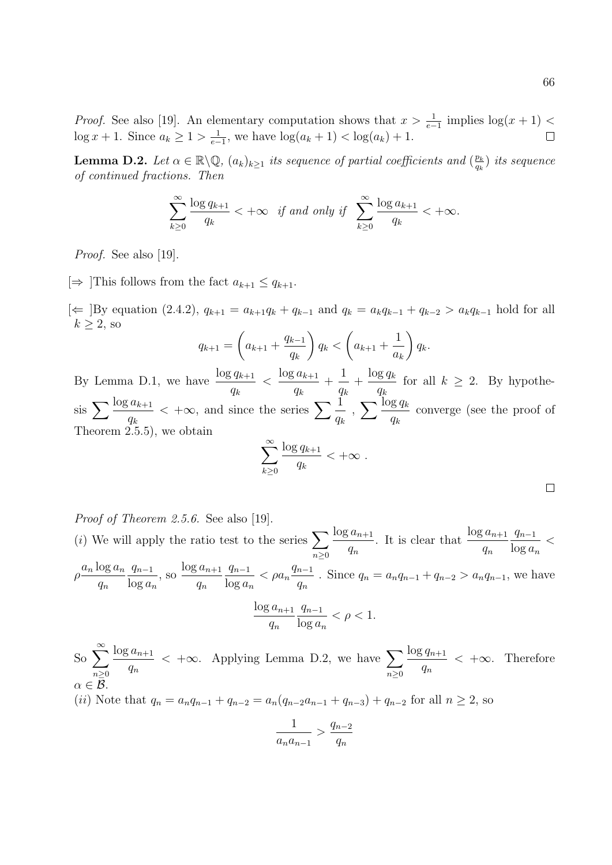*Proof.* See also [19]. An elementary computation shows that  $x > \frac{1}{e-1}$  implies  $\log(x+1)$  $\log x + 1$ . Since  $a_k \geq 1 > \frac{1}{e^{-k}}$  $\frac{1}{e-1}$ , we have  $\log(a_k + 1) < \log(a_k) + 1$ .

**Lemma D.2.** Let  $\alpha \in \mathbb{R} \backslash \mathbb{Q}$ ,  $(a_k)_{k \geq 1}$  its sequence of partial coefficients and  $\left(\frac{p_k}{a_k}\right)$  $\frac{p_k}{q_k})$  its sequence of continued fractions. Then

$$
\sum_{k\geq 0}^{\infty} \frac{\log q_{k+1}}{q_k} <+\infty \quad \text{if and only if} \quad \sum_{k\geq 0}^{\infty} \frac{\log a_{k+1}}{q_k} <+\infty.
$$

Proof. See also [19].

 $[\Rightarrow]$ This follows from the fact  $a_{k+1} \leq q_{k+1}$ .

 $[\Leftarrow]$ By equation (2.4.2),  $q_{k+1} = a_{k+1}q_k + q_{k-1}$  and  $q_k = a_kq_{k-1} + q_{k-2} > a_kq_{k-1}$  hold for all  $k > 2$ , so

$$
q_{k+1} = \left(a_{k+1} + \frac{q_{k-1}}{q_k}\right) q_k < \left(a_{k+1} + \frac{1}{a_k}\right) q_k.
$$

By Lemma D.1, we have  $\frac{\log q_{k+1}}{1}$  $q_k$  $\langle \frac{\log a_{k+1}}{2}$  $q_k$ + 1  $q_k$  $+\frac{\log q_k}{\log q_k}$  $q_k$ for all  $k \geq 2$ . By hypothe- $\sin \sum \frac{\log a_{k+1}}{k}$  $q_k$  $< +\infty$ , and since the series  $\sum_{n=1}^{\infty} \frac{1}{n}$  $q_k$  $\sum \frac{\log q_k}{q}$  $q_k$ converge (see the proof of Theorem 2.5.5), we obtain

$$
\sum_{k\geq 0}^{\infty} \frac{\log q_{k+1}}{q_k} < +\infty .
$$

Proof of Theorem 2.5.6. See also [19]. (*i*) We will apply the ratio test to the series  $\sum$  $n \geq 0$  $\log a_{n+1}$  $q_n$ . It is clear that  $\frac{\log a_{n+1}}{n}$  $q_n$  $q_{n-1}$  $\log a_n$  $\lt$  $ho \frac{a_n \log a_n}{\rho}$  $q_n$  $q_{n-1}$  $\log a_n$  $\cos a_{n+1}$  $q_n$  $q_{n-1}$  $\log a_n$  $< \rho a_n$  $q_{n-1}$  $q_n$ . Since  $q_n = a_n q_{n-1} + q_{n-2} > a_n q_{n-1}$ , we have  $\log a_{n+1}$  $q_n$  $q_{n-1}$  $\log a_n$  $< \rho < 1$ .

So 
$$
\sum_{n\geq 0}^{\infty} \frac{\log a_{n+1}}{q_n} < +\infty
$$
. Applying Lemma D.2, we have  $\sum_{n\geq 0} \frac{\log q_{n+1}}{q_n} < +\infty$ . Therefore  $\alpha \in \mathcal{B}$ . *(ii)* Note that  $q_n = a_n q_{n-1} + q_{n-2} = a_n (q_{n-2} a_{n-1} + q_{n-3}) + q_{n-2}$  for all  $n \geq 2$ , so

$$
\frac{1}{a_n a_{n-1}} > \frac{q_{n-2}}{q_n}
$$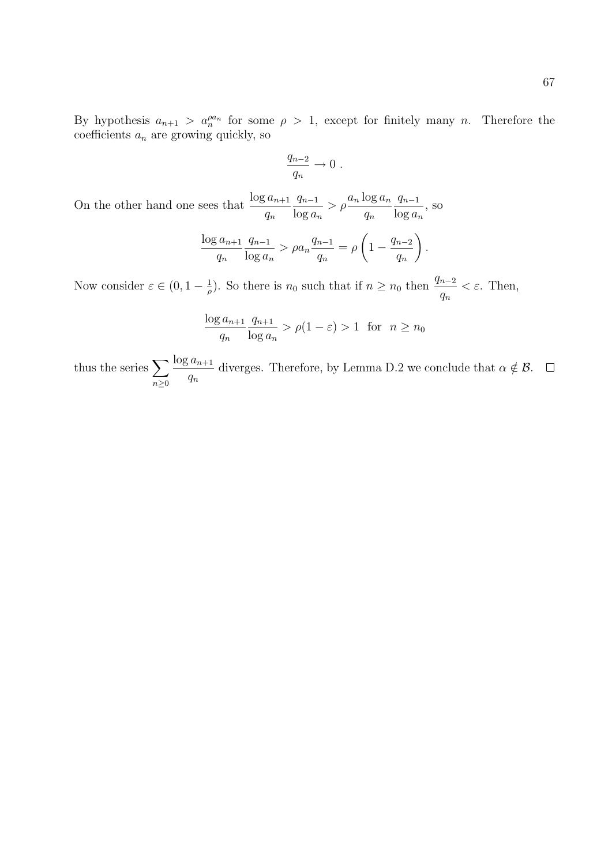By hypothesis  $a_{n+1} > a_n^{\rho a_n}$  for some  $\rho > 1$ , except for finitely many n. Therefore the coefficients  $a_n$  are growing quickly, so

$$
\frac{q_{n-2}}{q_n} \to 0.
$$

On the other hand one sees that  $\frac{\log a_{n+1}}{n}$  $q_n$  $q_{n-1}$  $\log a_n$  $> \rho \frac{a_n \log a_n}{\sqrt{a_n}}$  $q_n$  $q_{n-1}$  $\log a_n$ , so

$$
\frac{\log a_{n+1}}{q_n} \frac{q_{n-1}}{\log a_n} > \rho a_n \frac{q_{n-1}}{q_n} = \rho \left( 1 - \frac{q_{n-2}}{q_n} \right).
$$

Now consider  $\varepsilon \in (0, 1 - \frac{1}{a})$  $\frac{1}{\rho}$ ). So there is  $n_0$  such that if  $n \geq n_0$  then  $\frac{q_{n-2}}{q}$  $q_n$  $\epsilon$ . Then,

$$
\frac{\log a_{n+1}}{q_n} \frac{q_{n+1}}{\log a_n} > \rho(1-\varepsilon) > 1 \text{ for } n \ge n_0
$$

thus the series  $\sum$  $n\geq 0$  $\log a_{n+1}$  $q_n$ diverges. Therefore, by Lemma D.2 we conclude that  $\alpha \notin \mathcal{B}$ .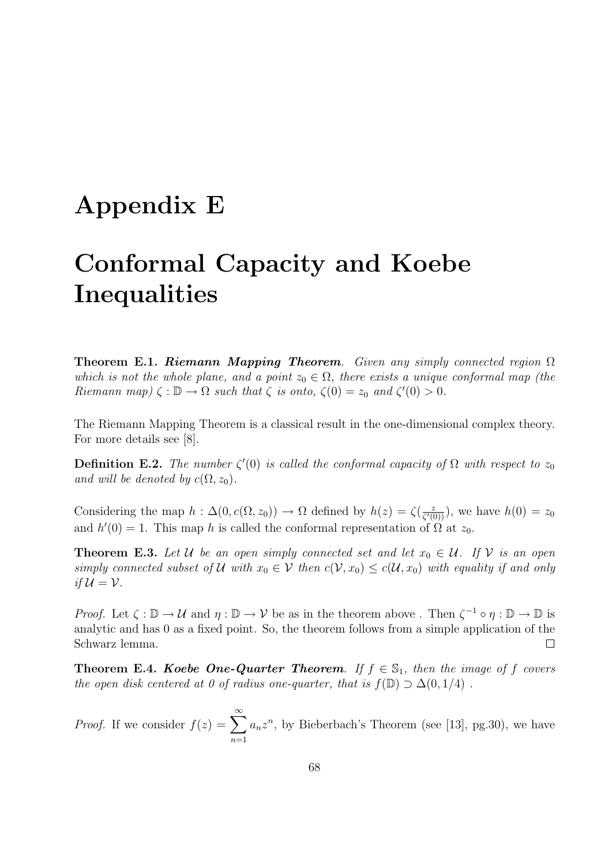#### Appendix E

# Conformal Capacity and Koebe **Inequalities**

**Theorem E.1. Riemann Mapping Theorem.** Given any simply connected region  $\Omega$ which is not the whole plane, and a point  $z_0 \in \Omega$ , there exists a unique conformal map (the Riemann map)  $\zeta : \mathbb{D} \to \Omega$  such that  $\zeta$  is onto,  $\zeta(0) = z_0$  and  $\zeta'(0) > 0$ .

The Riemann Mapping Theorem is a classical result in the one-dimensional complex theory. For more details see [8].

**Definition E.2.** The number  $\zeta'(0)$  is called the conformal capacity of  $\Omega$  with respect to  $z_0$ and will be denoted by  $c(\Omega, z_0)$ .

Considering the map  $h : \Delta(0, c(\Omega, z_0)) \to \Omega$  defined by  $h(z) = \zeta(\frac{z}{c'(z_0)})$  $\frac{z}{\zeta'(0)}$ , we have  $h(0) = z_0$ and  $h'(0) = 1$ . This map h is called the conformal representation of  $\Omega$  at  $z_0$ .

**Theorem E.3.** Let U be an open simply connected set and let  $x_0 \in U$ . If V is an open simply connected subset of U with  $x_0 \in V$  then  $c(V, x_0) \leq c(U, x_0)$  with equality if and only if  $\mathcal{U} = \mathcal{V}$ .

*Proof.* Let  $\zeta : \mathbb{D} \to \mathcal{U}$  and  $\eta : \mathbb{D} \to \mathcal{V}$  be as in the theorem above . Then  $\zeta^{-1} \circ \eta : \mathbb{D} \to \mathbb{D}$  is analytic and has 0 as a fixed point. So, the theorem follows from a simple application of the Schwarz lemma.  $\Box$ 

**Theorem E.4. Koebe One-Quarter Theorem.** If  $f \in \mathbb{S}_1$ , then the image of f covers the open disk centered at 0 of radius one-quarter, that is  $f(\mathbb{D}) \supset \Delta(0, 1/4)$ .

*Proof.* If we consider  $f(z) = \sum_{n=0}^{\infty}$  $n=1$  $a_n z^n$ , by Bieberbach's Theorem (see [13], pg.30), we have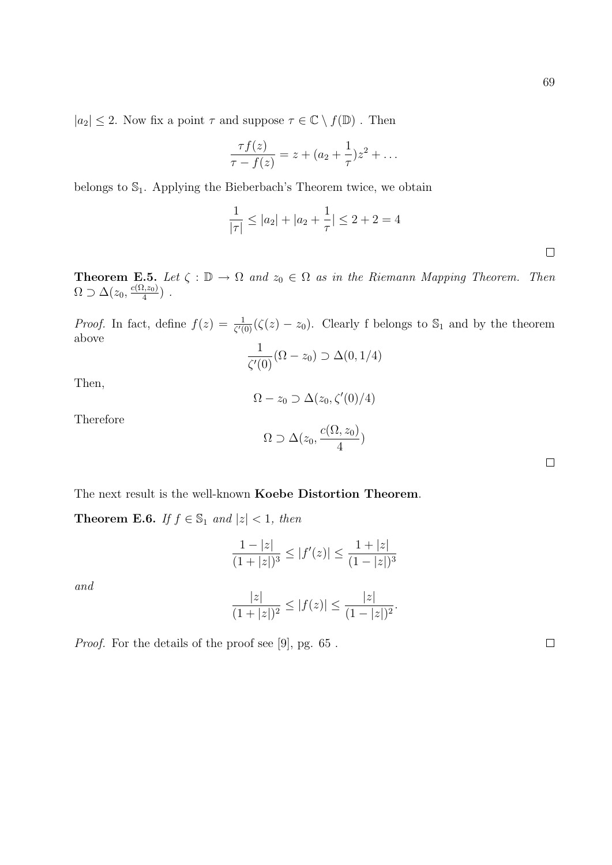$|a_2|\leq 2.$  Now fix a point  $\tau$  and suppose  $\tau\in\mathbb{C}\setminus f(\mathbb{D})$  . Then

$$
\frac{\tau f(z)}{\tau - f(z)} = z + (a_2 + \frac{1}{\tau})z^2 + \dots
$$

belongs to  $\mathbb{S}_1$ . Applying the Bieberbach's Theorem twice, we obtain

$$
\frac{1}{|\tau|} \le |a_2| + |a_2 + \frac{1}{\tau}| \le 2 + 2 = 4
$$

**Theorem E.5.** Let  $\zeta : \mathbb{D} \to \Omega$  and  $z_0 \in \Omega$  as in the Riemann Mapping Theorem. Then  $\Omega \supset \Delta(z_0, \frac{c(\Omega, z_0)}{4})$  $\frac{l, z_0)}{4}$ ).

*Proof.* In fact, define  $f(z) = \frac{1}{\zeta'(0)} (\zeta(z) - z_0)$ . Clearly f belongs to  $\mathbb{S}_1$  and by the theorem above 1

$$
\frac{1}{\zeta'(0)}(\Omega-z_0) \supset \Delta(0,1/4)
$$

Then,

$$
\Omega-z_0\supset\Delta(z_0,\zeta'(0)/4)
$$

Therefore

$$
\Omega \supset \Delta(z_0, \frac{c(\Omega, z_0)}{4})
$$

The next result is the well-known Koebe Distortion Theorem.

**Theorem E.6.** If  $f \in \mathbb{S}_1$  and  $|z| < 1$ , then

$$
\frac{1-|z|}{(1+|z|)^3} \le |f'(z)| \le \frac{1+|z|}{(1-|z|)^3}
$$

and

$$
\frac{|z|}{(1+|z|)^2} \le |f(z)| \le \frac{|z|}{(1-|z|)^2}.
$$

Proof. For the details of the proof see [9], pg. 65 .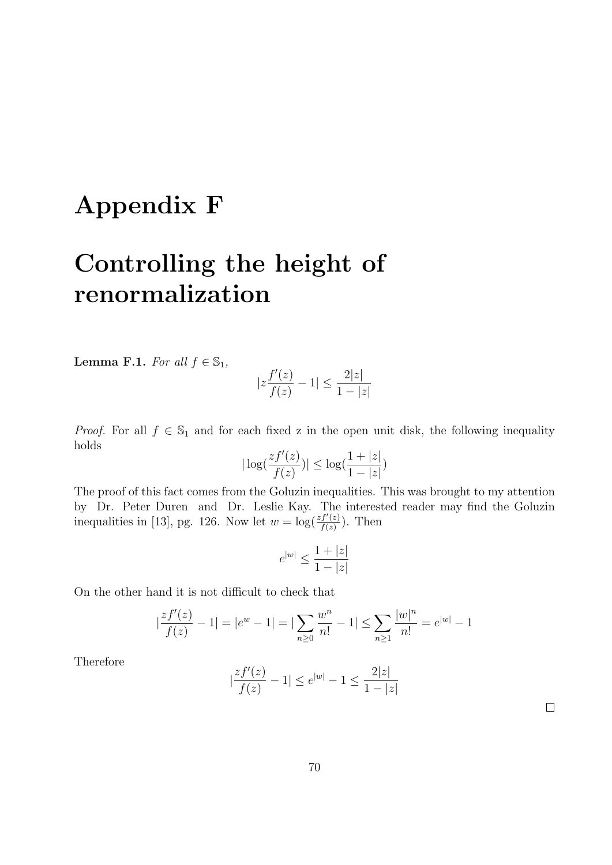## Appendix F

# Controlling the height of renormalization

**Lemma F.1.** For all  $f \in \mathbb{S}_1$ ,

$$
|z\frac{f'(z)}{f(z)}-1|\le \frac{2|z|}{1-|z|}
$$

*Proof.* For all  $f \in \mathbb{S}_1$  and for each fixed z in the open unit disk, the following inequality holds

$$
|\log(\frac{zf'(z)}{f(z)})| \le \log(\frac{1+|z|}{1-|z|})
$$

The proof of this fact comes from the Goluzin inequalities. This was brought to my attention by Dr. Peter Duren and Dr. Leslie Kay. The interested reader may find the Goluzin inequalities in [13], pg. 126. Now let  $w = \log(\frac{zf'(z)}{f(z)})$  $\frac{f'(z)}{f(z)}$ ). Then

$$
e^{|w|}\leq \frac{1+|z|}{1-|z|}
$$

On the other hand it is not difficult to check that

$$
\left|\frac{zf'(z)}{f(z)}-1\right| = \left|e^w - 1\right| = \left|\sum_{n\geq 0} \frac{w^n}{n!} - 1\right| \leq \sum_{n\geq 1} \frac{|w|^n}{n!} = e^{|w|} - 1
$$

Therefore

$$
|\frac{zf'(z)}{f(z)}-1|\leq e^{|w|}-1\leq \frac{2|z|}{1-|z|}
$$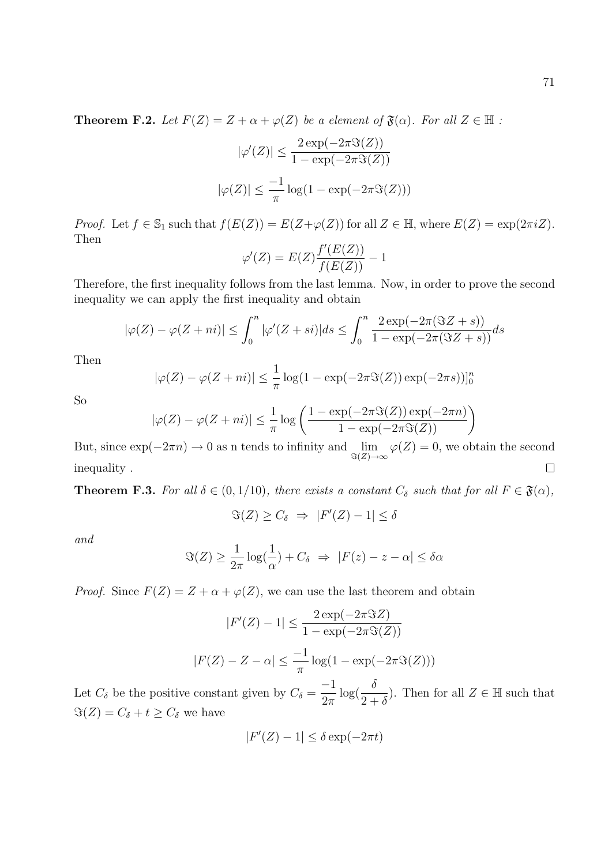**Theorem F.2.** Let  $F(Z) = Z + \alpha + \varphi(Z)$  be a element of  $\mathfrak{F}(\alpha)$ . For all  $Z \in \mathbb{H}$ :

$$
|\varphi'(Z)| \le \frac{2 \exp(-2\pi \Im(Z))}{1 - \exp(-2\pi \Im(Z))}
$$

$$
|\varphi(Z)| \le \frac{-1}{\pi} \log(1 - \exp(-2\pi \Im(Z)))
$$

*Proof.* Let  $f \in \mathbb{S}_1$  such that  $f(E(Z)) = E(Z + \varphi(Z))$  for all  $Z \in \mathbb{H}$ , where  $E(Z) = \exp(2\pi i Z)$ . Then

$$
\varphi'(Z) = E(Z) \frac{f'(E(Z))}{f(E(Z))} - 1
$$

Therefore, the first inequality follows from the last lemma. Now, in order to prove the second inequality we can apply the first inequality and obtain

$$
|\varphi(Z) - \varphi(Z + ni)| \le \int_0^n |\varphi'(Z + si)| ds \le \int_0^n \frac{2 \exp(-2\pi(\Im Z + s))}{1 - \exp(-2\pi(\Im Z + s))} ds
$$

Then

$$
|\varphi(Z) - \varphi(Z + ni)| \leq \frac{1}{\pi} \log(1 - \exp(-2\pi \Im(Z)) \exp(-2\pi s))|_{0}^{n}
$$

So

$$
|\varphi(Z) - \varphi(Z + ni)| \le \frac{1}{\pi} \log \left( \frac{1 - \exp(-2\pi \Im(Z)) \exp(-2\pi n)}{1 - \exp(-2\pi \Im(Z))} \right)
$$

But, since  $\exp(-2\pi n) \to 0$  as n tends to infinity and  $\lim_{\Im(Z)\to\infty} \varphi(Z) = 0$ , we obtain the second  $\Box$ inequality .

**Theorem F.3.** For all  $\delta \in (0, 1/10)$ , there exists a constant  $C_{\delta}$  such that for all  $F \in \mathfrak{F}(\alpha)$ ,

$$
\Im(Z) \ge C_{\delta} \Rightarrow |F'(Z) - 1| \le \delta
$$

and

$$
\Im(Z) \ge \frac{1}{2\pi} \log(\frac{1}{\alpha}) + C_{\delta} \Rightarrow |F(z) - z - \alpha| \le \delta \alpha
$$

*Proof.* Since  $F(Z) = Z + \alpha + \varphi(Z)$ , we can use the last theorem and obtain

$$
|F'(Z) - 1| \le \frac{2 \exp(-2\pi \Im Z)}{1 - \exp(-2\pi \Im(Z))}
$$
  

$$
|F(Z) - Z - \alpha| \le \frac{-1}{\pi} \log(1 - \exp(-2\pi \Im(Z)))
$$

Let  $C_{\delta}$  be the positive constant given by  $C_{\delta}$  = −1  $2\pi$  $\log(\frac{\delta}{\delta})$  $2+\delta$ ). Then for all  $Z \in \mathbb{H}$  such that  $\Im(Z) = C_{\delta} + t \geq C_{\delta}$  we have

$$
|F'(Z)-1|\leq \delta \exp(-2\pi t)
$$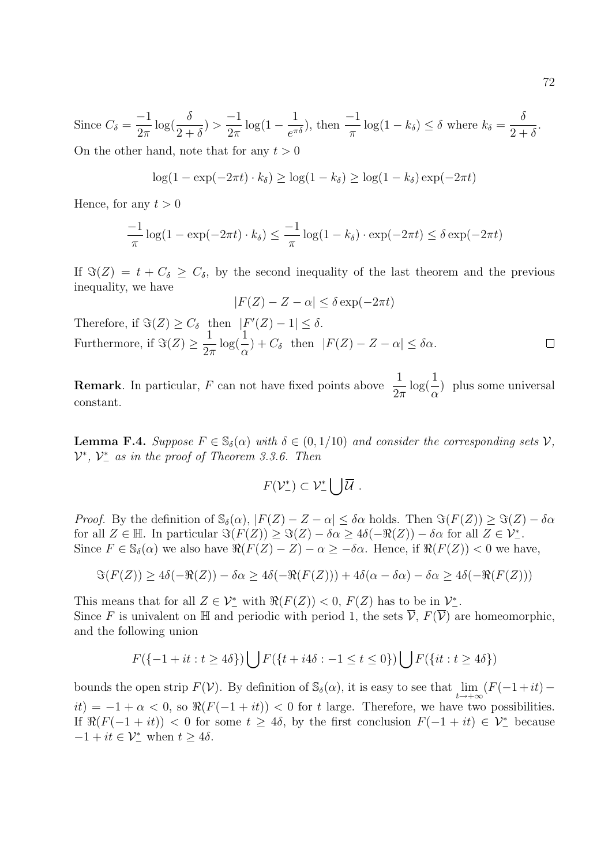Since  $C_{\delta} =$ −1  $2\pi$  $\log(\frac{\delta}{\delta})$  $2+\delta$  $) >$ −1  $2\pi$  $\log(1-\frac{1}{\pi})$  $\frac{1}{e^{\pi\delta}}$ , then  $\frac{-1}{\pi}\log(1-k_\delta) \leq \delta$  where  $k_\delta = \frac{\delta}{2+k_\delta}$  $2+\delta$ .

On the other hand, note that for any  $t > 0$ 

$$
\log(1 - \exp(-2\pi t) \cdot k_{\delta}) \ge \log(1 - k_{\delta}) \ge \log(1 - k_{\delta}) \exp(-2\pi t)
$$

Hence, for any  $t > 0$ 

$$
\frac{-1}{\pi}\log(1-\exp(-2\pi t)\cdot k_{\delta}) \le \frac{-1}{\pi}\log(1-k_{\delta})\cdot \exp(-2\pi t) \le \delta \exp(-2\pi t)
$$

If  $\Im(Z) = t + C_{\delta} \geq C_{\delta}$ , by the second inequality of the last theorem and the previous inequality, we have

$$
|F(Z) - Z - \alpha| \le \delta \exp(-2\pi t)
$$

Therefore, if  $\Im(Z) \geq C_{\delta}$  then  $|F'(Z) - 1| \leq \delta$ . Furthermore, if  $\Im(Z) \geq \frac{1}{2}$  $\log($  $\frac{1}{2})$  $\frac{1}{\alpha}$ ) +  $C_{\delta}$  then  $|F(Z) - Z - \alpha| \leq \delta \alpha$ .  $\Box$  $2\pi$ 

**Remark**. In particular, F can not have fixed points above  $\frac{1}{2}$  $2\pi$  $\log($  $\frac{1}{2})$  $\alpha$ ) plus some universal constant.

**Lemma F.4.** Suppose  $F \in \mathbb{S}_{\delta}(\alpha)$  with  $\delta \in (0, 1/10)$  and consider the corresponding sets  $V$ ,  $\mathcal{V}^*, \ \mathcal{V}^*$  as in the proof of Theorem 3.3.6. Then

$$
F(\mathcal{V}_-^*)\subset \mathcal{V}_-^*\bigcup \overline{\mathcal{U}}\ .
$$

*Proof.* By the definition of  $\mathbb{S}_{\delta}(\alpha)$ ,  $|F(Z) - Z - \alpha| \leq \delta \alpha$  holds. Then  $\Im(F(Z)) \geq \Im(Z) - \delta \alpha$ for all  $Z \in \mathbb{H}$ . In particular  $\Im(F(Z)) \geq \Im(Z) - \delta \alpha \geq 4\delta(-\Re(Z)) - \delta \alpha$  for all  $Z \in \mathcal{V}^*$ . Since  $F \in \mathbb{S}_{\delta}(\alpha)$  we also have  $\Re(F(Z) - Z) - \alpha \geq -\delta \alpha$ . Hence, if  $\Re(F(Z)) < 0$  we have,

$$
\Im(F(Z)) \ge 4\delta(-\Re(Z)) - \delta\alpha \ge 4\delta(-\Re(F(Z))) + 4\delta(\alpha - \delta\alpha) - \delta\alpha \ge 4\delta(-\Re(F(Z)))
$$

This means that for all  $Z \in \mathcal{V}^*_-$  with  $\Re(F(Z)) < 0$ ,  $F(Z)$  has to be in  $\mathcal{V}^*_-$ . Since F is univalent on H and periodic with period 1, the sets  $\overline{\mathcal{V}}$ ,  $F(\overline{\mathcal{V}})$  are homeomorphic, and the following union

$$
F({-1 + it : t \ge 4\delta}) \bigcup F({t + i4\delta : -1 \le t \le 0}) \bigcup F({it : t \ge 4\delta})
$$

bounds the open strip  $F(V)$ . By definition of  $\mathbb{S}_{\delta}(\alpha)$ , it is easy to see that  $\lim_{t\to+\infty}(F(-1+it)$  $it$ ) = −1 +  $\alpha$  < 0, so  $\Re(F(-1 + it))$  < 0 for t large. Therefore, we have two possibilities. If  $\Re(F(-1 + it)) < 0$  for some  $t \ge 4\delta$ , by the first conclusion  $F(-1 + it) \in \mathcal{V}^*$  because  $-1 + it \in \mathcal{V}^*_{-}$  when  $t \geq 4\delta$ .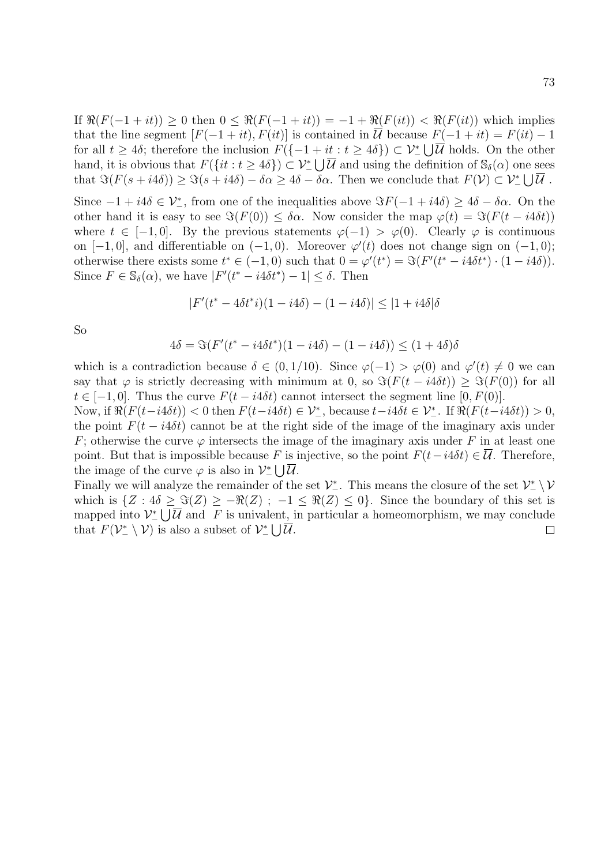If  $\Re(F(-1 + it)) > 0$  then  $0 \le \Re(F(-1 + it)) = -1 + \Re(F(it)) < \Re(F(it))$  which implies that the line segment  $[F(-1 + it), F(it)]$  is contained in  $\overline{U}$  because  $F(-1 + it) = F(it) - 1$ for all  $t \geq 4\delta$ ; therefore the inclusion  $F(\{-1 + it : t \geq 4\delta\}) \subset \mathcal{V}^*_- \bigcup \overline{\mathcal{U}}$  holds. On the other hand, it is obvious that  $F({i t : t \ge 4\delta}) \subset \mathcal{V}^*_- \bigcup \overline{\mathcal{U}}$  and using the definition of  $\mathbb{S}_{\delta}(\alpha)$  one sees that  $\Im(F(s + i4\delta)) \geq \Im(s + i4\delta) - \delta\alpha \geq 4\delta - \delta\alpha$ . Then we conclude that  $F(\mathcal{V}) \subset \mathcal{V}^*_- \bigcup \overline{\mathcal{U}}$ .

Since  $-1 + i4\delta \in \mathcal{V}^*$ , from one of the inequalities above  $\Im F(-1 + i4\delta) \geq 4\delta - \delta \alpha$ . On the other hand it is easy to see  $\Im(F(0)) \leq \delta \alpha$ . Now consider the map  $\varphi(t) = \Im(F(t - i4\delta t))$ where  $t \in [-1, 0]$ . By the previous statements  $\varphi(-1) > \varphi(0)$ . Clearly  $\varphi$  is continuous on  $[-1,0]$ , and differentiable on  $(-1,0)$ . Moreover  $\varphi'(t)$  does not change sign on  $(-1,0)$ ; otherwise there exists some  $t^* \in (-1,0)$  such that  $0 = \varphi'(t^*) = \Im(F'(t^* - i4\delta t^*) \cdot (1 - i4\delta)).$ Since  $F \in \mathbb{S}_{\delta}(\alpha)$ , we have  $|F'(t^* - i4\delta t^*) - 1| \leq \delta$ . Then

$$
|F'(t^* - 4\delta t^*i)(1 - i4\delta) - (1 - i4\delta)| \le |1 + i4\delta|\delta
$$

So

$$
4\delta = \Im(F'(t^* - i4\delta t^*)(1 - i4\delta) - (1 - i4\delta)) \le (1 + 4\delta)\delta
$$

which is a contradiction because  $\delta \in (0, 1/10)$ . Since  $\varphi(-1) > \varphi(0)$  and  $\varphi'(t) \neq 0$  we can say that  $\varphi$  is strictly decreasing with minimum at 0, so  $\Im(F(t - i4\delta t)) > \Im(F(0))$  for all  $t \in [-1,0]$ . Thus the curve  $F(t - i4\delta t)$  cannot intersect the segment line [0,  $F(0)$ ].

Now, if  $\Re(F(t-i4\delta t)) < 0$  then  $F(t-i4\delta t) \in \mathcal{V}_-^*$ , because  $t-i4\delta t \in \mathcal{V}_-^*$ . If  $\Re(F(t-i4\delta t)) > 0$ , the point  $F(t - i4\delta t)$  cannot be at the right side of the image of the imaginary axis under F; otherwise the curve  $\varphi$  intersects the image of the imaginary axis under F in at least one point. But that is impossible because F is injective, so the point  $F(t-i4\delta t) \in \overline{U}$ . Therefore, the image of the curve  $\varphi$  is also in  $\mathcal{V}^*_{-}\bigcup \overline{\mathcal{U}}$ .

Finally we will analyze the remainder of the set  $\mathcal{V}^*_{-}$ . This means the closure of the set  $\mathcal{V}^*_{-} \setminus \mathcal{V}$ which is  $\{Z : 4\delta \geq \Im(Z) \geq -\Re(Z) ; -1 \leq \Re(Z) \leq 0\}$ . Since the boundary of this set is mapped into  $\mathcal{V}^*_{-}\bigcup \overline{\mathcal{U}}$  and F is univalent, in particular a homeomorphism, we may conclude that  $F(\mathcal{V}^*_{-}\setminus \mathcal{V})$  is also a subset of  $\mathcal{V}^*_{-}\bigcup \overline{\mathcal{U}}$ .  $\Box$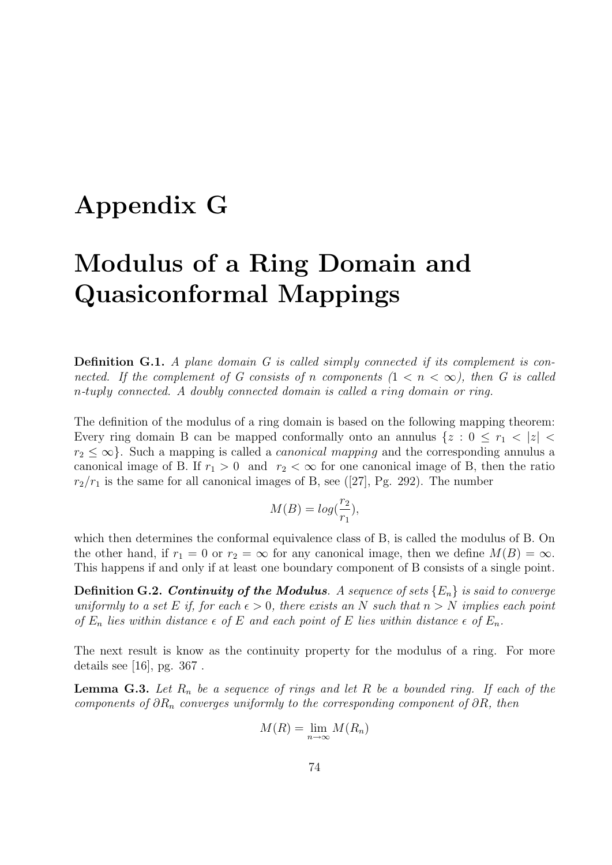### Appendix G

# Modulus of a Ring Domain and Quasiconformal Mappings

Definition G.1. A plane domain G is called simply connected if its complement is connected. If the complement of G consists of n components  $(1 \lt n \lt \infty)$ , then G is called n-tuply connected. A doubly connected domain is called a ring domain or ring.

The definition of the modulus of a ring domain is based on the following mapping theorem: Every ring domain B can be mapped conformally onto an annulus  $\{z : 0 \le r_1 < |z|$  $r_2 \leq \infty$ . Such a mapping is called a *canonical mapping* and the corresponding annulus a canonical image of B. If  $r_1 > 0$  and  $r_2 < \infty$  for one canonical image of B, then the ratio  $r_2/r_1$  is the same for all canonical images of B, see ([27], Pg. 292). The number

$$
M(B) = \log(\frac{r_2}{r_1}),
$$

which then determines the conformal equivalence class of B, is called the modulus of B. On the other hand, if  $r_1 = 0$  or  $r_2 = \infty$  for any canonical image, then we define  $M(B) = \infty$ . This happens if and only if at least one boundary component of B consists of a single point.

**Definition G.2. Continuity of the Modulus.** A sequence of sets  $\{E_n\}$  is said to converge uniformly to a set E if, for each  $\epsilon > 0$ , there exists an N such that  $n > N$  implies each point of  $E_n$  lies within distance  $\epsilon$  of E and each point of E lies within distance  $\epsilon$  of  $E_n$ .

The next result is know as the continuity property for the modulus of a ring. For more details see [16], pg. 367 .

**Lemma G.3.** Let  $R_n$  be a sequence of rings and let R be a bounded ring. If each of the components of  $\partial R_n$  converges uniformly to the corresponding component of  $\partial R$ , then

$$
M(R) = \lim_{n \to \infty} M(R_n)
$$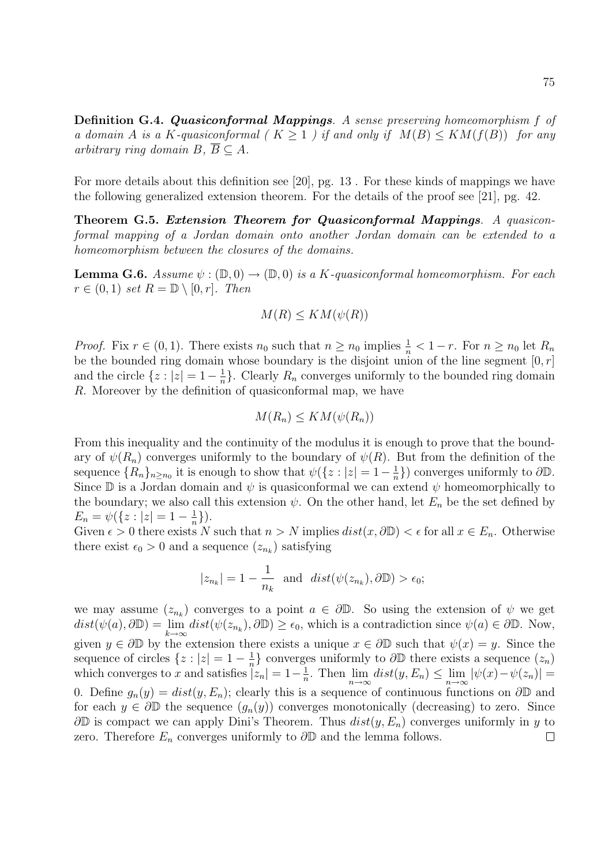Definition G.4. Quasiconformal Mappings. A sense preserving homeomorphism f of a domain A is a K-quasiconformal ( $K > 1$ ) if and only if  $M(B) \leq KM(f(B))$  for any arbitrary ring domain  $B, \overline{B} \subseteq A$ .

For more details about this definition see [20], pg. 13 . For these kinds of mappings we have the following generalized extension theorem. For the details of the proof see [21], pg. 42.

Theorem G.5. Extension Theorem for Quasiconformal Mappings. A quasiconformal mapping of a Jordan domain onto another Jordan domain can be extended to a homeomorphism between the closures of the domains.

**Lemma G.6.** Assume  $\psi : (\mathbb{D}, 0) \to (\mathbb{D}, 0)$  is a K-quasiconformal homeomorphism. For each  $r \in (0,1)$  set  $R = \mathbb{D} \setminus [0,r]$ . Then

$$
M(R) \leq KM(\psi(R))
$$

*Proof.* Fix  $r \in (0, 1)$ . There exists  $n_0$  such that  $n \geq n_0$  implies  $\frac{1}{n} < 1 - r$ . For  $n \geq n_0$  let  $R_n$ be the bounded ring domain whose boundary is the disjoint union of the line segment  $[0, r]$ and the circle  $\{z: |z|=1-\frac{1}{n}\}$  $\frac{1}{n}$ . Clearly  $R_n$  converges uniformly to the bounded ring domain R. Moreover by the definition of quasiconformal map, we have

$$
M(R_n) \leq KM(\psi(R_n))
$$

From this inequality and the continuity of the modulus it is enough to prove that the boundary of  $\psi(R_n)$  converges uniformly to the boundary of  $\psi(R)$ . But from the definition of the sequence  ${R_n}_{n \ge n_0}$  it is enough to show that  $\psi({z : |z| = 1 - \frac{1}{n})}$  $\frac{1}{n}$ }) converges uniformly to  $\partial \mathbb{D}$ . Since  $\mathbb D$  is a Jordan domain and  $\psi$  is quasiconformal we can extend  $\psi$  homeomorphically to the boundary; we also call this extension  $\psi$ . On the other hand, let  $E_n$  be the set defined by  $E_n = \psi(\{z : |z| = 1 - \frac{1}{n}\})$  $\frac{1}{n}\}$ ).

Given  $\epsilon > 0$  there exists N such that  $n > N$  implies  $dist(x, \partial \mathbb{D}) < \epsilon$  for all  $x \in E_n$ . Otherwise there exist  $\epsilon_0 > 0$  and a sequence  $(z_{n_k})$  satisfying

$$
|z_{n_k}| = 1 - \frac{1}{n_k}
$$
 and  $dist(\psi(z_{n_k}), \partial \mathbb{D}) > \epsilon_0;$ 

we may assume  $(z_{n_k})$  converges to a point  $a \in \partial \mathbb{D}$ . So using the extension of  $\psi$  we get  $dist(\psi(a),\partial \mathbb{D}) = \lim_{k \to \infty} dist(\psi(z_{n_k}),\partial \mathbb{D}) \ge \epsilon_0$ , which is a contradiction since  $\psi(a) \in \partial \mathbb{D}$ . Now, given  $y \in \partial \mathbb{D}$  by the extension there exists a unique  $x \in \partial \mathbb{D}$  such that  $\psi(x) = y$ . Since the  $\frac{1}{n}$ } converges uniformly to  $\partial \mathbb{D}$  there exists a sequence  $(z_n)$ sequence of circles  $\{z : |z| = 1 - \frac{1}{n}\}$ which converges to x and satisfies  $|z_n| = 1 - \frac{1}{n}$  $\frac{1}{n}$ . Then  $\lim_{n\to\infty} dist(y, E_n) \leq \lim_{n\to\infty} |\psi(x)-\psi(z_n)| =$ 0. Define  $g_n(y) = dist(y, E_n)$ ; clearly this is a sequence of continuous functions on  $\partial \mathbb{D}$  and for each  $y \in \partial \mathbb{D}$  the sequence  $(g_n(y))$  converges monotonically (decreasing) to zero. Since  $\partial\mathbb{D}$  is compact we can apply Dini's Theorem. Thus  $dist(y, E_n)$  converges uniformly in y to zero. Therefore  $E_n$  converges uniformly to  $\partial \mathbb{D}$  and the lemma follows.  $\Box$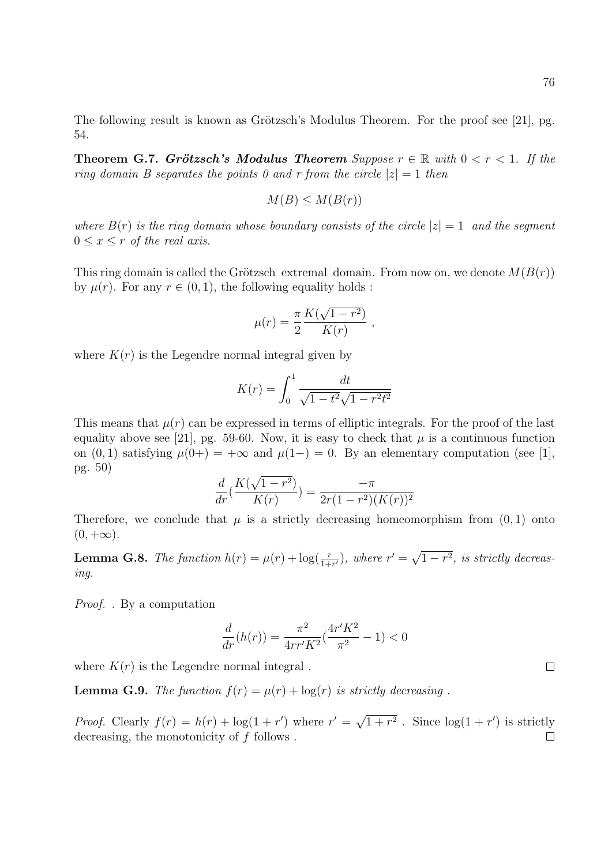The following result is known as Grötzsch's Modulus Theorem. For the proof see [21], pg. 54.

**Theorem G.7. Grötzsch's Modulus Theorem** Suppose  $r \in \mathbb{R}$  with  $0 < r < 1$ . If the ring domain B separates the points 0 and r from the circle  $|z|=1$  then

$$
M(B) \le M(B(r))
$$

where  $B(r)$  is the ring domain whose boundary consists of the circle  $|z|=1$  and the segment  $0 \leq x \leq r$  of the real axis.

This ring domain is called the Grötzsch extremal domain. From now on, we denote  $M(B(r))$ by  $\mu(r)$ . For any  $r \in (0, 1)$ , the following equality holds:

$$
\mu(r) = \frac{\pi}{2} \frac{K(\sqrt{1-r^2})}{K(r)},
$$

where  $K(r)$  is the Legendre normal integral given by

$$
K(r) = \int_0^1 \frac{dt}{\sqrt{1 - t^2}\sqrt{1 - r^2 t^2}}
$$

This means that  $\mu(r)$  can be expressed in terms of elliptic integrals. For the proof of the last equality above see [21], pg. 59-60. Now, it is easy to check that  $\mu$  is a continuous function on  $(0, 1)$  satisfying  $\mu(0+) = +\infty$  and  $\mu(1-) = 0$ . By an elementary computation (see [1], pg. 50) √

$$
\frac{d}{dr}\left(\frac{K(\sqrt{1-r^2})}{K(r)}\right) = \frac{-\pi}{2r(1-r^2)(K(r))^2}
$$

Therefore, we conclude that  $\mu$  is a strictly decreasing homeomorphism from  $(0, 1)$  onto  $(0, +\infty).$ 

**Lemma G.8.** The function  $h(r) = \mu(r) + \log(\frac{r}{1+r'})$ , where  $r' = \sqrt{\frac{r}{1+r'}}$  $(1-r^2, \text{ is strictly decreasing})$ ing.

Proof. . By a computation

$$
\frac{d}{dr}(h(r)) = \frac{\pi^2}{4rr'K^2}(\frac{4r'K^2}{\pi^2} - 1) < 0
$$

where  $K(r)$  is the Legendre normal integral.

**Lemma G.9.** The function  $f(r) = \mu(r) + \log(r)$  is strictly decreasing.

*Proof.* Clearly  $f(r) = h(r) + \log(1 + r')$  where  $r' = \sqrt{ }$  $\sqrt{1+r^2}$ . Since  $\log(1+r')$  is strictly decreasing, the monotonicity of f follows . $\Box$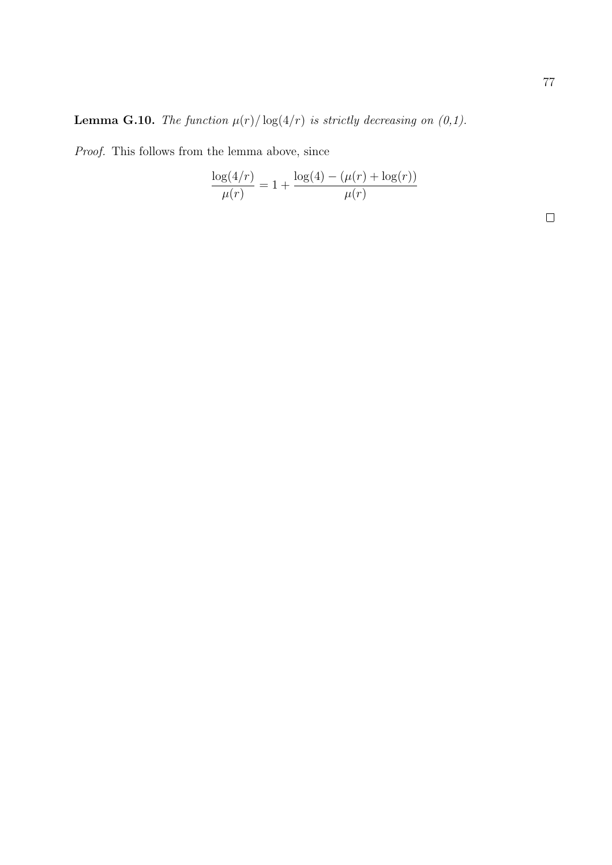**Lemma G.10.** The function  $\mu(r)/\log(4/r)$  is strictly decreasing on  $(0,1)$ .

Proof. This follows from the lemma above, since

$$
\frac{\log(4/r)}{\mu(r)} = 1 + \frac{\log(4) - (\mu(r) + \log(r))}{\mu(r)}
$$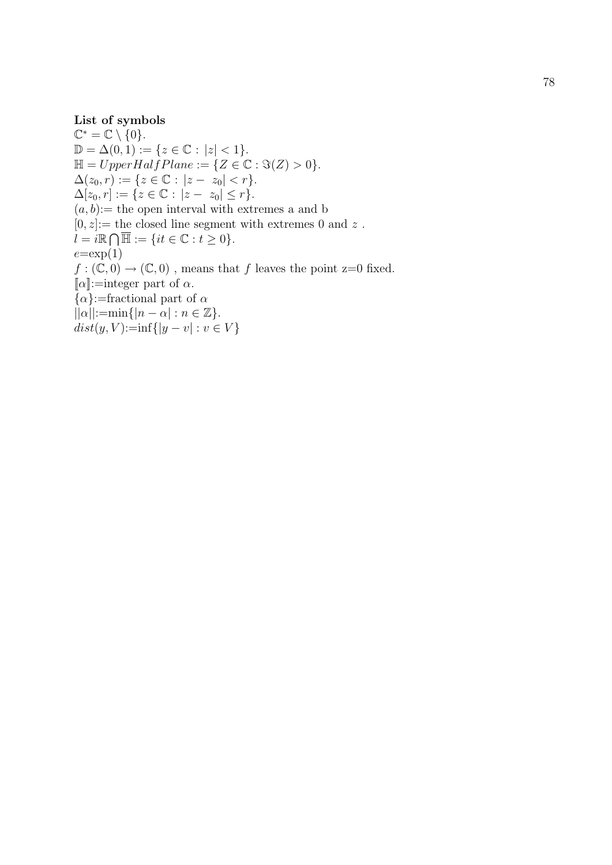List of symbols<br>  $\mathbb{C}^* = \mathbb{C} \setminus \{0\}. \ \mathbb{D} = \Delta(0,1) := \{z \in \mathbb{C} : |z| < 1$  $\mathbb{D} = \Delta(0, 1) := \{ z \in \mathbb{C} : |z| < 1 \}.$ <br>  $\mathbb{H} = UpperHalfPlane := \{ Z \in \mathbb{C} : \Im(Z) > 0 \}.$  $\Delta(z_0, r) := \{ z \in \mathbb{C} : |z - z_0| < r \}.$  $\Delta[z_0, r] := \{ z \in \mathbb{C} : |z - z_0| \le r \}.$  $(a, b) :=$  the open interval with extremes a and b  $[0, z] :=$  the closed line segment with extremes 0 and z.  $l = i\mathbb{R} \bigcap \overline{\mathbb{H}} := \{it \in \mathbb{C} : t \geq 0\}.$  $e=\exp(1)$  $f: (\mathbb{C}, 0) \to (\mathbb{C}, 0)$ , means that f leaves the point z=0 fixed. [ $\alpha$ ]:=integer part of  $\alpha$ .  $\{\alpha\}$ :=fractional part of  $\alpha$  $||\alpha||:=\min\{|n-\alpha|:n\in\mathbb{Z}\}.$  $dist(y, V) := inf\{|y - v| : v \in V\}$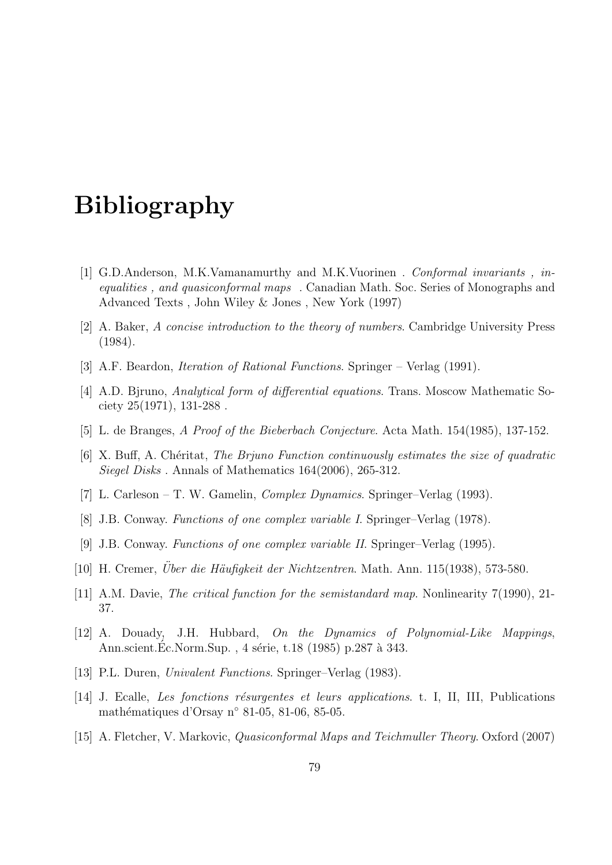#### Bibliography

- [1] G.D.Anderson, M.K.Vamanamurthy and M.K.Vuorinen . Conformal invariants , inequalities , and quasiconformal maps . Canadian Math. Soc. Series of Monographs and Advanced Texts , John Wiley & Jones , New York (1997)
- [2] A. Baker, A concise introduction to the theory of numbers. Cambridge University Press (1984).
- [3] A.F. Beardon, *Iteration of Rational Functions*. Springer Verlag (1991).
- [4] A.D. Bjruno, Analytical form of differential equations. Trans. Moscow Mathematic Society 25(1971), 131-288 .
- [5] L. de Branges, A Proof of the Bieberbach Conjecture. Acta Math. 154(1985), 137-152.
- [6] X. Buff, A. Chéritat, The Brjuno Function continuously estimates the size of quadratic Siegel Disks . Annals of Mathematics 164(2006), 265-312.
- [7] L. Carleson T. W. Gamelin, Complex Dynamics. Springer–Verlag (1993).
- [8] J.B. Conway. Functions of one complex variable I. Springer–Verlag (1978).
- [9] J.B. Conway. Functions of one complex variable II. Springer–Verlag (1995).
- [10] H. Cremer, Uber die Häufigkeit der Nichtzentren. Math. Ann. 115(1938), 573-580.
- [11] A.M. Davie, The critical function for the semistandard map. Nonlinearity 7(1990), 21- 37.
- [12] A. Douady, J.H. Hubbard, On the Dynamics of Polynomial-Like Mappings, Ann.scient.Ec.Norm.Sup., 4 série, t.18 (1985) p.287 à 343.
- [13] P.L. Duren, Univalent Functions. Springer–Verlag (1983).
- [14] J. Ecalle, Les fonctions résurgentes et leurs applications. t. I, II, III, Publications mathématiques d'Orsay n° 81-05, 81-06, 85-05.
- [15] A. Fletcher, V. Markovic, Quasiconformal Maps and Teichmuller Theory. Oxford (2007)